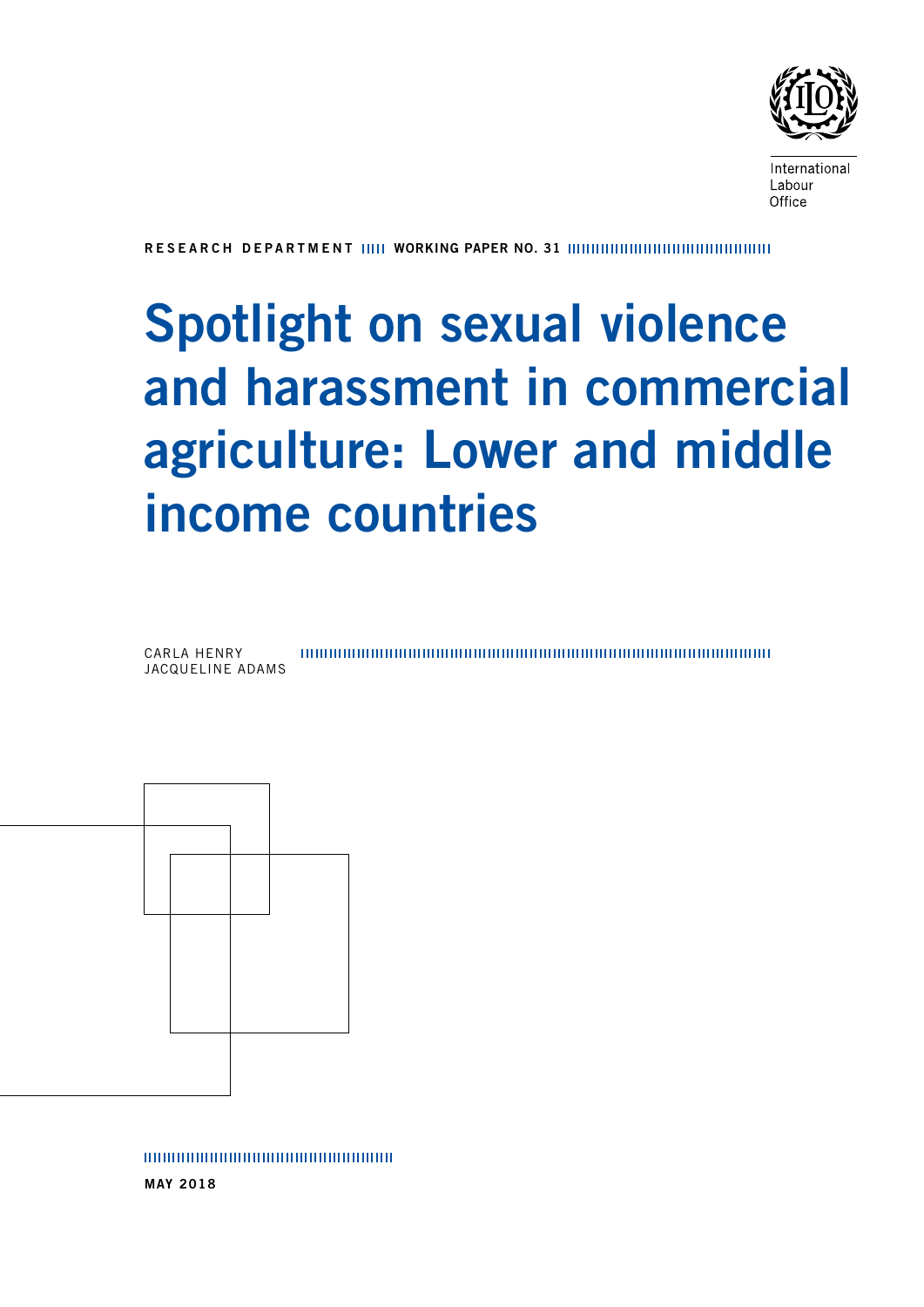

International Labour Office

RESEARCH DEPARTMENT WORKING PAPER NO. 31

# Spotlight on sexual violence and harassment in commercial agriculture: Lower and middle income countries





MAY 2018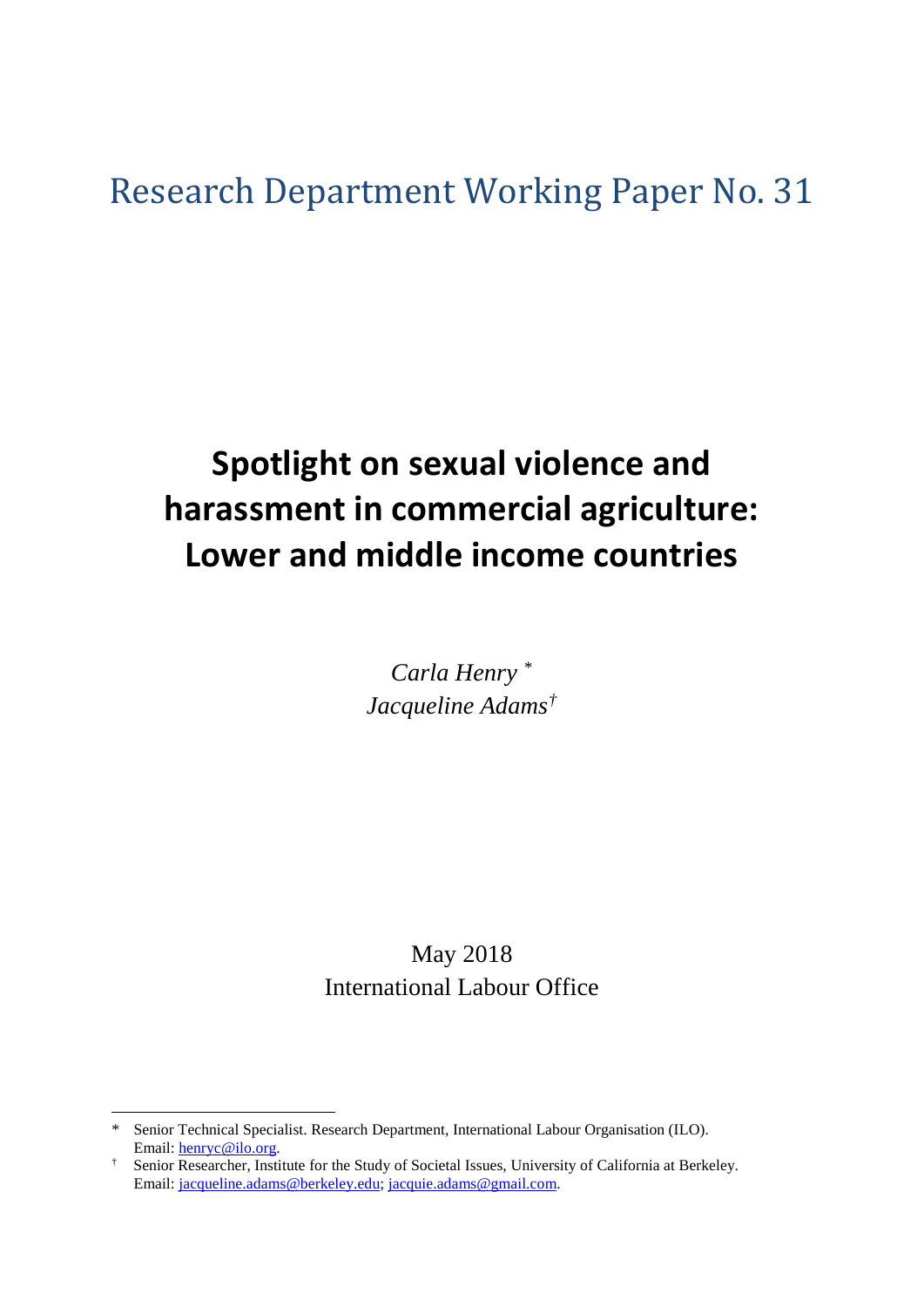# Research Department Working Paper No. 31

# **Spotlight on sexual violence and harassment in commercial agriculture: Lower and middle income countries**

*Carla Henry* [\\*](#page-2-0) *Jacqueline Adams[†](#page-2-1)*

May 2018 International Labour Office

 $\overline{\phantom{a}}$ 

<span id="page-2-0"></span>Senior Technical Specialist. Research Department, International Labour Organisation (ILO). Email: [henryc@ilo.org.](mailto:henryc@ilo.org)

<span id="page-2-1"></span><sup>†</sup> Senior Researcher, Institute for the Study of Societal Issues, University of California at Berkeley. Email: [jacqueline.adams@berkeley.edu;](mailto:jacqueline.adams@berkeley.edu) [jacquie.adams@gmail.com.](mailto:jacquie.adams@gmail.com)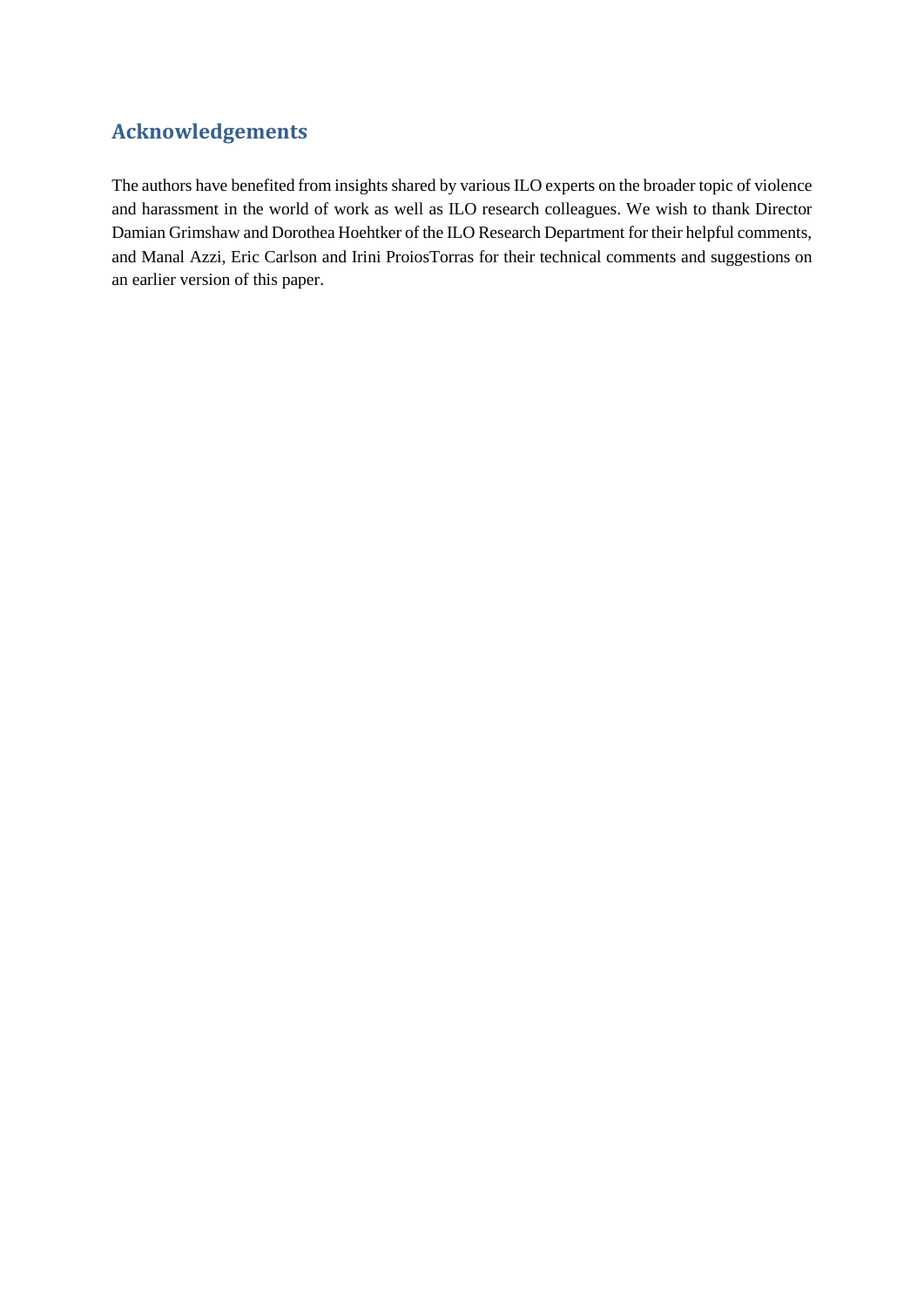# <span id="page-4-0"></span>**Acknowledgements**

The authors have benefited from insights shared by various ILO experts on the broader topic of violence and harassment in the world of work as well as ILO research colleagues. We wish to thank Director Damian Grimshaw and Dorothea Hoehtker of the ILO Research Department for their helpful comments, and Manal Azzi, Eric Carlson and Irini ProiosTorras for their technical comments and suggestions on an earlier version of this paper.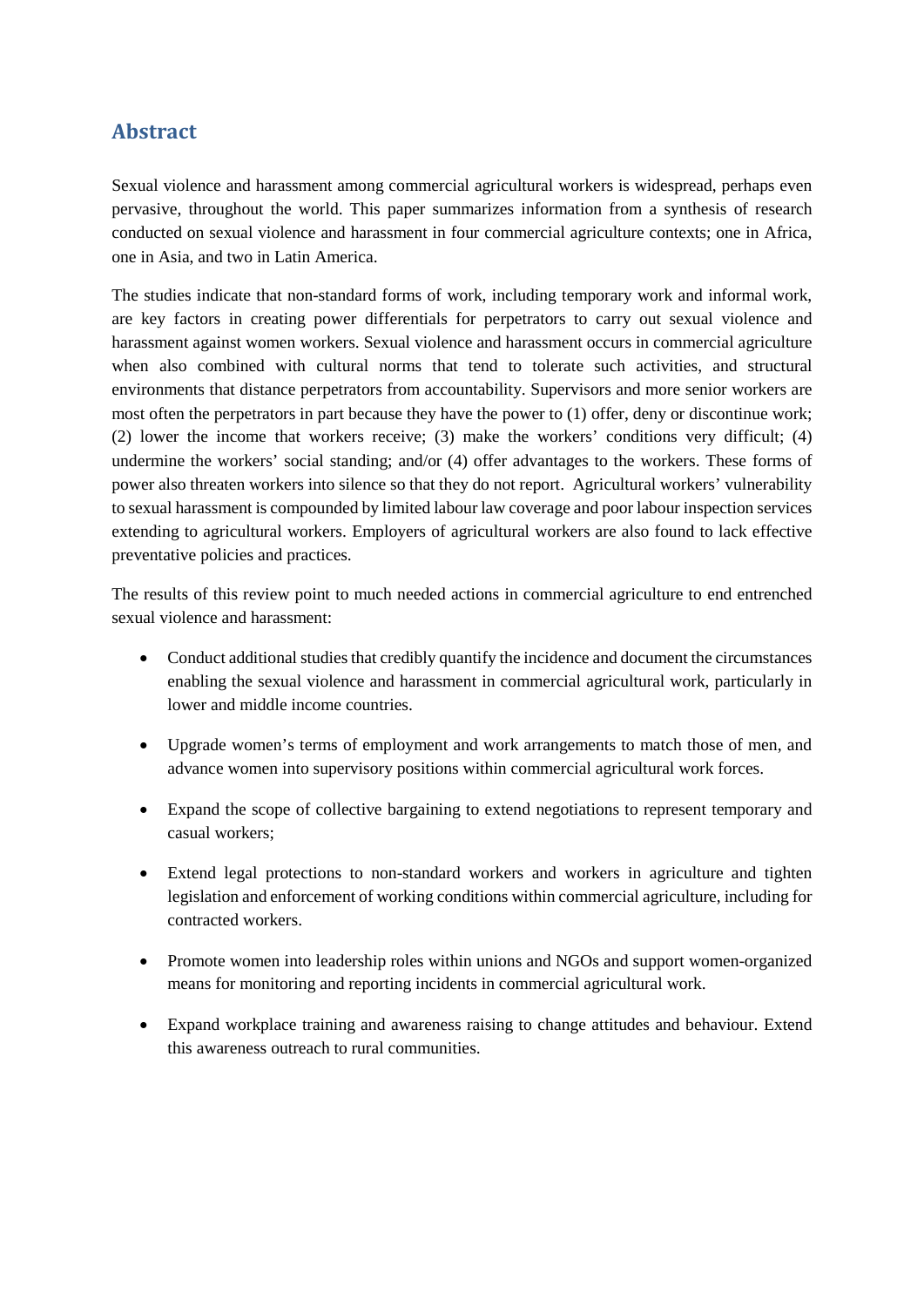# <span id="page-5-0"></span>**Abstract**

Sexual violence and harassment among commercial agricultural workers is widespread, perhaps even pervasive, throughout the world. This paper summarizes information from a synthesis of research conducted on sexual violence and harassment in four commercial agriculture contexts; one in Africa, one in Asia, and two in Latin America.

The studies indicate that non-standard forms of work, including temporary work and informal work, are key factors in creating power differentials for perpetrators to carry out sexual violence and harassment against women workers. Sexual violence and harassment occurs in commercial agriculture when also combined with cultural norms that tend to tolerate such activities, and structural environments that distance perpetrators from accountability. Supervisors and more senior workers are most often the perpetrators in part because they have the power to (1) offer, deny or discontinue work; (2) lower the income that workers receive; (3) make the workers' conditions very difficult; (4) undermine the workers' social standing; and/or (4) offer advantages to the workers. These forms of power also threaten workers into silence so that they do not report. Agricultural workers' vulnerability to sexual harassment is compounded by limited labour law coverage and poor labour inspection services extending to agricultural workers. Employers of agricultural workers are also found to lack effective preventative policies and practices.

The results of this review point to much needed actions in commercial agriculture to end entrenched sexual violence and harassment:

- Conduct additional studies that credibly quantify the incidence and document the circumstances enabling the sexual violence and harassment in commercial agricultural work, particularly in lower and middle income countries.
- Upgrade women's terms of employment and work arrangements to match those of men, and advance women into supervisory positions within commercial agricultural work forces.
- Expand the scope of collective bargaining to extend negotiations to represent temporary and casual workers;
- Extend legal protections to non-standard workers and workers in agriculture and tighten legislation and enforcement of working conditions within commercial agriculture, including for contracted workers.
- Promote women into leadership roles within unions and NGOs and support women-organized means for monitoring and reporting incidents in commercial agricultural work.
- Expand workplace training and awareness raising to change attitudes and behaviour. Extend this awareness outreach to rural communities.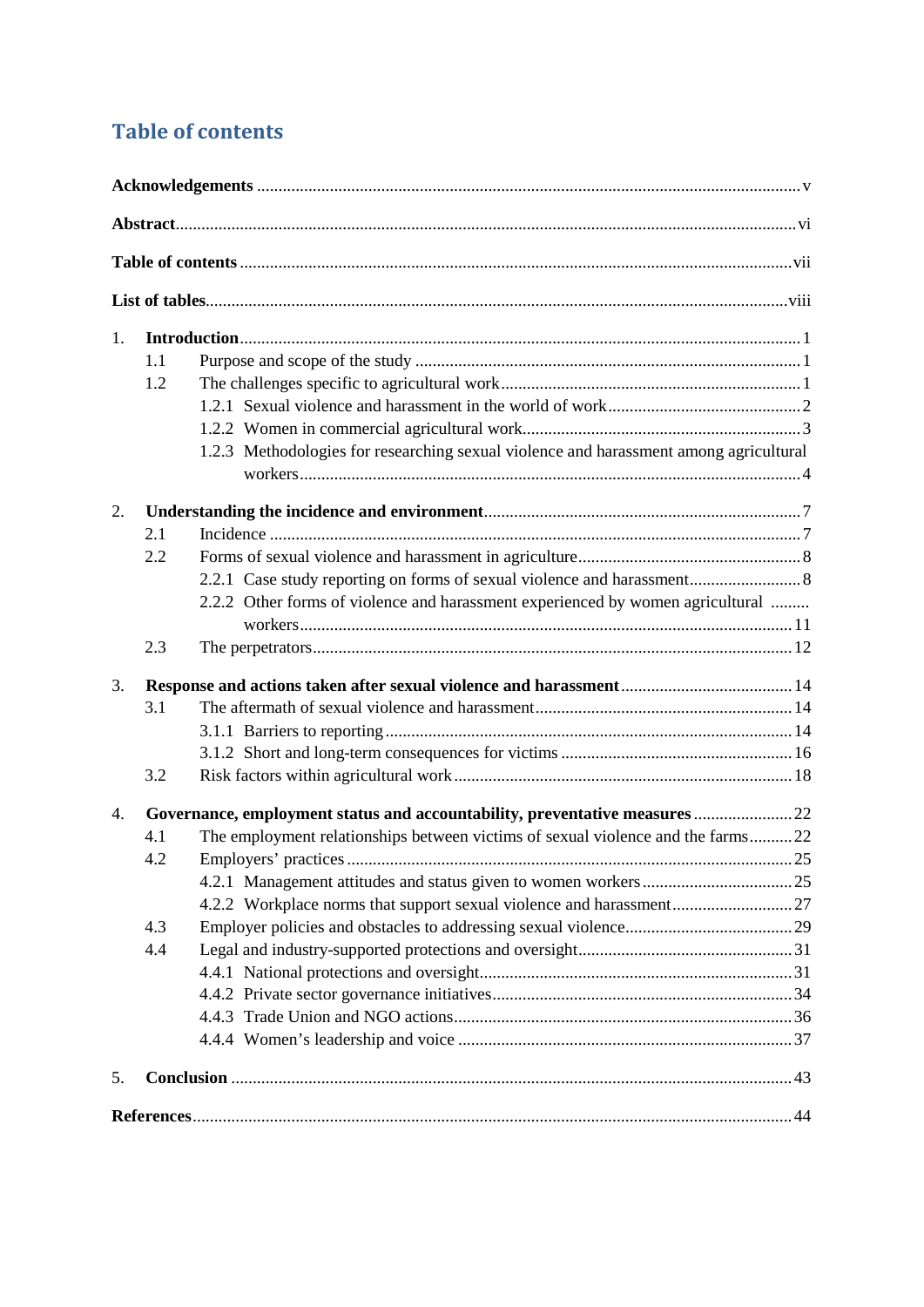# <span id="page-6-0"></span>**Table of contents**

| 1. |     |                                                                                       |  |  |  |
|----|-----|---------------------------------------------------------------------------------------|--|--|--|
|    | 1.1 |                                                                                       |  |  |  |
|    | 1.2 |                                                                                       |  |  |  |
|    |     |                                                                                       |  |  |  |
|    |     |                                                                                       |  |  |  |
|    |     | 1.2.3 Methodologies for researching sexual violence and harassment among agricultural |  |  |  |
| 2. |     |                                                                                       |  |  |  |
|    | 2.1 |                                                                                       |  |  |  |
|    | 2.2 |                                                                                       |  |  |  |
|    |     |                                                                                       |  |  |  |
|    |     | 2.2.2 Other forms of violence and harassment experienced by women agricultural        |  |  |  |
|    | 2.3 |                                                                                       |  |  |  |
| 3. |     |                                                                                       |  |  |  |
|    | 3.1 |                                                                                       |  |  |  |
|    |     |                                                                                       |  |  |  |
|    |     |                                                                                       |  |  |  |
|    | 3.2 |                                                                                       |  |  |  |
| 4. |     | Governance, employment status and accountability, preventative measures  22           |  |  |  |
|    | 4.1 | The employment relationships between victims of sexual violence and the farms22       |  |  |  |
|    | 4.2 |                                                                                       |  |  |  |
|    |     |                                                                                       |  |  |  |
|    |     |                                                                                       |  |  |  |
|    | 4.3 |                                                                                       |  |  |  |
|    | 4.4 |                                                                                       |  |  |  |
|    |     |                                                                                       |  |  |  |
|    |     |                                                                                       |  |  |  |
|    |     |                                                                                       |  |  |  |
|    |     |                                                                                       |  |  |  |
| 5. |     |                                                                                       |  |  |  |
|    |     |                                                                                       |  |  |  |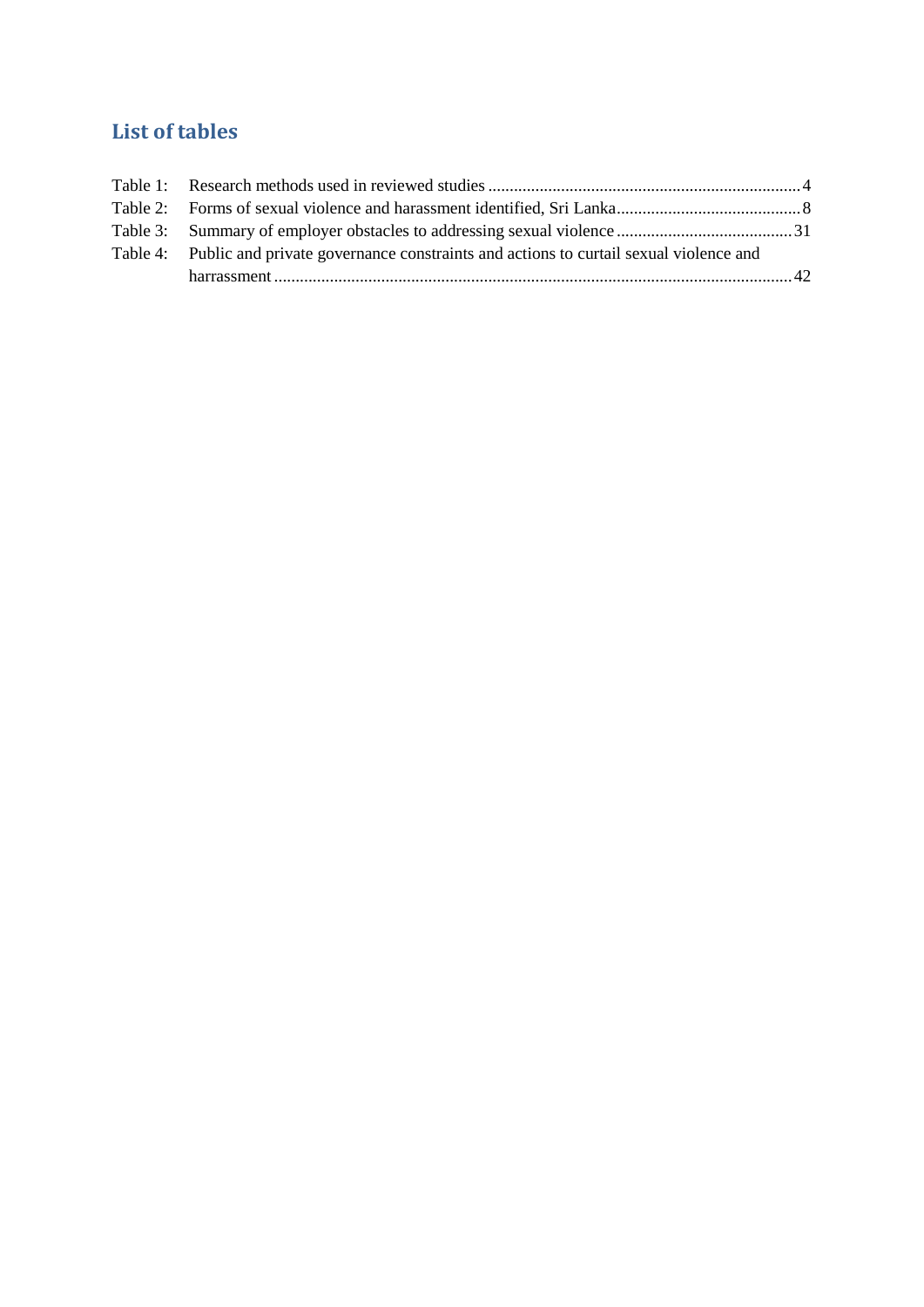# <span id="page-7-0"></span>**List of tables**

| Table 4: Public and private governance constraints and actions to curtail sexual violence and |  |
|-----------------------------------------------------------------------------------------------|--|
|                                                                                               |  |
|                                                                                               |  |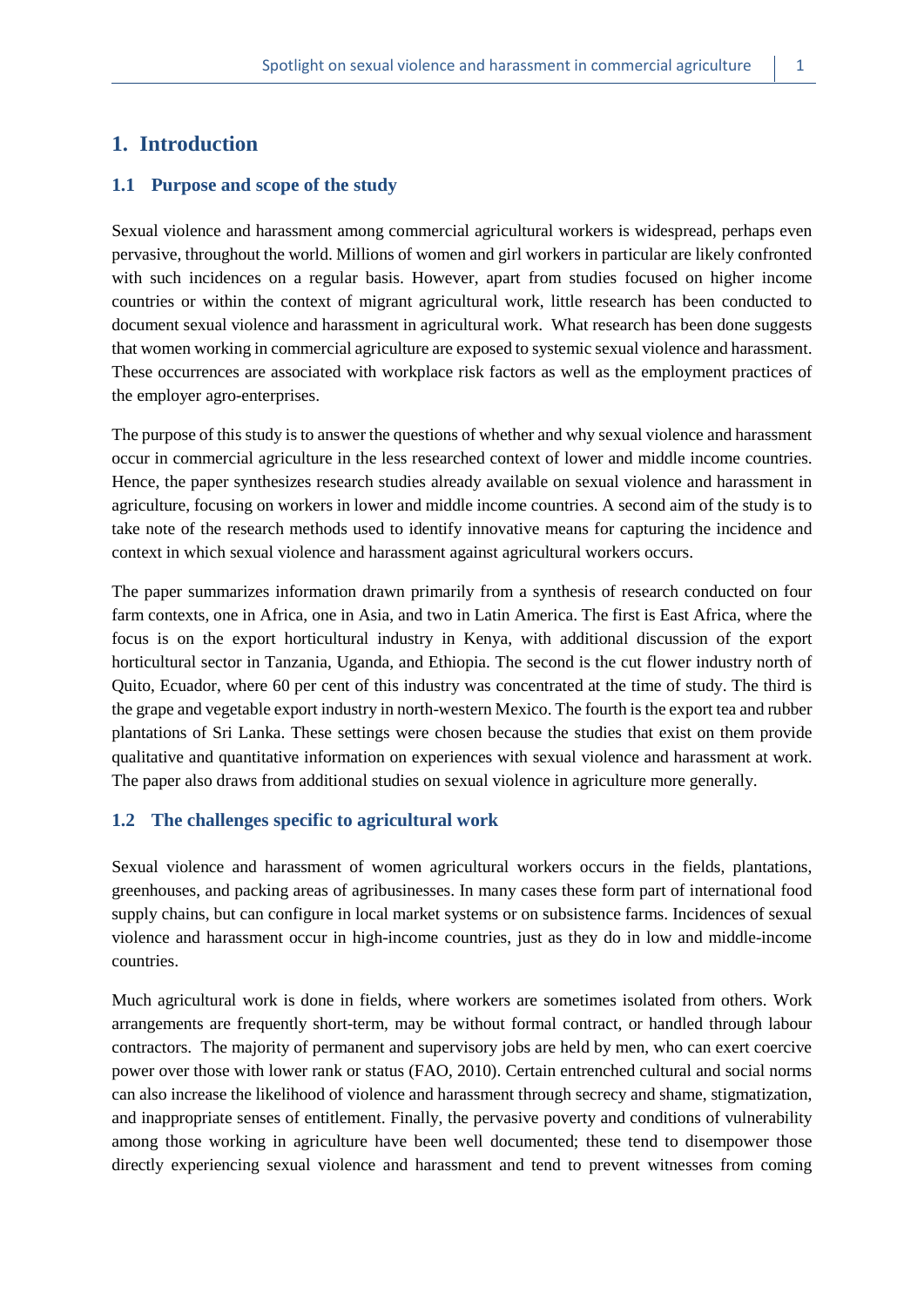# <span id="page-8-0"></span>**1. Introduction**

#### <span id="page-8-1"></span>**1.1 Purpose and scope of the study**

Sexual violence and harassment among commercial agricultural workers is widespread, perhaps even pervasive, throughout the world. Millions of women and girl workers in particular are likely confronted with such incidences on a regular basis. However, apart from studies focused on higher income countries or within the context of migrant agricultural work, little research has been conducted to document sexual violence and harassment in agricultural work. What research has been done suggests that women working in commercial agriculture are exposed to systemic sexual violence and harassment. These occurrences are associated with workplace risk factors as well as the employment practices of the employer agro-enterprises.

The purpose of this study is to answer the questions of whether and why sexual violence and harassment occur in commercial agriculture in the less researched context of lower and middle income countries. Hence, the paper synthesizes research studies already available on sexual violence and harassment in agriculture, focusing on workers in lower and middle income countries. A second aim of the study is to take note of the research methods used to identify innovative means for capturing the incidence and context in which sexual violence and harassment against agricultural workers occurs.

The paper summarizes information drawn primarily from a synthesis of research conducted on four farm contexts, one in Africa, one in Asia, and two in Latin America. The first is East Africa, where the focus is on the export horticultural industry in Kenya, with additional discussion of the export horticultural sector in Tanzania, Uganda, and Ethiopia. The second is the cut flower industry north of Quito, Ecuador, where 60 per cent of this industry was concentrated at the time of study. The third is the grape and vegetable export industry in north-western Mexico. The fourth is the export tea and rubber plantations of Sri Lanka. These settings were chosen because the studies that exist on them provide qualitative and quantitative information on experiences with sexual violence and harassment at work. The paper also draws from additional studies on sexual violence in agriculture more generally.

#### <span id="page-8-2"></span>**1.2 The challenges specific to agricultural work**

Sexual violence and harassment of women agricultural workers occurs in the fields, plantations, greenhouses, and packing areas of agribusinesses. In many cases these form part of international food supply chains, but can configure in local market systems or on subsistence farms. Incidences of sexual violence and harassment occur in high-income countries, just as they do in low and middle-income countries.

Much agricultural work is done in fields, where workers are sometimes isolated from others. Work arrangements are frequently short-term, may be without formal contract, or handled through labour contractors. The majority of permanent and supervisory jobs are held by men, who can exert coercive power over those with lower rank or status (FAO, 2010). Certain entrenched cultural and social norms can also increase the likelihood of violence and harassment through secrecy and shame, stigmatization, and inappropriate senses of entitlement. Finally, the pervasive poverty and conditions of vulnerability among those working in agriculture have been well documented; these tend to disempower those directly experiencing sexual violence and harassment and tend to prevent witnesses from coming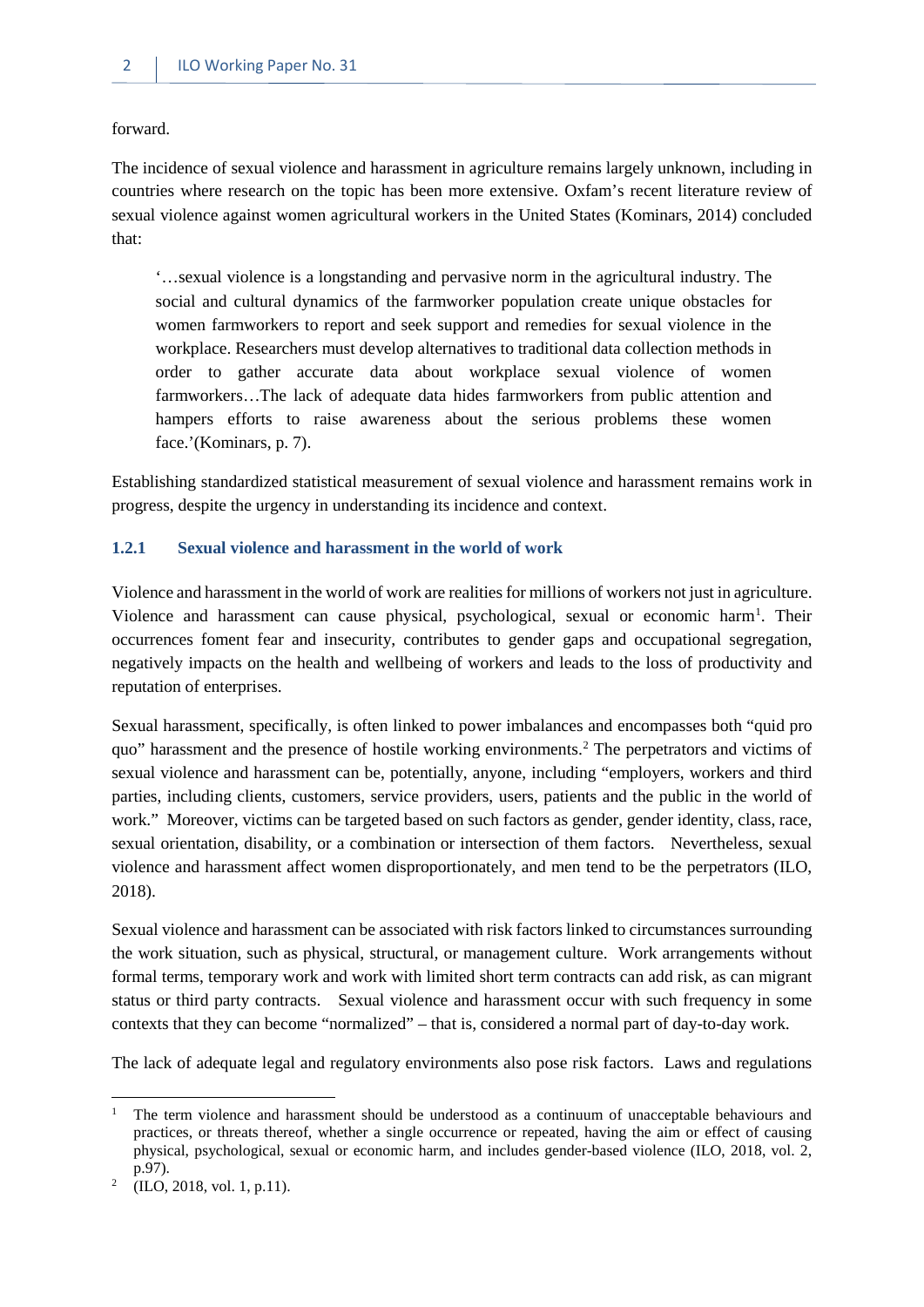forward.

The incidence of sexual violence and harassment in agriculture remains largely unknown, including in countries where research on the topic has been more extensive. Oxfam's recent literature review of sexual violence against women agricultural workers in the United States (Kominars, 2014) concluded that:

'…sexual violence is a longstanding and pervasive norm in the agricultural industry. The social and cultural dynamics of the farmworker population create unique obstacles for women farmworkers to report and seek support and remedies for sexual violence in the workplace. Researchers must develop alternatives to traditional data collection methods in order to gather accurate data about workplace sexual violence of women farmworkers…The lack of adequate data hides farmworkers from public attention and hampers efforts to raise awareness about the serious problems these women face.'(Kominars, p. 7).

Establishing standardized statistical measurement of sexual violence and harassment remains work in progress, despite the urgency in understanding its incidence and context.

#### <span id="page-9-0"></span>**1.2.1 Sexual violence and harassment in the world of work**

Violence and harassment in the world of work are realities for millions of workers not just in agriculture. Violence and harassment can cause physical, psychological, sexual or economic harm<sup>[1](#page-9-1)</sup>. Their occurrences foment fear and insecurity, contributes to gender gaps and occupational segregation, negatively impacts on the health and wellbeing of workers and leads to the loss of productivity and reputation of enterprises.

Sexual harassment, specifically, is often linked to power imbalances and encompasses both "quid pro quo" harassment and the presence of hostile working environments.[2](#page-9-2) The perpetrators and victims of sexual violence and harassment can be, potentially, anyone, including "employers, workers and third parties, including clients, customers, service providers, users, patients and the public in the world of work." Moreover, victims can be targeted based on such factors as gender, gender identity, class, race, sexual orientation, disability, or a combination or intersection of them factors. Nevertheless, sexual violence and harassment affect women disproportionately, and men tend to be the perpetrators (ILO, 2018).

Sexual violence and harassment can be associated with risk factors linked to circumstances surrounding the work situation, such as physical, structural, or management culture. Work arrangements without formal terms, temporary work and work with limited short term contracts can add risk, as can migrant status or third party contracts. Sexual violence and harassment occur with such frequency in some contexts that they can become "normalized" – that is, considered a normal part of day-to-day work.

The lack of adequate legal and regulatory environments also pose risk factors. Laws and regulations

 $\overline{\phantom{a}}$ 

<span id="page-9-1"></span><sup>1</sup> The term violence and harassment should be understood as a continuum of unacceptable behaviours and practices, or threats thereof, whether a single occurrence or repeated, having the aim or effect of causing physical, psychological, sexual or economic harm, and includes gender-based violence (ILO, 2018, vol. 2, p.97).

<span id="page-9-2"></span><sup>2</sup> (ILO, 2018, vol. 1, p.11).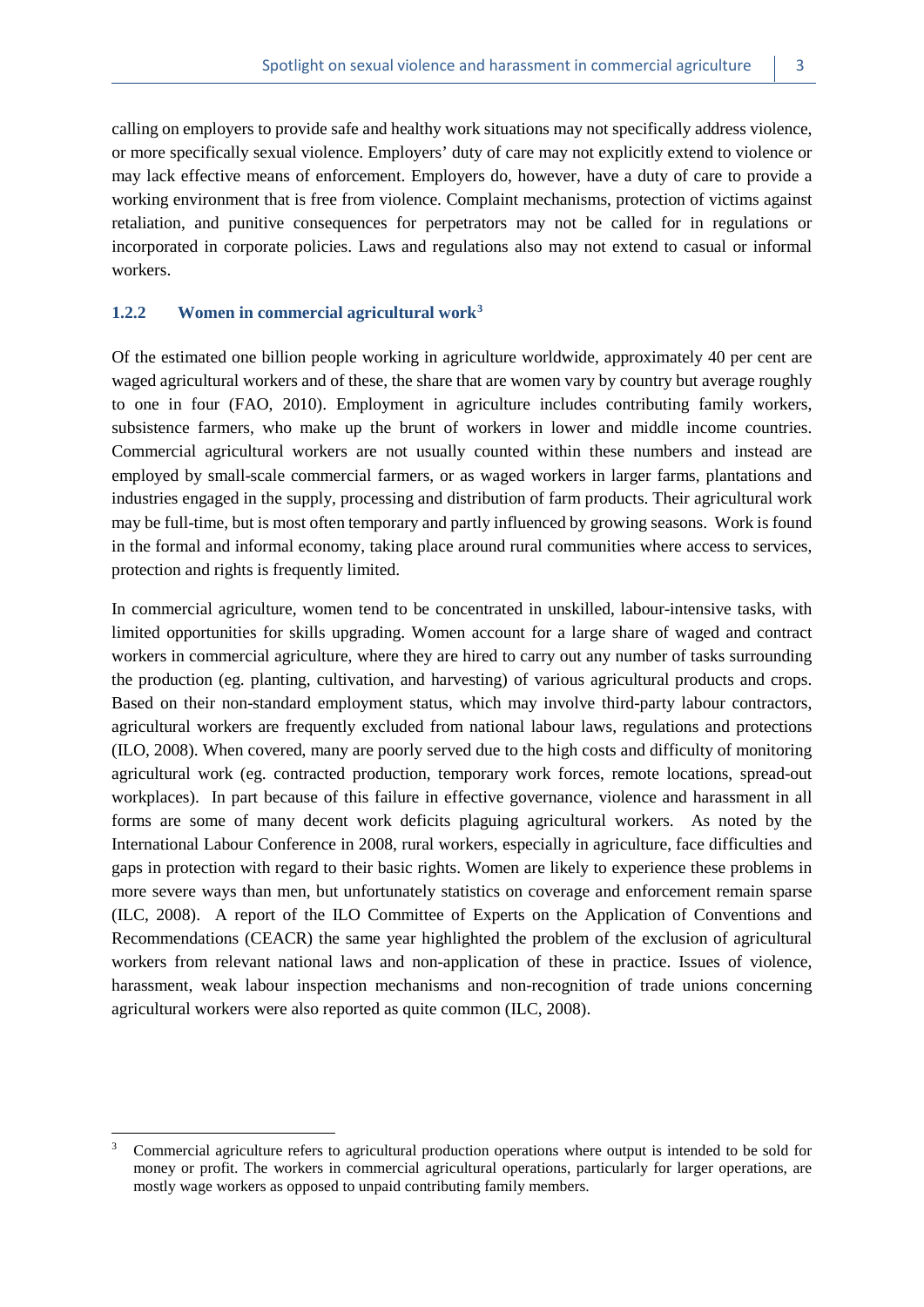calling on employers to provide safe and healthy work situations may not specifically address violence, or more specifically sexual violence. Employers' duty of care may not explicitly extend to violence or may lack effective means of enforcement. Employers do, however, have a duty of care to provide a working environment that is free from violence. Complaint mechanisms, protection of victims against retaliation, and punitive consequences for perpetrators may not be called for in regulations or incorporated in corporate policies. Laws and regulations also may not extend to casual or informal workers.

#### <span id="page-10-0"></span>**1.2.2 Women in commercial agricultural work[3](#page-10-1)**

**.** 

Of the estimated one billion people working in agriculture worldwide, approximately 40 per cent are waged agricultural workers and of these, the share that are women vary by country but average roughly to one in four (FAO, 2010). Employment in agriculture includes contributing family workers, subsistence farmers, who make up the brunt of workers in lower and middle income countries. Commercial agricultural workers are not usually counted within these numbers and instead are employed by small-scale commercial farmers, or as waged workers in larger farms, plantations and industries engaged in the supply, processing and distribution of farm products. Their agricultural work may be full-time, but is most often temporary and partly influenced by growing seasons. Work is found in the formal and informal economy, taking place around rural communities where access to services, protection and rights is frequently limited.

In commercial agriculture, women tend to be concentrated in unskilled, labour-intensive tasks, with limited opportunities for skills upgrading. Women account for a large share of waged and contract workers in commercial agriculture, where they are hired to carry out any number of tasks surrounding the production (eg. planting, cultivation, and harvesting) of various agricultural products and crops. Based on their non-standard employment status, which may involve third-party labour contractors, agricultural workers are frequently excluded from national labour laws, regulations and protections (ILO, 2008). When covered, many are poorly served due to the high costs and difficulty of monitoring agricultural work (eg. contracted production, temporary work forces, remote locations, spread-out workplaces). In part because of this failure in effective governance, violence and harassment in all forms are some of many decent work deficits plaguing agricultural workers. As noted by the International Labour Conference in 2008, rural workers, especially in agriculture, face difficulties and gaps in protection with regard to their basic rights. Women are likely to experience these problems in more severe ways than men, but unfortunately statistics on coverage and enforcement remain sparse (ILC, 2008). A report of the ILO Committee of Experts on the Application of Conventions and Recommendations (CEACR) the same year highlighted the problem of the exclusion of agricultural workers from relevant national laws and non-application of these in practice. Issues of violence, harassment, weak labour inspection mechanisms and non-recognition of trade unions concerning agricultural workers were also reported as quite common (ILC, 2008).

<span id="page-10-1"></span><sup>&</sup>lt;sup>3</sup> Commercial agriculture refers to agricultural production operations where output is intended to be sold for money or profit. The workers in commercial agricultural operations, particularly for larger operations, are mostly wage workers as opposed to unpaid contributing family members.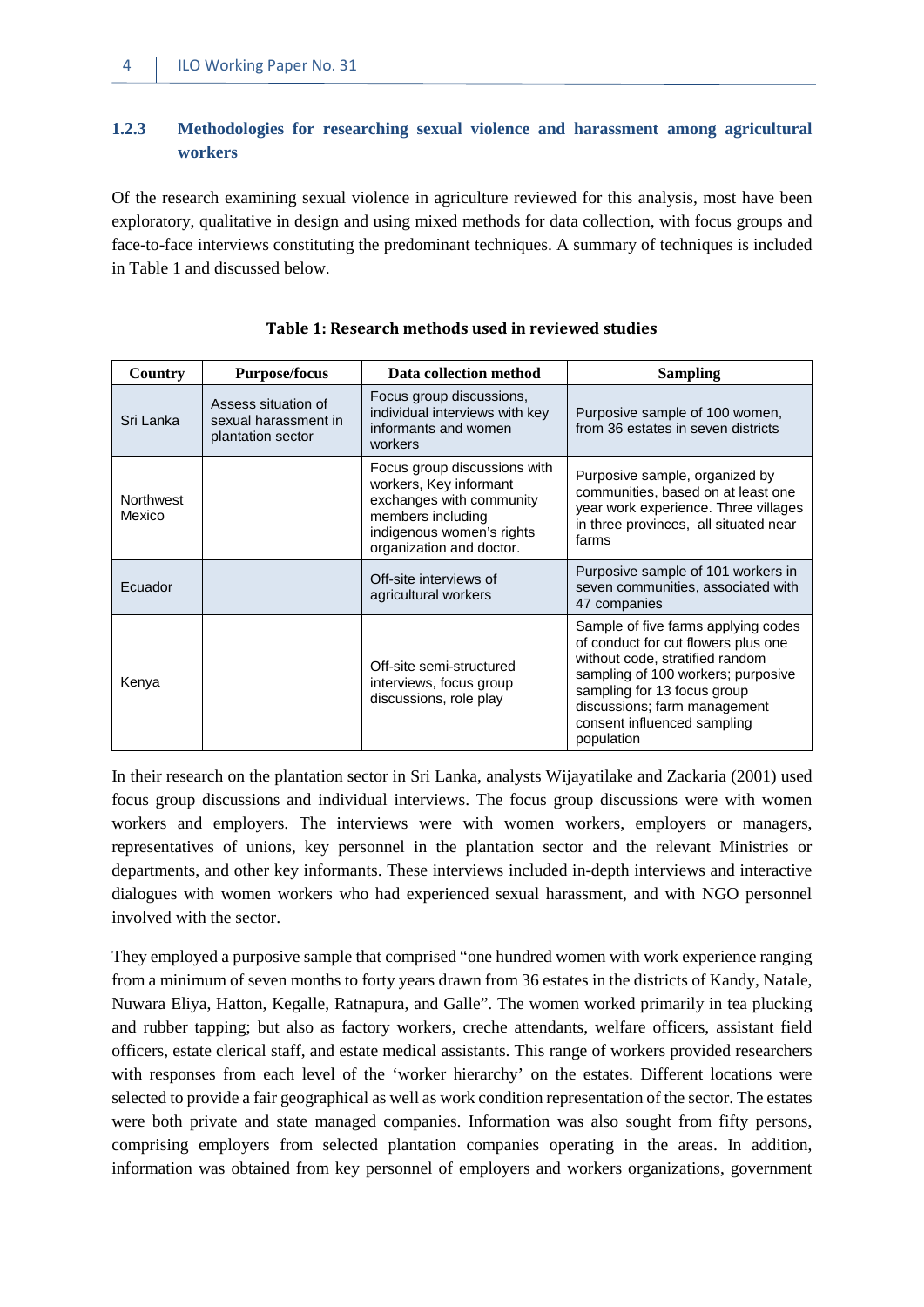#### <span id="page-11-0"></span>**1.2.3 Methodologies for researching sexual violence and harassment among agricultural workers**

Of the research examining sexual violence in agriculture reviewed for this analysis, most have been exploratory, qualitative in design and using mixed methods for data collection, with focus groups and face-to-face interviews constituting the predominant techniques. A summary of techniques is included in Table 1 and discussed below.

<span id="page-11-1"></span>

| Country                    | <b>Purpose/focus</b>                                             | Data collection method                                                                                                                                           | <b>Sampling</b>                                                                                                                                                                                                                                                 |
|----------------------------|------------------------------------------------------------------|------------------------------------------------------------------------------------------------------------------------------------------------------------------|-----------------------------------------------------------------------------------------------------------------------------------------------------------------------------------------------------------------------------------------------------------------|
| Sri Lanka                  | Assess situation of<br>sexual harassment in<br>plantation sector | Focus group discussions,<br>individual interviews with key<br>informants and women<br>workers                                                                    | Purposive sample of 100 women,<br>from 36 estates in seven districts                                                                                                                                                                                            |
| <b>Northwest</b><br>Mexico |                                                                  | Focus group discussions with<br>workers, Key informant<br>exchanges with community<br>members including<br>indigenous women's rights<br>organization and doctor. | Purposive sample, organized by<br>communities, based on at least one<br>year work experience. Three villages<br>in three provinces, all situated near<br>farms                                                                                                  |
| Ecuador                    |                                                                  | Off-site interviews of<br>agricultural workers                                                                                                                   | Purposive sample of 101 workers in<br>seven communities, associated with<br>47 companies                                                                                                                                                                        |
| Kenya                      |                                                                  | Off-site semi-structured<br>interviews, focus group<br>discussions, role play                                                                                    | Sample of five farms applying codes<br>of conduct for cut flowers plus one<br>without code, stratified random<br>sampling of 100 workers; purposive<br>sampling for 13 focus group<br>discussions; farm management<br>consent influenced sampling<br>population |

#### **Table 1: Research methods used in reviewed studies**

In their research on the plantation sector in Sri Lanka, analysts Wijayatilake and Zackaria (2001) used focus group discussions and individual interviews. The focus group discussions were with women workers and employers. The interviews were with women workers, employers or managers, representatives of unions, key personnel in the plantation sector and the relevant Ministries or departments, and other key informants. These interviews included in-depth interviews and interactive dialogues with women workers who had experienced sexual harassment, and with NGO personnel involved with the sector.

They employed a purposive sample that comprised "one hundred women with work experience ranging from a minimum of seven months to forty years drawn from 36 estates in the districts of Kandy, Natale, Nuwara Eliya, Hatton, Kegalle, Ratnapura, and Galle". The women worked primarily in tea plucking and rubber tapping; but also as factory workers, creche attendants, welfare officers, assistant field officers, estate clerical staff, and estate medical assistants. This range of workers provided researchers with responses from each level of the 'worker hierarchy' on the estates. Different locations were selected to provide a fair geographical as well as work condition representation of the sector. The estates were both private and state managed companies. Information was also sought from fifty persons, comprising employers from selected plantation companies operating in the areas. In addition, information was obtained from key personnel of employers and workers organizations, government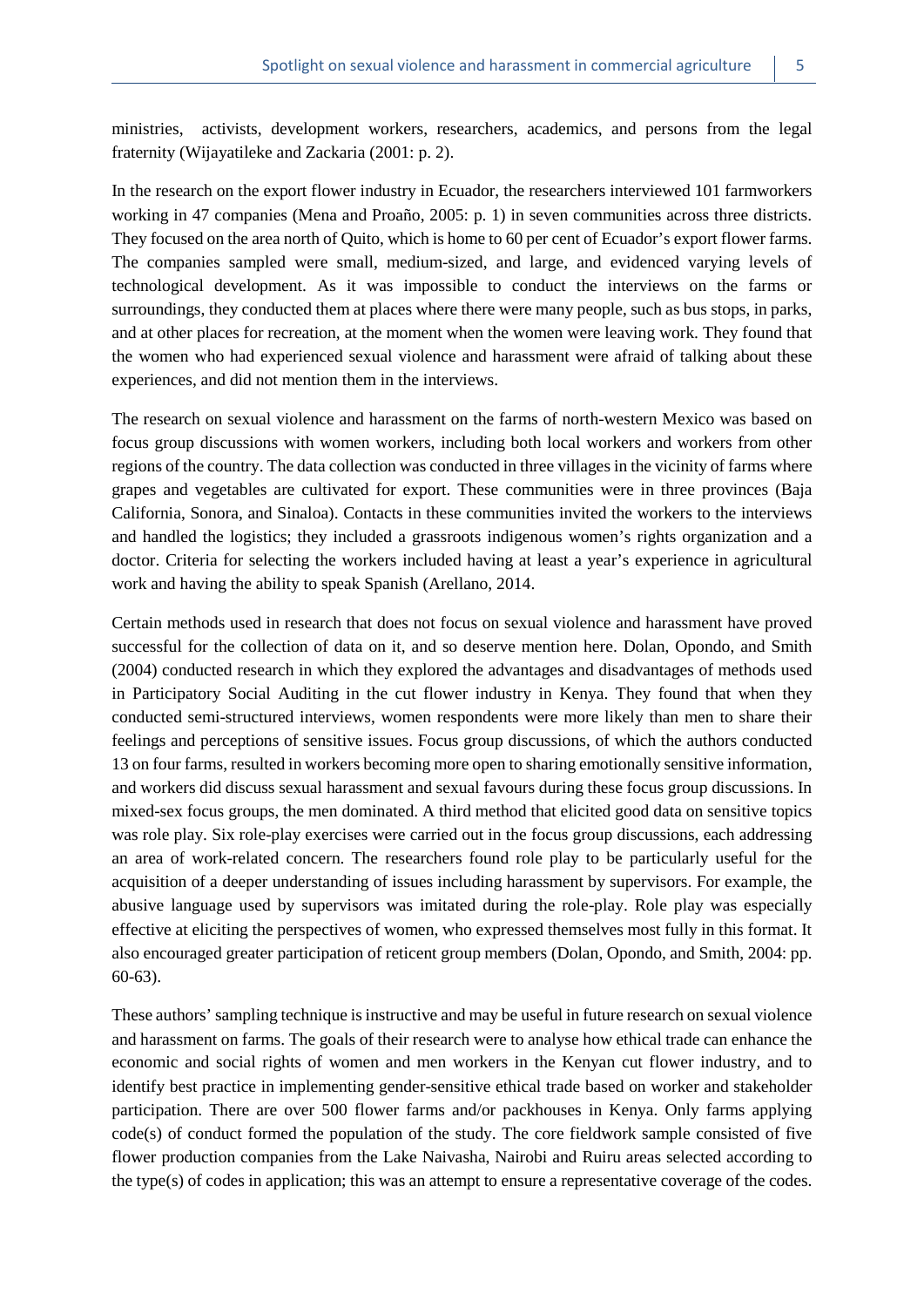ministries, activists, development workers, researchers, academics, and persons from the legal fraternity (Wijayatileke and Zackaria (2001: p. 2).

In the research on the export flower industry in Ecuador, the researchers interviewed 101 farmworkers working in 47 companies (Mena and Proaño, 2005: p. 1) in seven communities across three districts. They focused on the area north of Quito, which is home to 60 per cent of Ecuador's export flower farms. The companies sampled were small, medium-sized, and large, and evidenced varying levels of technological development. As it was impossible to conduct the interviews on the farms or surroundings, they conducted them at places where there were many people, such as bus stops, in parks, and at other places for recreation, at the moment when the women were leaving work. They found that the women who had experienced sexual violence and harassment were afraid of talking about these experiences, and did not mention them in the interviews.

The research on sexual violence and harassment on the farms of north-western Mexico was based on focus group discussions with women workers, including both local workers and workers from other regions of the country. The data collection was conducted in three villages in the vicinity of farms where grapes and vegetables are cultivated for export. These communities were in three provinces (Baja California, Sonora, and Sinaloa). Contacts in these communities invited the workers to the interviews and handled the logistics; they included a grassroots indigenous women's rights organization and a doctor. Criteria for selecting the workers included having at least a year's experience in agricultural work and having the ability to speak Spanish (Arellano, 2014.

Certain methods used in research that does not focus on sexual violence and harassment have proved successful for the collection of data on it, and so deserve mention here. Dolan, Opondo, and Smith (2004) conducted research in which they explored the advantages and disadvantages of methods used in Participatory Social Auditing in the cut flower industry in Kenya. They found that when they conducted semi-structured interviews, women respondents were more likely than men to share their feelings and perceptions of sensitive issues. Focus group discussions, of which the authors conducted 13 on four farms, resulted in workers becoming more open to sharing emotionally sensitive information, and workers did discuss sexual harassment and sexual favours during these focus group discussions. In mixed-sex focus groups, the men dominated. A third method that elicited good data on sensitive topics was role play. Six role-play exercises were carried out in the focus group discussions, each addressing an area of work-related concern. The researchers found role play to be particularly useful for the acquisition of a deeper understanding of issues including harassment by supervisors. For example, the abusive language used by supervisors was imitated during the role-play. Role play was especially effective at eliciting the perspectives of women, who expressed themselves most fully in this format. It also encouraged greater participation of reticent group members (Dolan, Opondo, and Smith, 2004: pp. 60-63).

These authors' sampling technique is instructive and may be useful in future research on sexual violence and harassment on farms. The goals of their research were to analyse how ethical trade can enhance the economic and social rights of women and men workers in the Kenyan cut flower industry, and to identify best practice in implementing gender-sensitive ethical trade based on worker and stakeholder participation. There are over 500 flower farms and/or packhouses in Kenya. Only farms applying  $code(s)$  of conduct formed the population of the study. The core fieldwork sample consisted of five flower production companies from the Lake Naivasha, Nairobi and Ruiru areas selected according to the type(s) of codes in application; this was an attempt to ensure a representative coverage of the codes.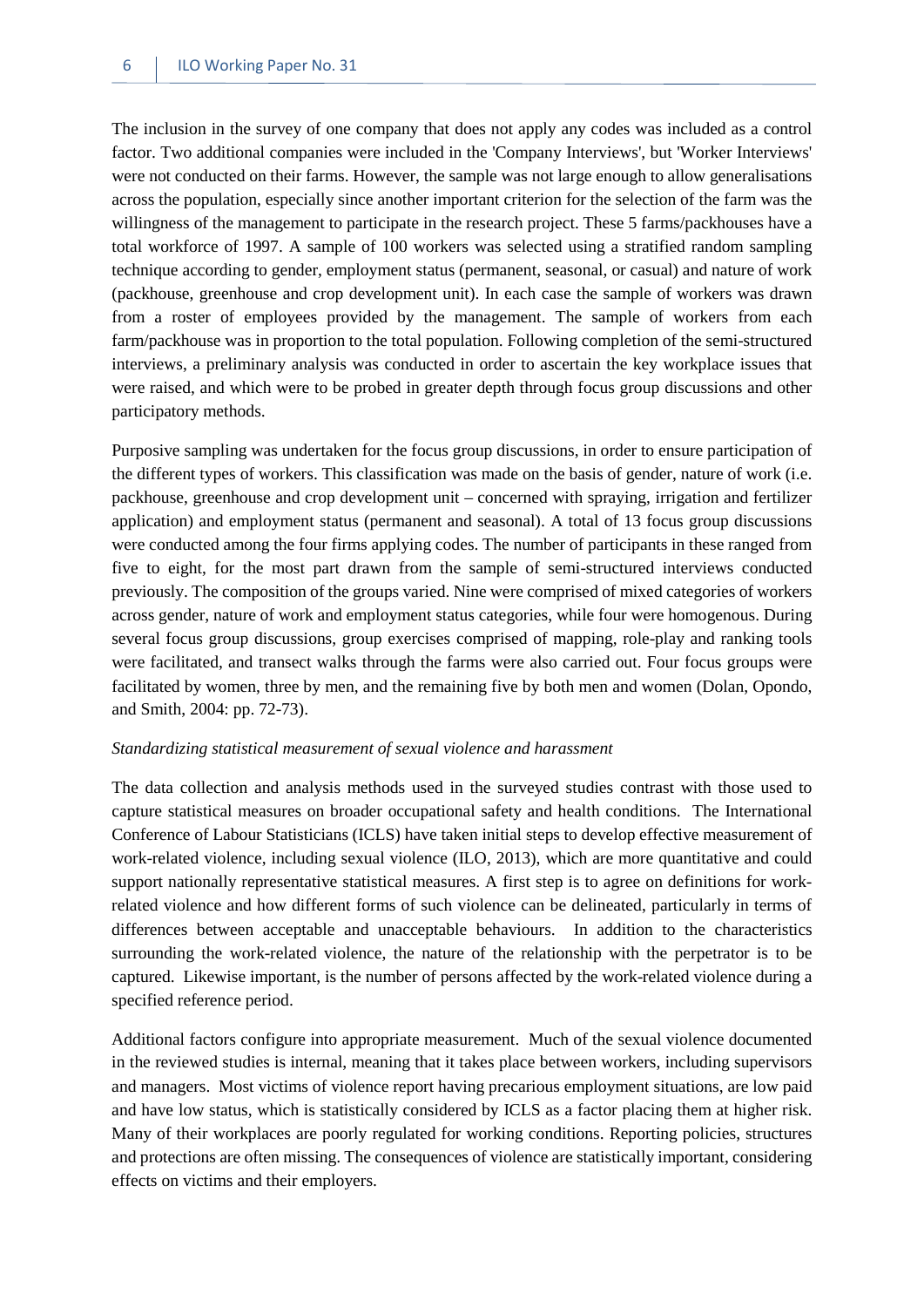The inclusion in the survey of one company that does not apply any codes was included as a control factor. Two additional companies were included in the 'Company Interviews', but 'Worker Interviews' were not conducted on their farms. However, the sample was not large enough to allow generalisations across the population, especially since another important criterion for the selection of the farm was the willingness of the management to participate in the research project. These 5 farms/packhouses have a total workforce of 1997. A sample of 100 workers was selected using a stratified random sampling technique according to gender, employment status (permanent, seasonal, or casual) and nature of work (packhouse, greenhouse and crop development unit). In each case the sample of workers was drawn from a roster of employees provided by the management. The sample of workers from each farm/packhouse was in proportion to the total population. Following completion of the semi-structured interviews, a preliminary analysis was conducted in order to ascertain the key workplace issues that were raised, and which were to be probed in greater depth through focus group discussions and other participatory methods.

Purposive sampling was undertaken for the focus group discussions, in order to ensure participation of the different types of workers. This classification was made on the basis of gender, nature of work (i.e. packhouse, greenhouse and crop development unit – concerned with spraying, irrigation and fertilizer application) and employment status (permanent and seasonal). A total of 13 focus group discussions were conducted among the four firms applying codes. The number of participants in these ranged from five to eight, for the most part drawn from the sample of semi-structured interviews conducted previously. The composition of the groups varied. Nine were comprised of mixed categories of workers across gender, nature of work and employment status categories, while four were homogenous. During several focus group discussions, group exercises comprised of mapping, role-play and ranking tools were facilitated, and transect walks through the farms were also carried out. Four focus groups were facilitated by women, three by men, and the remaining five by both men and women (Dolan, Opondo, and Smith, 2004: pp. 72-73).

#### *Standardizing statistical measurement of sexual violence and harassment*

The data collection and analysis methods used in the surveyed studies contrast with those used to capture statistical measures on broader occupational safety and health conditions. The International Conference of Labour Statisticians (ICLS) have taken initial steps to develop effective measurement of work-related violence, including sexual violence (ILO, 2013), which are more quantitative and could support nationally representative statistical measures. A first step is to agree on definitions for workrelated violence and how different forms of such violence can be delineated, particularly in terms of differences between acceptable and unacceptable behaviours. In addition to the characteristics surrounding the work-related violence, the nature of the relationship with the perpetrator is to be captured. Likewise important, is the number of persons affected by the work-related violence during a specified reference period.

Additional factors configure into appropriate measurement. Much of the sexual violence documented in the reviewed studies is internal, meaning that it takes place between workers, including supervisors and managers. Most victims of violence report having precarious employment situations, are low paid and have low status, which is statistically considered by ICLS as a factor placing them at higher risk. Many of their workplaces are poorly regulated for working conditions. Reporting policies, structures and protections are often missing. The consequences of violence are statistically important, considering effects on victims and their employers.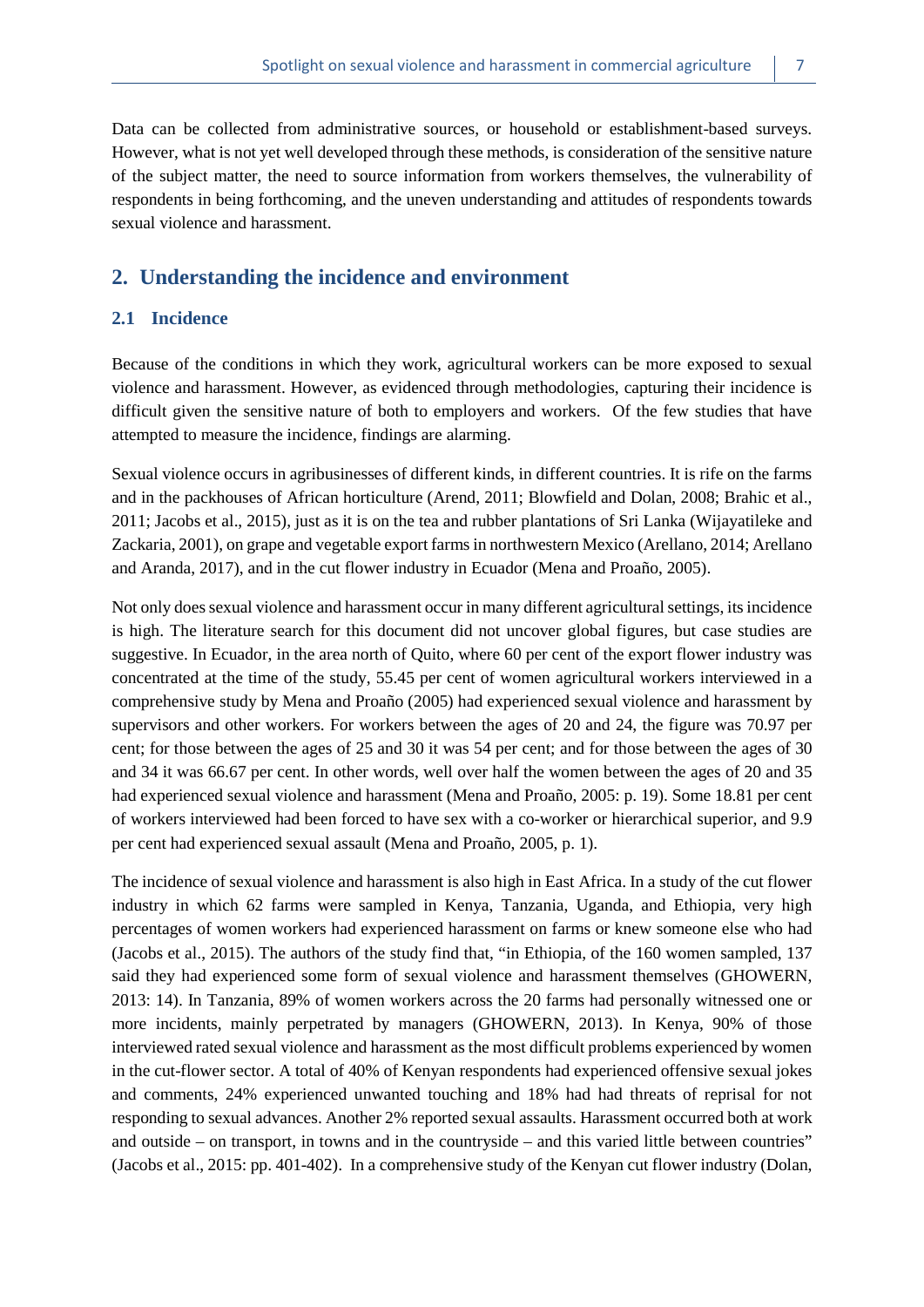Data can be collected from administrative sources, or household or establishment-based surveys. However, what is not yet well developed through these methods, is consideration of the sensitive nature of the subject matter, the need to source information from workers themselves, the vulnerability of respondents in being forthcoming, and the uneven understanding and attitudes of respondents towards sexual violence and harassment.

# <span id="page-14-0"></span>**2. Understanding the incidence and environment**

#### <span id="page-14-1"></span>**2.1 Incidence**

Because of the conditions in which they work, agricultural workers can be more exposed to sexual violence and harassment. However, as evidenced through methodologies, capturing their incidence is difficult given the sensitive nature of both to employers and workers. Of the few studies that have attempted to measure the incidence, findings are alarming.

Sexual violence occurs in agribusinesses of different kinds, in different countries. It is rife on the farms and in the packhouses of African horticulture (Arend, 2011; Blowfield and Dolan, 2008; Brahic et al., 2011; Jacobs et al., 2015), just as it is on the tea and rubber plantations of Sri Lanka (Wijayatileke and Zackaria, 2001), on grape and vegetable export farms in northwestern Mexico (Arellano, 2014; Arellano and Aranda, 2017), and in the cut flower industry in Ecuador (Mena and Proaño, 2005).

Not only does sexual violence and harassment occur in many different agricultural settings, its incidence is high. The literature search for this document did not uncover global figures, but case studies are suggestive. In Ecuador, in the area north of Quito, where 60 per cent of the export flower industry was concentrated at the time of the study, 55.45 per cent of women agricultural workers interviewed in a comprehensive study by Mena and Proaño (2005) had experienced sexual violence and harassment by supervisors and other workers. For workers between the ages of 20 and 24, the figure was 70.97 per cent; for those between the ages of 25 and 30 it was 54 per cent; and for those between the ages of 30 and 34 it was 66.67 per cent. In other words, well over half the women between the ages of 20 and 35 had experienced sexual violence and harassment (Mena and Proaño, 2005: p. 19). Some 18.81 per cent of workers interviewed had been forced to have sex with a co-worker or hierarchical superior, and 9.9 per cent had experienced sexual assault (Mena and Proaño, 2005, p. 1).

The incidence of sexual violence and harassment is also high in East Africa. In a study of the cut flower industry in which 62 farms were sampled in Kenya, Tanzania, Uganda, and Ethiopia, very high percentages of women workers had experienced harassment on farms or knew someone else who had (Jacobs et al., 2015). The authors of the study find that, "in Ethiopia, of the 160 women sampled, 137 said they had experienced some form of sexual violence and harassment themselves (GHOWERN, 2013: 14). In Tanzania, 89% of women workers across the 20 farms had personally witnessed one or more incidents, mainly perpetrated by managers (GHOWERN, 2013). In Kenya, 90% of those interviewed rated sexual violence and harassment as the most difficult problems experienced by women in the cut-flower sector. A total of 40% of Kenyan respondents had experienced offensive sexual jokes and comments, 24% experienced unwanted touching and 18% had had threats of reprisal for not responding to sexual advances. Another 2% reported sexual assaults. Harassment occurred both at work and outside – on transport, in towns and in the countryside – and this varied little between countries" (Jacobs et al., 2015: pp. 401-402). In a comprehensive study of the Kenyan cut flower industry (Dolan,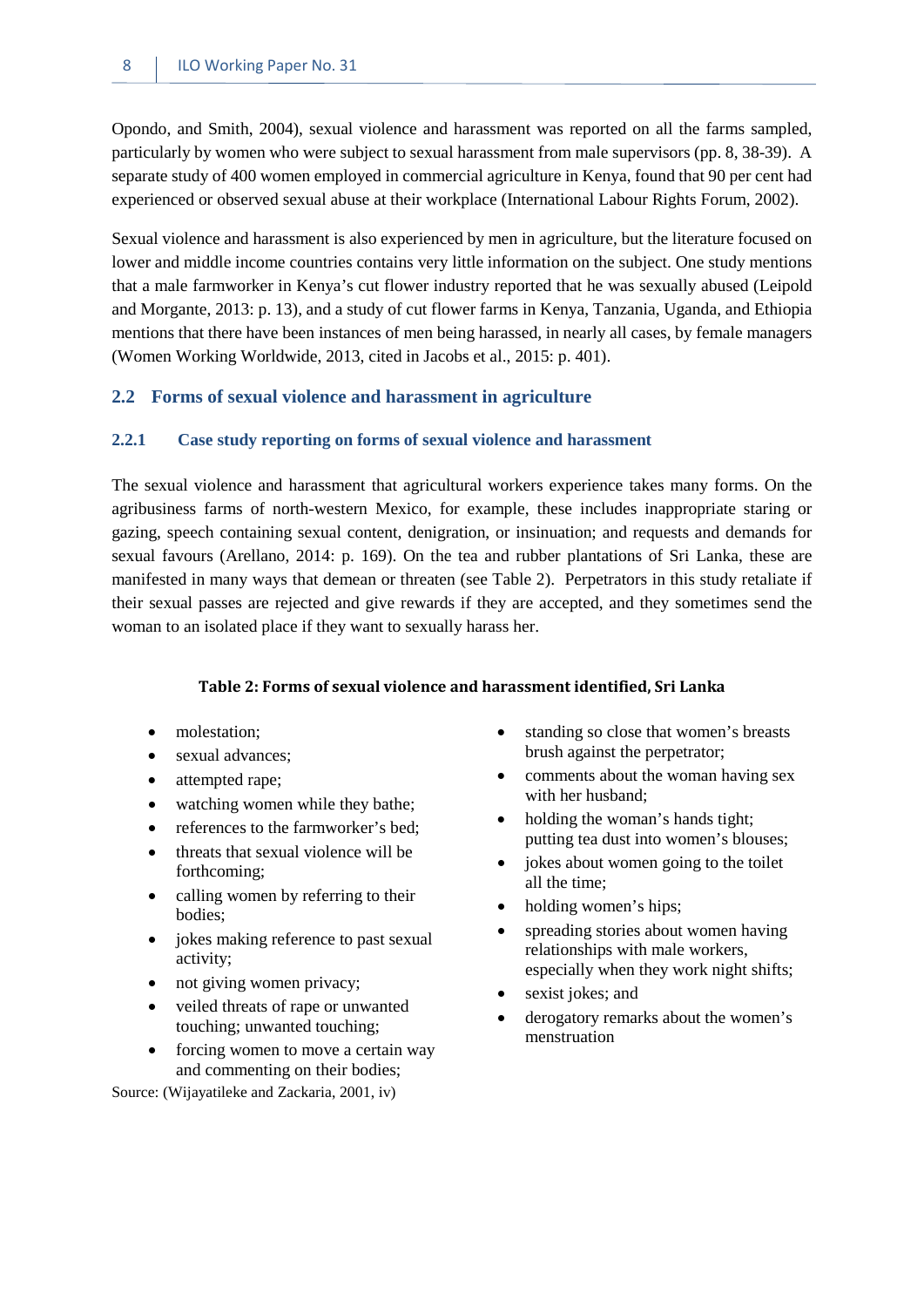Opondo, and Smith, 2004), sexual violence and harassment was reported on all the farms sampled, particularly by women who were subject to sexual harassment from male supervisors (pp. 8, 38-39). A separate study of 400 women employed in commercial agriculture in Kenya, found that 90 per cent had experienced or observed sexual abuse at their workplace (International Labour Rights Forum, 2002).

Sexual violence and harassment is also experienced by men in agriculture, but the literature focused on lower and middle income countries contains very little information on the subject. One study mentions that a male farmworker in Kenya's cut flower industry reported that he was sexually abused (Leipold and Morgante, 2013: p. 13), and a study of cut flower farms in Kenya, Tanzania, Uganda, and Ethiopia mentions that there have been instances of men being harassed, in nearly all cases, by female managers (Women Working Worldwide, 2013, cited in Jacobs et al., 2015: p. 401).

#### <span id="page-15-1"></span><span id="page-15-0"></span>**2.2 Forms of sexual violence and harassment in agriculture**

#### **2.2.1 Case study reporting on forms of sexual violence and harassment**

The sexual violence and harassment that agricultural workers experience takes many forms. On the agribusiness farms of north-western Mexico, for example, these includes inappropriate staring or gazing, speech containing sexual content, denigration, or insinuation; and requests and demands for sexual favours (Arellano, 2014: p. 169). On the tea and rubber plantations of Sri Lanka, these are manifested in many ways that demean or threaten (see Table 2). Perpetrators in this study retaliate if their sexual passes are rejected and give rewards if they are accepted, and they sometimes send the woman to an isolated place if they want to sexually harass her.

#### **Table 2: Forms of sexual violence and harassment identified, Sri Lanka**

- <span id="page-15-2"></span>• molestation:
- sexual advances;
- attempted rape;
- watching women while they bathe;
- references to the farmworker's bed;
- threats that sexual violence will be forthcoming;
- calling women by referring to their bodies;
- jokes making reference to past sexual activity;
- not giving women privacy;
- veiled threats of rape or unwanted touching; unwanted touching;
- forcing women to move a certain way and commenting on their bodies;

Source: (Wijayatileke and Zackaria, 2001, iv)

- standing so close that women's breasts brush against the perpetrator;
- comments about the woman having sex with her husband;
- holding the woman's hands tight; putting tea dust into women's blouses;
- jokes about women going to the toilet all the time;
- holding women's hips;
- spreading stories about women having relationships with male workers, especially when they work night shifts;
- sexist jokes; and
- derogatory remarks about the women's menstruation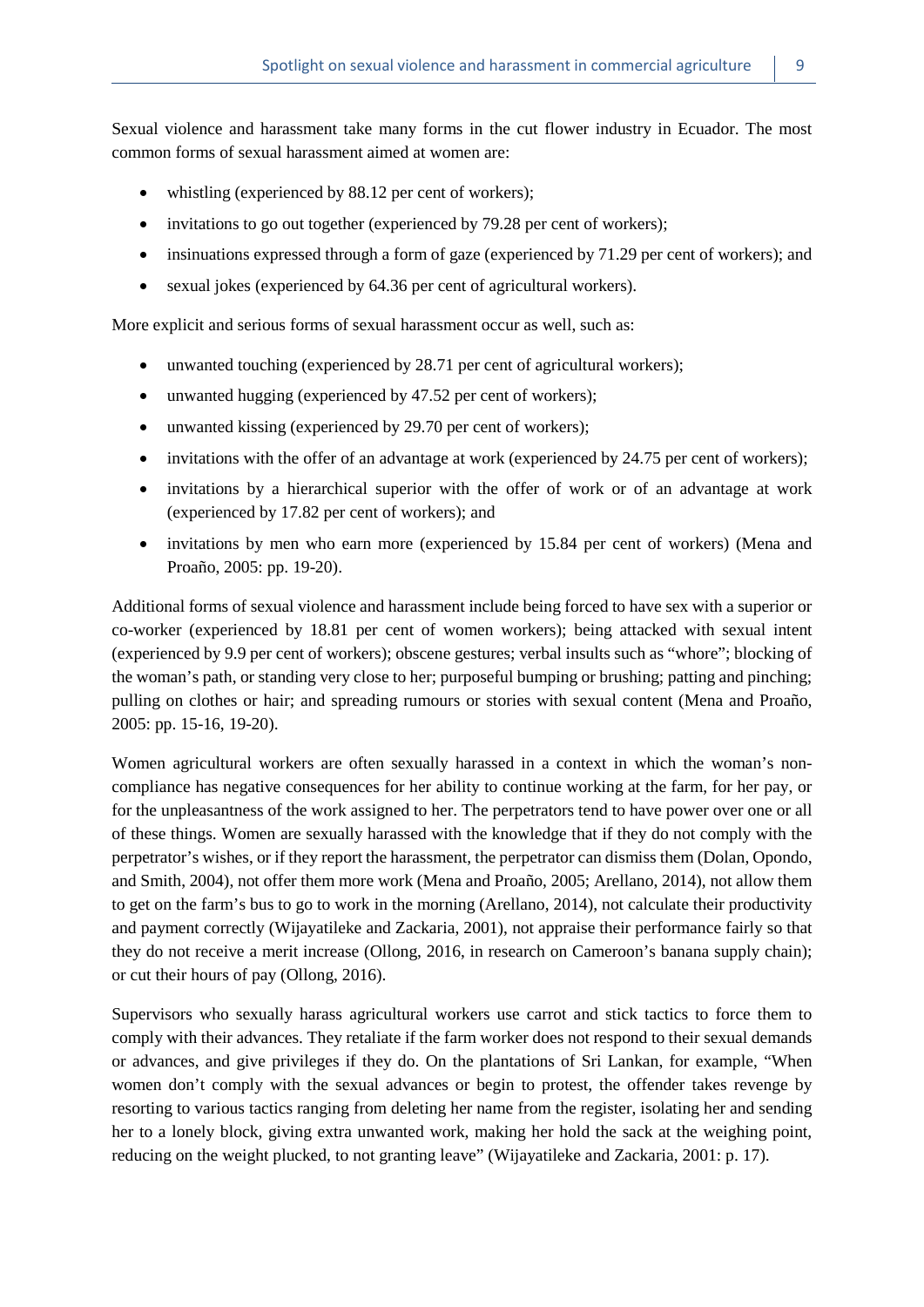Sexual violence and harassment take many forms in the cut flower industry in Ecuador. The most common forms of sexual harassment aimed at women are:

- whistling (experienced by 88.12 per cent of workers);
- invitations to go out together (experienced by 79.28 per cent of workers);
- insinuations expressed through a form of gaze (experienced by 71.29 per cent of workers); and
- sexual jokes (experienced by 64.36 per cent of agricultural workers).

More explicit and serious forms of sexual harassment occur as well, such as:

- unwanted touching (experienced by 28.71 per cent of agricultural workers);
- unwanted hugging (experienced by 47.52 per cent of workers);
- unwanted kissing (experienced by 29.70 per cent of workers);
- invitations with the offer of an advantage at work (experienced by 24.75 per cent of workers);
- invitations by a hierarchical superior with the offer of work or of an advantage at work (experienced by 17.82 per cent of workers); and
- invitations by men who earn more (experienced by 15.84 per cent of workers) (Mena and Proaño, 2005: pp. 19-20).

Additional forms of sexual violence and harassment include being forced to have sex with a superior or co-worker (experienced by 18.81 per cent of women workers); being attacked with sexual intent (experienced by 9.9 per cent of workers); obscene gestures; verbal insults such as "whore"; blocking of the woman's path, or standing very close to her; purposeful bumping or brushing; patting and pinching; pulling on clothes or hair; and spreading rumours or stories with sexual content (Mena and Proaño, 2005: pp. 15-16, 19-20).

Women agricultural workers are often sexually harassed in a context in which the woman's noncompliance has negative consequences for her ability to continue working at the farm, for her pay, or for the unpleasantness of the work assigned to her. The perpetrators tend to have power over one or all of these things. Women are sexually harassed with the knowledge that if they do not comply with the perpetrator's wishes, or if they report the harassment, the perpetrator can dismiss them (Dolan, Opondo, and Smith, 2004), not offer them more work (Mena and Proaño, 2005; Arellano, 2014), not allow them to get on the farm's bus to go to work in the morning (Arellano, 2014), not calculate their productivity and payment correctly (Wijayatileke and Zackaria, 2001), not appraise their performance fairly so that they do not receive a merit increase (Ollong, 2016, in research on Cameroon's banana supply chain); or cut their hours of pay (Ollong, 2016).

Supervisors who sexually harass agricultural workers use carrot and stick tactics to force them to comply with their advances. They retaliate if the farm worker does not respond to their sexual demands or advances, and give privileges if they do. On the plantations of Sri Lankan, for example, "When women don't comply with the sexual advances or begin to protest, the offender takes revenge by resorting to various tactics ranging from deleting her name from the register, isolating her and sending her to a lonely block, giving extra unwanted work, making her hold the sack at the weighing point, reducing on the weight plucked, to not granting leave" (Wijayatileke and Zackaria, 2001: p. 17).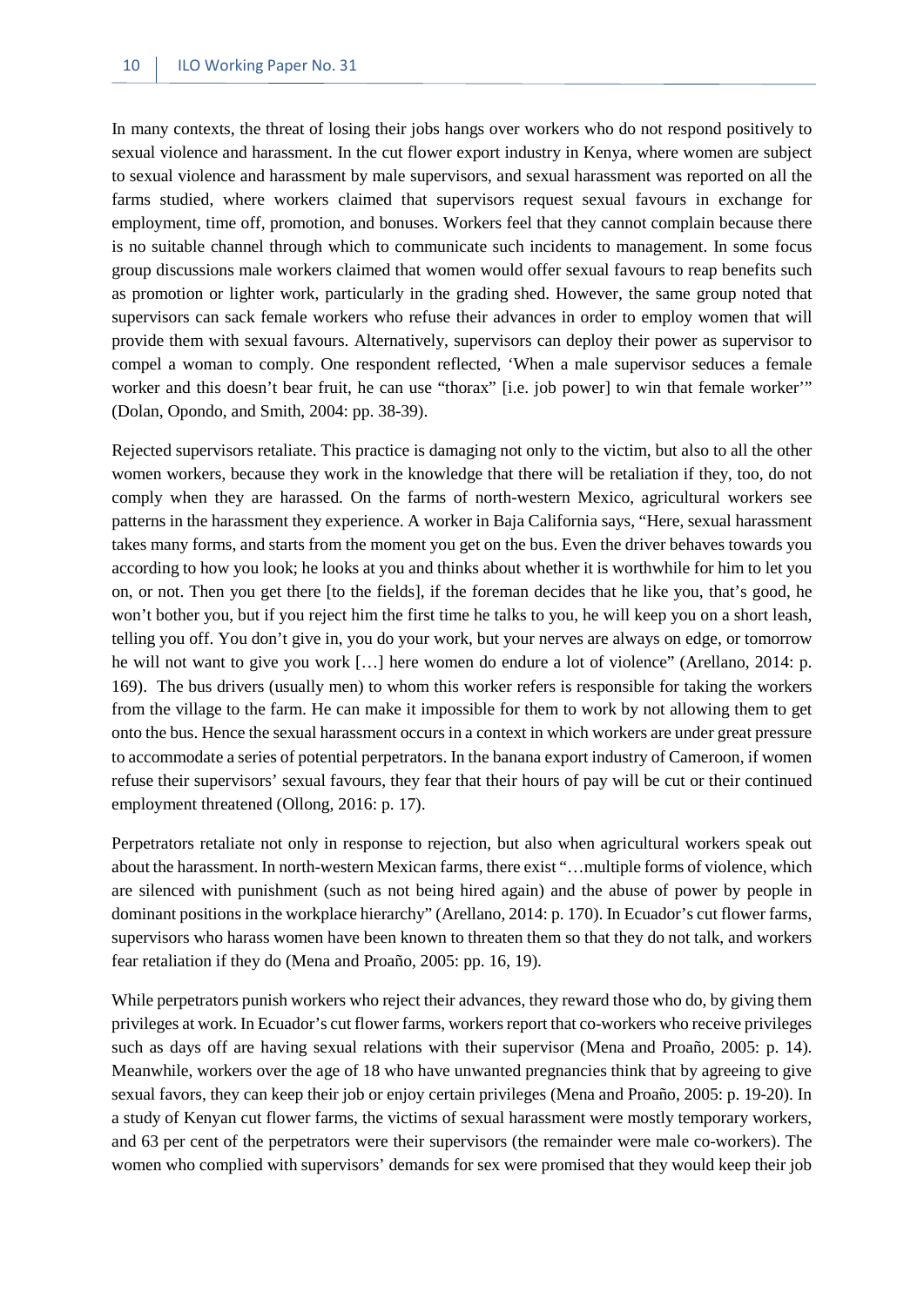In many contexts, the threat of losing their jobs hangs over workers who do not respond positively to sexual violence and harassment. In the cut flower export industry in Kenya, where women are subject to sexual violence and harassment by male supervisors, and sexual harassment was reported on all the farms studied, where workers claimed that supervisors request sexual favours in exchange for employment, time off, promotion, and bonuses. Workers feel that they cannot complain because there is no suitable channel through which to communicate such incidents to management. In some focus group discussions male workers claimed that women would offer sexual favours to reap benefits such as promotion or lighter work, particularly in the grading shed. However, the same group noted that supervisors can sack female workers who refuse their advances in order to employ women that will provide them with sexual favours. Alternatively, supervisors can deploy their power as supervisor to compel a woman to comply. One respondent reflected, 'When a male supervisor seduces a female worker and this doesn't bear fruit, he can use "thorax" [i.e. job power] to win that female worker" (Dolan, Opondo, and Smith, 2004: pp. 38-39).

Rejected supervisors retaliate. This practice is damaging not only to the victim, but also to all the other women workers, because they work in the knowledge that there will be retaliation if they, too, do not comply when they are harassed. On the farms of north-western Mexico, agricultural workers see patterns in the harassment they experience. A worker in Baja California says, "Here, sexual harassment takes many forms, and starts from the moment you get on the bus. Even the driver behaves towards you according to how you look; he looks at you and thinks about whether it is worthwhile for him to let you on, or not. Then you get there [to the fields], if the foreman decides that he like you, that's good, he won't bother you, but if you reject him the first time he talks to you, he will keep you on a short leash, telling you off. You don't give in, you do your work, but your nerves are always on edge, or tomorrow he will not want to give you work […] here women do endure a lot of violence" (Arellano, 2014: p. 169). The bus drivers (usually men) to whom this worker refers is responsible for taking the workers from the village to the farm. He can make it impossible for them to work by not allowing them to get onto the bus. Hence the sexual harassment occurs in a context in which workers are under great pressure to accommodate a series of potential perpetrators. In the banana export industry of Cameroon, if women refuse their supervisors' sexual favours, they fear that their hours of pay will be cut or their continued employment threatened (Ollong, 2016: p. 17).

Perpetrators retaliate not only in response to rejection, but also when agricultural workers speak out about the harassment. In north-western Mexican farms, there exist "…multiple forms of violence, which are silenced with punishment (such as not being hired again) and the abuse of power by people in dominant positions in the workplace hierarchy" (Arellano, 2014: p. 170). In Ecuador's cut flower farms, supervisors who harass women have been known to threaten them so that they do not talk, and workers fear retaliation if they do (Mena and Proaño, 2005: pp. 16, 19).

While perpetrators punish workers who reject their advances, they reward those who do, by giving them privileges at work. In Ecuador's cut flower farms, workers report that co-workers who receive privileges such as days off are having sexual relations with their supervisor (Mena and Proaño, 2005: p. 14). Meanwhile, workers over the age of 18 who have unwanted pregnancies think that by agreeing to give sexual favors, they can keep their job or enjoy certain privileges (Mena and Proaño, 2005: p. 19-20). In a study of Kenyan cut flower farms, the victims of sexual harassment were mostly temporary workers, and 63 per cent of the perpetrators were their supervisors (the remainder were male co-workers). The women who complied with supervisors' demands for sex were promised that they would keep their job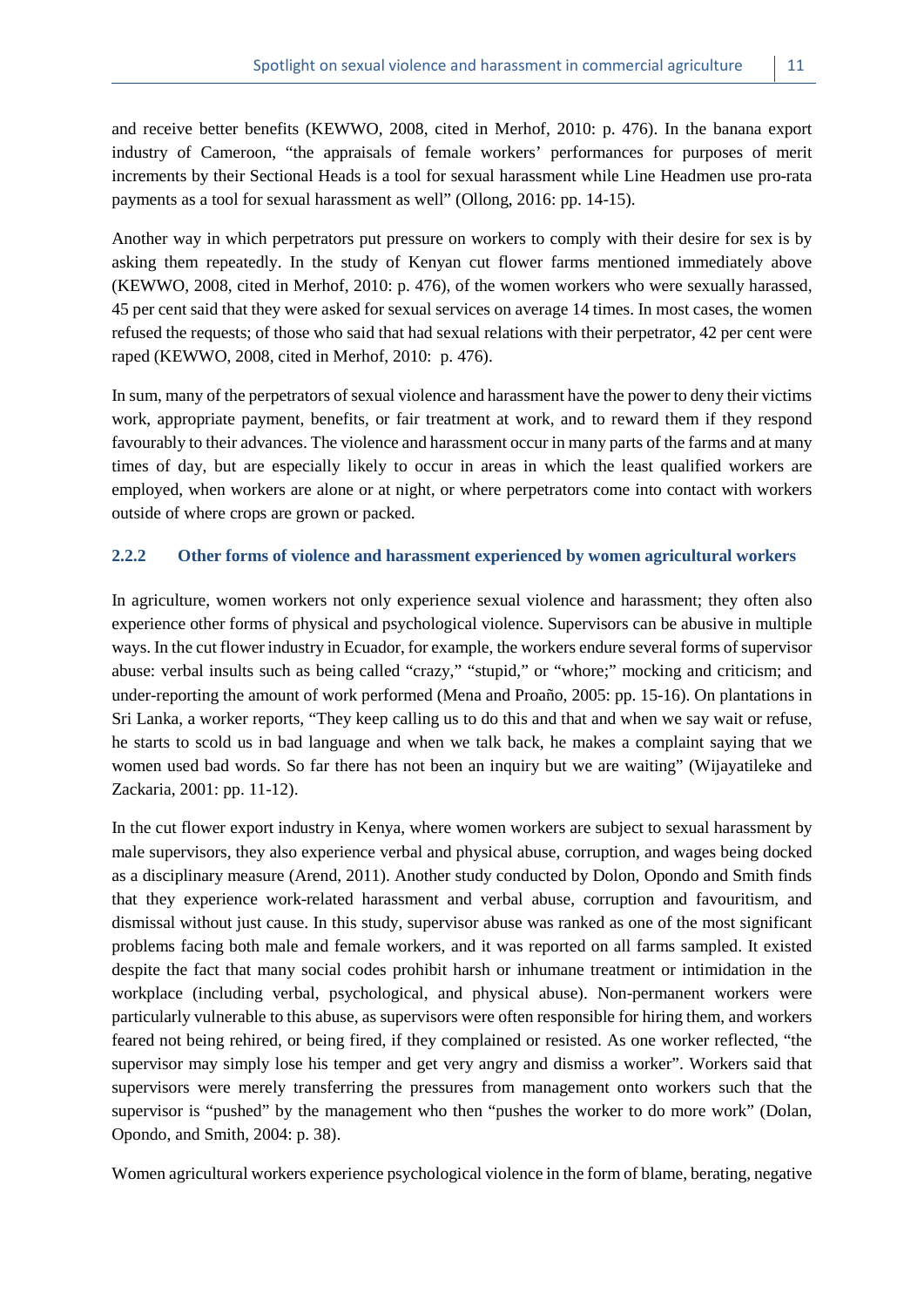and receive better benefits (KEWWO, 2008, cited in Merhof, 2010: p. 476). In the banana export industry of Cameroon, "the appraisals of female workers' performances for purposes of merit increments by their Sectional Heads is a tool for sexual harassment while Line Headmen use pro-rata payments as a tool for sexual harassment as well" (Ollong, 2016: pp. 14-15).

Another way in which perpetrators put pressure on workers to comply with their desire for sex is by asking them repeatedly. In the study of Kenyan cut flower farms mentioned immediately above (KEWWO, 2008, cited in Merhof, 2010: p. 476), of the women workers who were sexually harassed, 45 per cent said that they were asked for sexual services on average 14 times. In most cases, the women refused the requests; of those who said that had sexual relations with their perpetrator, 42 per cent were raped (KEWWO, 2008, cited in Merhof, 2010: p. 476).

In sum, many of the perpetrators of sexual violence and harassment have the power to deny their victims work, appropriate payment, benefits, or fair treatment at work, and to reward them if they respond favourably to their advances. The violence and harassment occur in many parts of the farms and at many times of day, but are especially likely to occur in areas in which the least qualified workers are employed, when workers are alone or at night, or where perpetrators come into contact with workers outside of where crops are grown or packed.

#### <span id="page-18-0"></span>**2.2.2 Other forms of violence and harassment experienced by women agricultural workers**

In agriculture, women workers not only experience sexual violence and harassment; they often also experience other forms of physical and psychological violence. Supervisors can be abusive in multiple ways. In the cut flower industry in Ecuador, for example, the workers endure several forms of supervisor abuse: verbal insults such as being called "crazy," "stupid," or "whore;" mocking and criticism; and under-reporting the amount of work performed (Mena and Proaño, 2005: pp. 15-16). On plantations in Sri Lanka, a worker reports, "They keep calling us to do this and that and when we say wait or refuse, he starts to scold us in bad language and when we talk back, he makes a complaint saying that we women used bad words. So far there has not been an inquiry but we are waiting" (Wijayatileke and Zackaria, 2001: pp. 11-12).

In the cut flower export industry in Kenya, where women workers are subject to sexual harassment by male supervisors, they also experience verbal and physical abuse, corruption, and wages being docked as a disciplinary measure (Arend, 2011). Another study conducted by Dolon, Opondo and Smith finds that they experience work-related harassment and verbal abuse, corruption and favouritism, and dismissal without just cause. In this study, supervisor abuse was ranked as one of the most significant problems facing both male and female workers, and it was reported on all farms sampled. It existed despite the fact that many social codes prohibit harsh or inhumane treatment or intimidation in the workplace (including verbal, psychological, and physical abuse). Non-permanent workers were particularly vulnerable to this abuse, as supervisors were often responsible for hiring them, and workers feared not being rehired, or being fired, if they complained or resisted. As one worker reflected, "the supervisor may simply lose his temper and get very angry and dismiss a worker". Workers said that supervisors were merely transferring the pressures from management onto workers such that the supervisor is "pushed" by the management who then "pushes the worker to do more work" (Dolan, Opondo, and Smith, 2004: p. 38).

Women agricultural workers experience psychological violence in the form of blame, berating, negative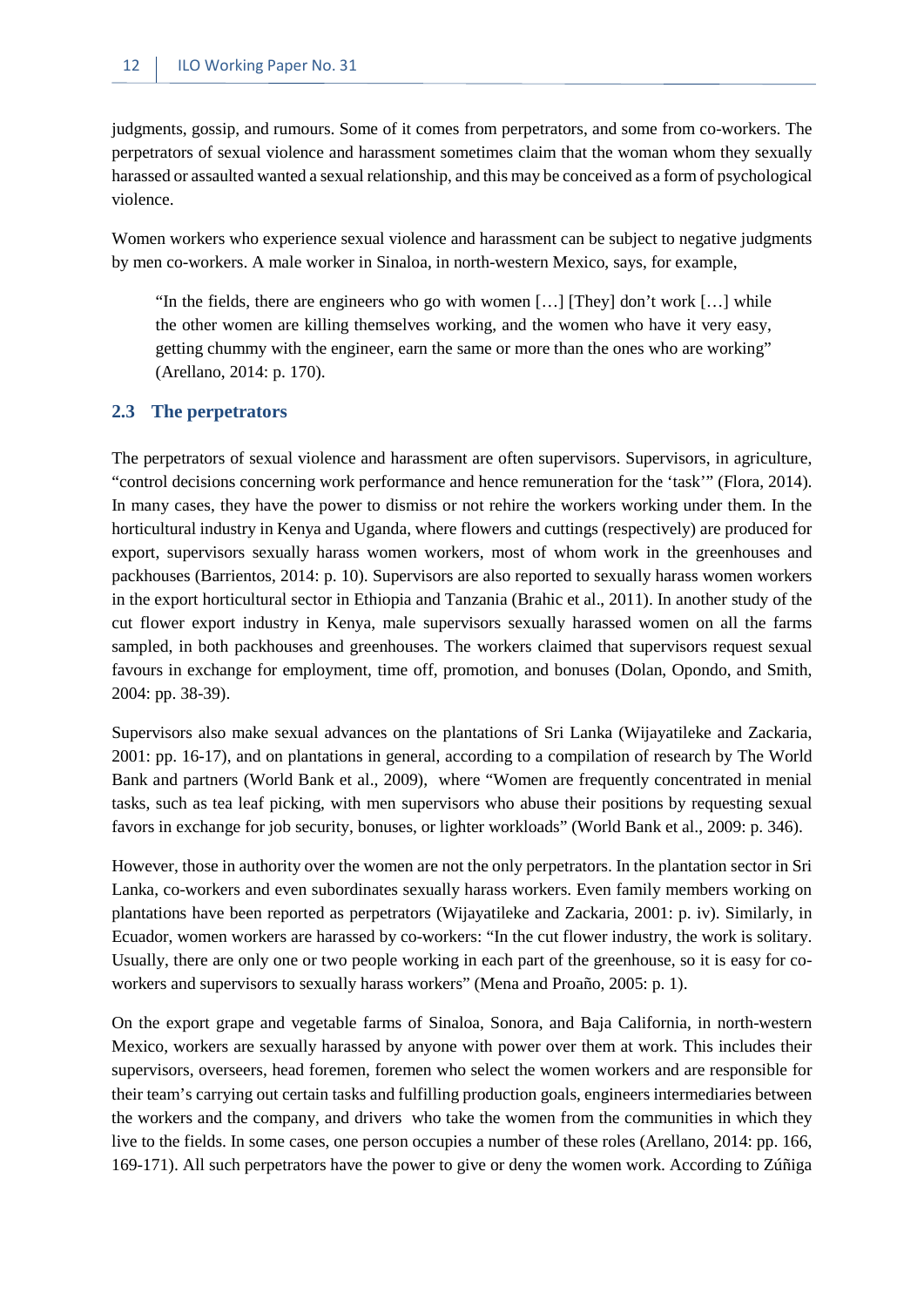judgments, gossip, and rumours. Some of it comes from perpetrators, and some from co-workers. The perpetrators of sexual violence and harassment sometimes claim that the woman whom they sexually harassed or assaulted wanted a sexual relationship, and this may be conceived as a form of psychological violence.

Women workers who experience sexual violence and harassment can be subject to negative judgments by men co-workers. A male worker in Sinaloa, in north-western Mexico, says, for example,

"In the fields, there are engineers who go with women […] [They] don't work […] while the other women are killing themselves working, and the women who have it very easy, getting chummy with the engineer, earn the same or more than the ones who are working" (Arellano, 2014: p. 170).

#### <span id="page-19-0"></span>**2.3 The perpetrators**

The perpetrators of sexual violence and harassment are often supervisors. Supervisors, in agriculture, "control decisions concerning work performance and hence remuneration for the 'task'" (Flora, 2014). In many cases, they have the power to dismiss or not rehire the workers working under them. In the horticultural industry in Kenya and Uganda, where flowers and cuttings (respectively) are produced for export, supervisors sexually harass women workers, most of whom work in the greenhouses and packhouses (Barrientos, 2014: p. 10). Supervisors are also reported to sexually harass women workers in the export horticultural sector in Ethiopia and Tanzania (Brahic et al., 2011). In another study of the cut flower export industry in Kenya, male supervisors sexually harassed women on all the farms sampled, in both packhouses and greenhouses. The workers claimed that supervisors request sexual favours in exchange for employment, time off, promotion, and bonuses (Dolan, Opondo, and Smith, 2004: pp. 38-39).

Supervisors also make sexual advances on the plantations of Sri Lanka (Wijayatileke and Zackaria, 2001: pp. 16-17), and on plantations in general, according to a compilation of research by The World Bank and partners (World Bank et al., 2009), where "Women are frequently concentrated in menial tasks, such as tea leaf picking, with men supervisors who abuse their positions by requesting sexual favors in exchange for job security, bonuses, or lighter workloads" (World Bank et al., 2009: p. 346).

However, those in authority over the women are not the only perpetrators. In the plantation sector in Sri Lanka, co-workers and even subordinates sexually harass workers. Even family members working on plantations have been reported as perpetrators (Wijayatileke and Zackaria, 2001: p. iv). Similarly, in Ecuador, women workers are harassed by co-workers: "In the cut flower industry, the work is solitary. Usually, there are only one or two people working in each part of the greenhouse, so it is easy for coworkers and supervisors to sexually harass workers" (Mena and Proaño, 2005: p. 1).

On the export grape and vegetable farms of Sinaloa, Sonora, and Baja California, in north-western Mexico, workers are sexually harassed by anyone with power over them at work. This includes their supervisors, overseers, head foremen, foremen who select the women workers and are responsible for their team's carrying out certain tasks and fulfilling production goals, engineers intermediaries between the workers and the company, and drivers who take the women from the communities in which they live to the fields. In some cases, one person occupies a number of these roles (Arellano, 2014: pp. 166, 169-171). All such perpetrators have the power to give or deny the women work. According to Zúñiga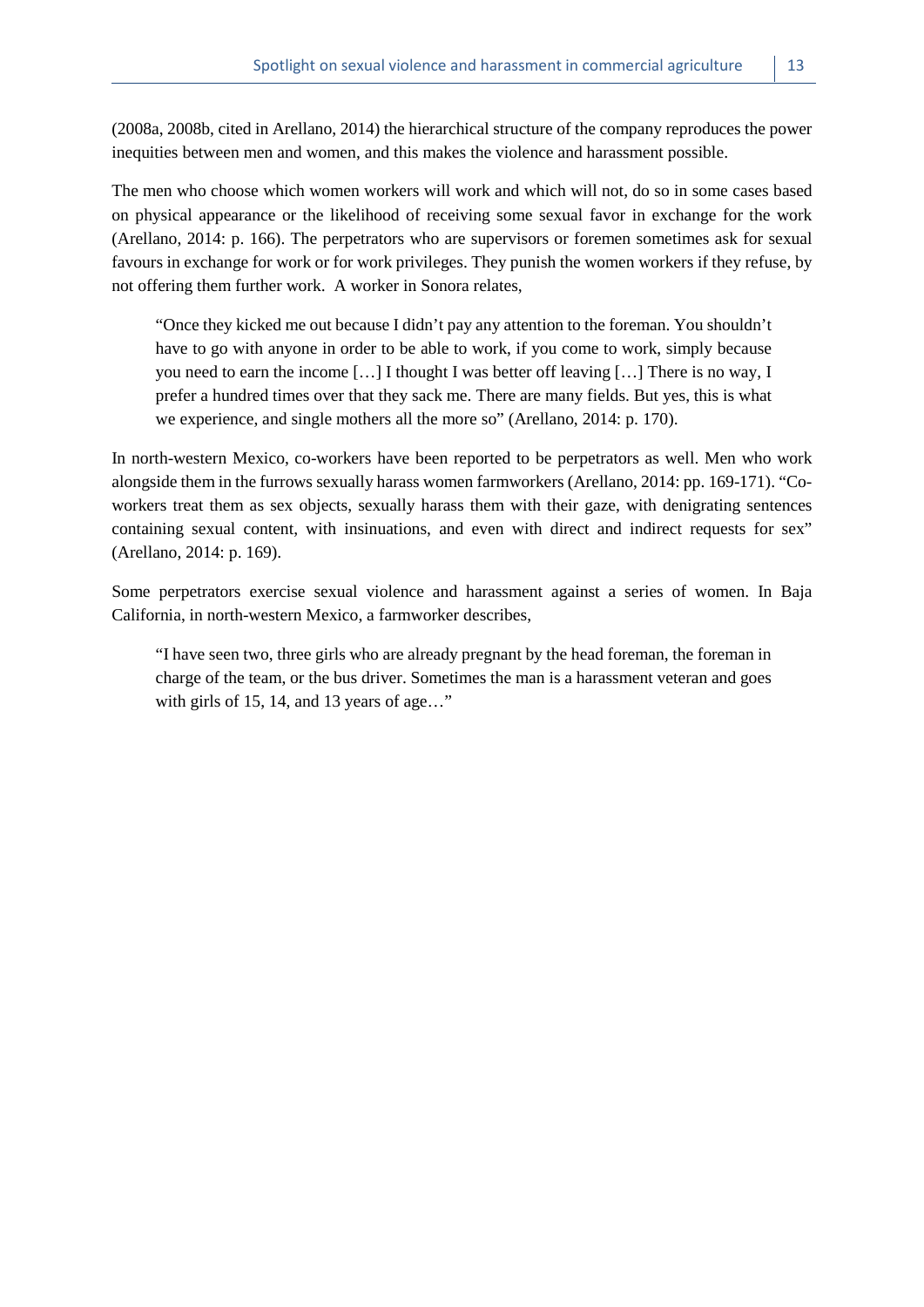(2008a, 2008b, cited in Arellano, 2014) the hierarchical structure of the company reproduces the power inequities between men and women, and this makes the violence and harassment possible.

The men who choose which women workers will work and which will not, do so in some cases based on physical appearance or the likelihood of receiving some sexual favor in exchange for the work (Arellano, 2014: p. 166). The perpetrators who are supervisors or foremen sometimes ask for sexual favours in exchange for work or for work privileges. They punish the women workers if they refuse, by not offering them further work. A worker in Sonora relates,

"Once they kicked me out because I didn't pay any attention to the foreman. You shouldn't have to go with anyone in order to be able to work, if you come to work, simply because you need to earn the income […] I thought I was better off leaving […] There is no way, I prefer a hundred times over that they sack me. There are many fields. But yes, this is what we experience, and single mothers all the more so" (Arellano, 2014: p. 170).

In north-western Mexico, co-workers have been reported to be perpetrators as well. Men who work alongside them in the furrows sexually harass women farmworkers (Arellano, 2014: pp. 169-171). "Coworkers treat them as sex objects, sexually harass them with their gaze, with denigrating sentences containing sexual content, with insinuations, and even with direct and indirect requests for sex" (Arellano, 2014: p. 169).

Some perpetrators exercise sexual violence and harassment against a series of women. In Baja California, in north-western Mexico, a farmworker describes,

"I have seen two, three girls who are already pregnant by the head foreman, the foreman in charge of the team, or the bus driver. Sometimes the man is a harassment veteran and goes with girls of 15, 14, and 13 years of age..."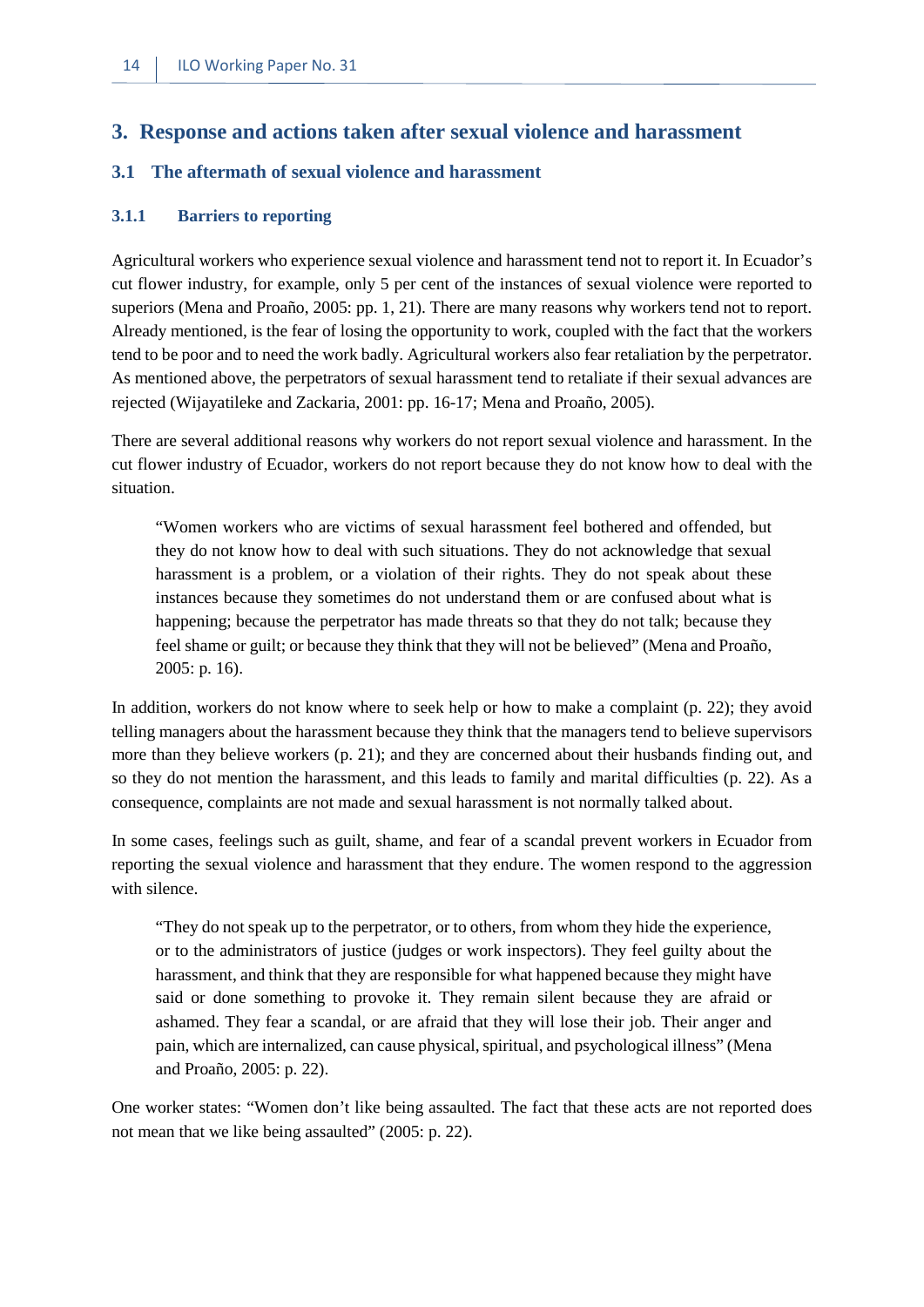### <span id="page-21-0"></span>**3. Response and actions taken after sexual violence and harassment**

#### <span id="page-21-1"></span>**3.1 The aftermath of sexual violence and harassment**

#### <span id="page-21-2"></span>**3.1.1 Barriers to reporting**

Agricultural workers who experience sexual violence and harassment tend not to report it. In Ecuador's cut flower industry, for example, only 5 per cent of the instances of sexual violence were reported to superiors (Mena and Proaño, 2005: pp. 1, 21). There are many reasons why workers tend not to report. Already mentioned, is the fear of losing the opportunity to work, coupled with the fact that the workers tend to be poor and to need the work badly. Agricultural workers also fear retaliation by the perpetrator. As mentioned above, the perpetrators of sexual harassment tend to retaliate if their sexual advances are rejected (Wijayatileke and Zackaria, 2001: pp. 16-17; Mena and Proaño, 2005).

There are several additional reasons why workers do not report sexual violence and harassment. In the cut flower industry of Ecuador, workers do not report because they do not know how to deal with the situation.

"Women workers who are victims of sexual harassment feel bothered and offended, but they do not know how to deal with such situations. They do not acknowledge that sexual harassment is a problem, or a violation of their rights. They do not speak about these instances because they sometimes do not understand them or are confused about what is happening; because the perpetrator has made threats so that they do not talk; because they feel shame or guilt; or because they think that they will not be believed" (Mena and Proaño, 2005: p. 16).

In addition, workers do not know where to seek help or how to make a complaint (p. 22); they avoid telling managers about the harassment because they think that the managers tend to believe supervisors more than they believe workers (p. 21); and they are concerned about their husbands finding out, and so they do not mention the harassment, and this leads to family and marital difficulties (p. 22). As a consequence, complaints are not made and sexual harassment is not normally talked about.

In some cases, feelings such as guilt, shame, and fear of a scandal prevent workers in Ecuador from reporting the sexual violence and harassment that they endure. The women respond to the aggression with silence.

"They do not speak up to the perpetrator, or to others, from whom they hide the experience, or to the administrators of justice (judges or work inspectors). They feel guilty about the harassment, and think that they are responsible for what happened because they might have said or done something to provoke it. They remain silent because they are afraid or ashamed. They fear a scandal, or are afraid that they will lose their job. Their anger and pain, which are internalized, can cause physical, spiritual, and psychological illness" (Mena and Proaño, 2005: p. 22).

One worker states: "Women don't like being assaulted. The fact that these acts are not reported does not mean that we like being assaulted" (2005: p. 22).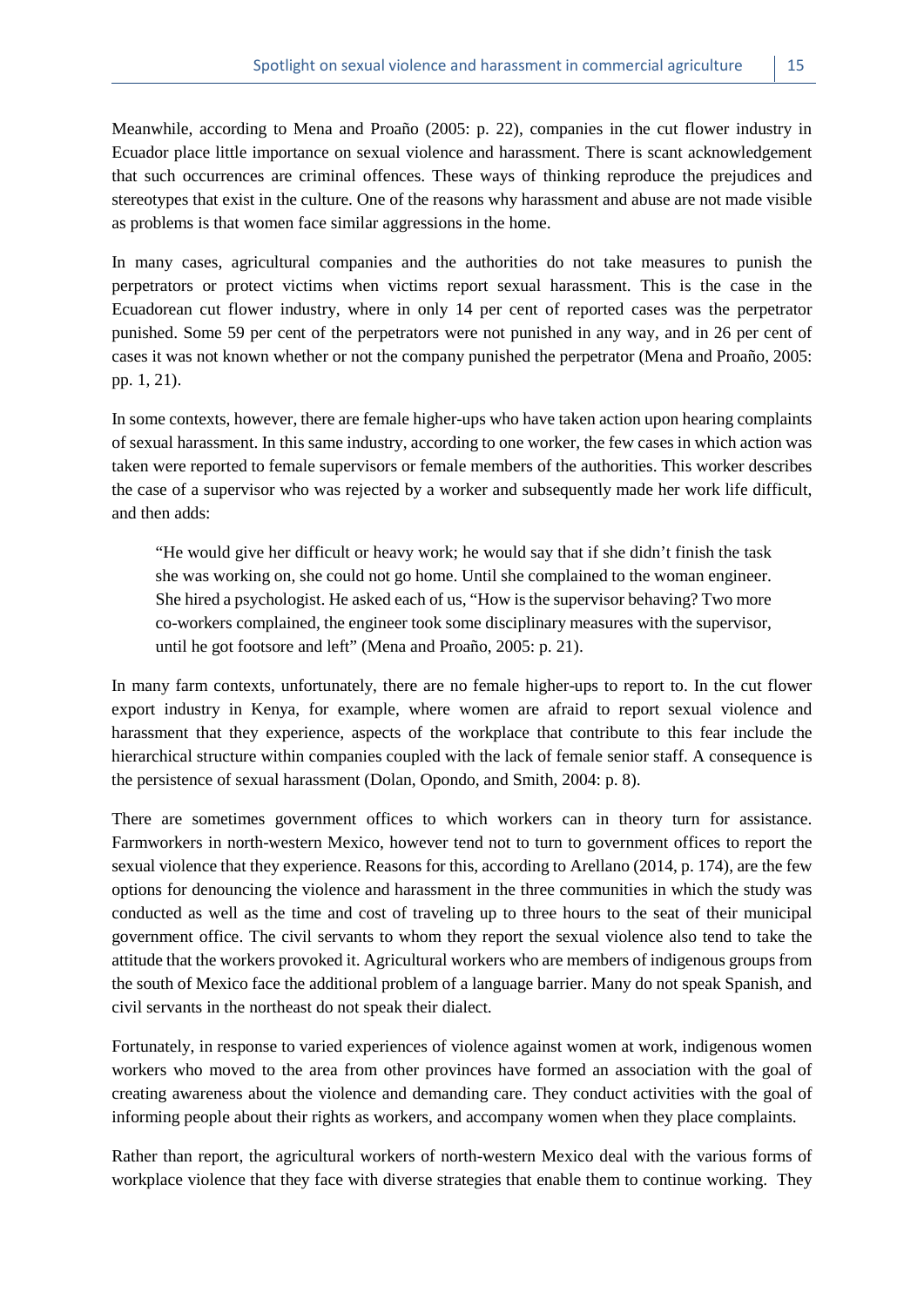Meanwhile, according to Mena and Proaño (2005: p. 22), companies in the cut flower industry in Ecuador place little importance on sexual violence and harassment. There is scant acknowledgement that such occurrences are criminal offences. These ways of thinking reproduce the prejudices and stereotypes that exist in the culture. One of the reasons why harassment and abuse are not made visible as problems is that women face similar aggressions in the home.

In many cases, agricultural companies and the authorities do not take measures to punish the perpetrators or protect victims when victims report sexual harassment. This is the case in the Ecuadorean cut flower industry, where in only 14 per cent of reported cases was the perpetrator punished. Some 59 per cent of the perpetrators were not punished in any way, and in 26 per cent of cases it was not known whether or not the company punished the perpetrator (Mena and Proaño, 2005: pp. 1, 21).

In some contexts, however, there are female higher-ups who have taken action upon hearing complaints of sexual harassment. In this same industry, according to one worker, the few cases in which action was taken were reported to female supervisors or female members of the authorities. This worker describes the case of a supervisor who was rejected by a worker and subsequently made her work life difficult, and then adds:

"He would give her difficult or heavy work; he would say that if she didn't finish the task she was working on, she could not go home. Until she complained to the woman engineer. She hired a psychologist. He asked each of us, "How is the supervisor behaving? Two more co-workers complained, the engineer took some disciplinary measures with the supervisor, until he got footsore and left" (Mena and Proaño, 2005: p. 21).

In many farm contexts, unfortunately, there are no female higher-ups to report to. In the cut flower export industry in Kenya, for example, where women are afraid to report sexual violence and harassment that they experience, aspects of the workplace that contribute to this fear include the hierarchical structure within companies coupled with the lack of female senior staff. A consequence is the persistence of sexual harassment (Dolan, Opondo, and Smith, 2004: p. 8).

There are sometimes government offices to which workers can in theory turn for assistance. Farmworkers in north-western Mexico, however tend not to turn to government offices to report the sexual violence that they experience. Reasons for this, according to Arellano (2014, p. 174), are the few options for denouncing the violence and harassment in the three communities in which the study was conducted as well as the time and cost of traveling up to three hours to the seat of their municipal government office. The civil servants to whom they report the sexual violence also tend to take the attitude that the workers provoked it. Agricultural workers who are members of indigenous groups from the south of Mexico face the additional problem of a language barrier. Many do not speak Spanish, and civil servants in the northeast do not speak their dialect.

Fortunately, in response to varied experiences of violence against women at work, indigenous women workers who moved to the area from other provinces have formed an association with the goal of creating awareness about the violence and demanding care. They conduct activities with the goal of informing people about their rights as workers, and accompany women when they place complaints.

Rather than report, the agricultural workers of north-western Mexico deal with the various forms of workplace violence that they face with diverse strategies that enable them to continue working. They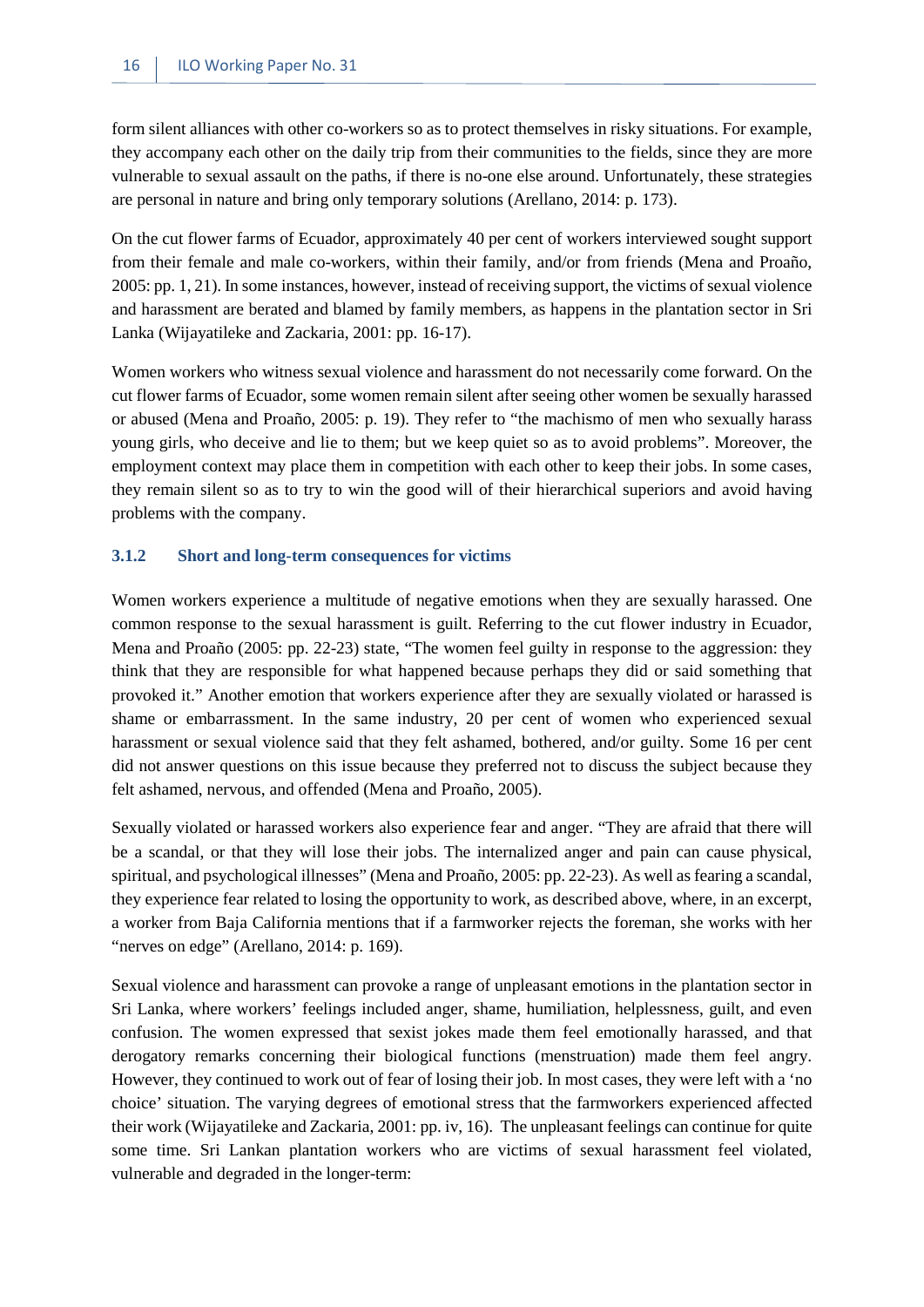form silent alliances with other co-workers so as to protect themselves in risky situations. For example, they accompany each other on the daily trip from their communities to the fields, since they are more vulnerable to sexual assault on the paths, if there is no-one else around. Unfortunately, these strategies are personal in nature and bring only temporary solutions (Arellano, 2014: p. 173).

On the cut flower farms of Ecuador, approximately 40 per cent of workers interviewed sought support from their female and male co-workers, within their family, and/or from friends (Mena and Proaño, 2005: pp. 1, 21). In some instances, however, instead of receiving support, the victims of sexual violence and harassment are berated and blamed by family members, as happens in the plantation sector in Sri Lanka (Wijayatileke and Zackaria, 2001: pp. 16-17).

Women workers who witness sexual violence and harassment do not necessarily come forward. On the cut flower farms of Ecuador, some women remain silent after seeing other women be sexually harassed or abused (Mena and Proaño, 2005: p. 19). They refer to "the machismo of men who sexually harass young girls, who deceive and lie to them; but we keep quiet so as to avoid problems". Moreover, the employment context may place them in competition with each other to keep their jobs. In some cases, they remain silent so as to try to win the good will of their hierarchical superiors and avoid having problems with the company.

#### <span id="page-23-0"></span>**3.1.2 Short and long-term consequences for victims**

Women workers experience a multitude of negative emotions when they are sexually harassed. One common response to the sexual harassment is guilt. Referring to the cut flower industry in Ecuador, Mena and Proaño (2005: pp. 22-23) state, "The women feel guilty in response to the aggression: they think that they are responsible for what happened because perhaps they did or said something that provoked it." Another emotion that workers experience after they are sexually violated or harassed is shame or embarrassment. In the same industry, 20 per cent of women who experienced sexual harassment or sexual violence said that they felt ashamed, bothered, and/or guilty. Some 16 per cent did not answer questions on this issue because they preferred not to discuss the subject because they felt ashamed, nervous, and offended (Mena and Proaño, 2005).

Sexually violated or harassed workers also experience fear and anger. "They are afraid that there will be a scandal, or that they will lose their jobs. The internalized anger and pain can cause physical, spiritual, and psychological illnesses" (Mena and Proaño, 2005: pp. 22-23). As well as fearing a scandal, they experience fear related to losing the opportunity to work, as described above, where, in an excerpt, a worker from Baja California mentions that if a farmworker rejects the foreman, she works with her "nerves on edge" (Arellano, 2014: p. 169).

Sexual violence and harassment can provoke a range of unpleasant emotions in the plantation sector in Sri Lanka, where workers' feelings included anger, shame, humiliation, helplessness, guilt, and even confusion. The women expressed that sexist jokes made them feel emotionally harassed, and that derogatory remarks concerning their biological functions (menstruation) made them feel angry. However, they continued to work out of fear of losing their job. In most cases, they were left with a 'no choice' situation. The varying degrees of emotional stress that the farmworkers experienced affected their work (Wijayatileke and Zackaria, 2001: pp. iv, 16). The unpleasant feelings can continue for quite some time. Sri Lankan plantation workers who are victims of sexual harassment feel violated, vulnerable and degraded in the longer-term: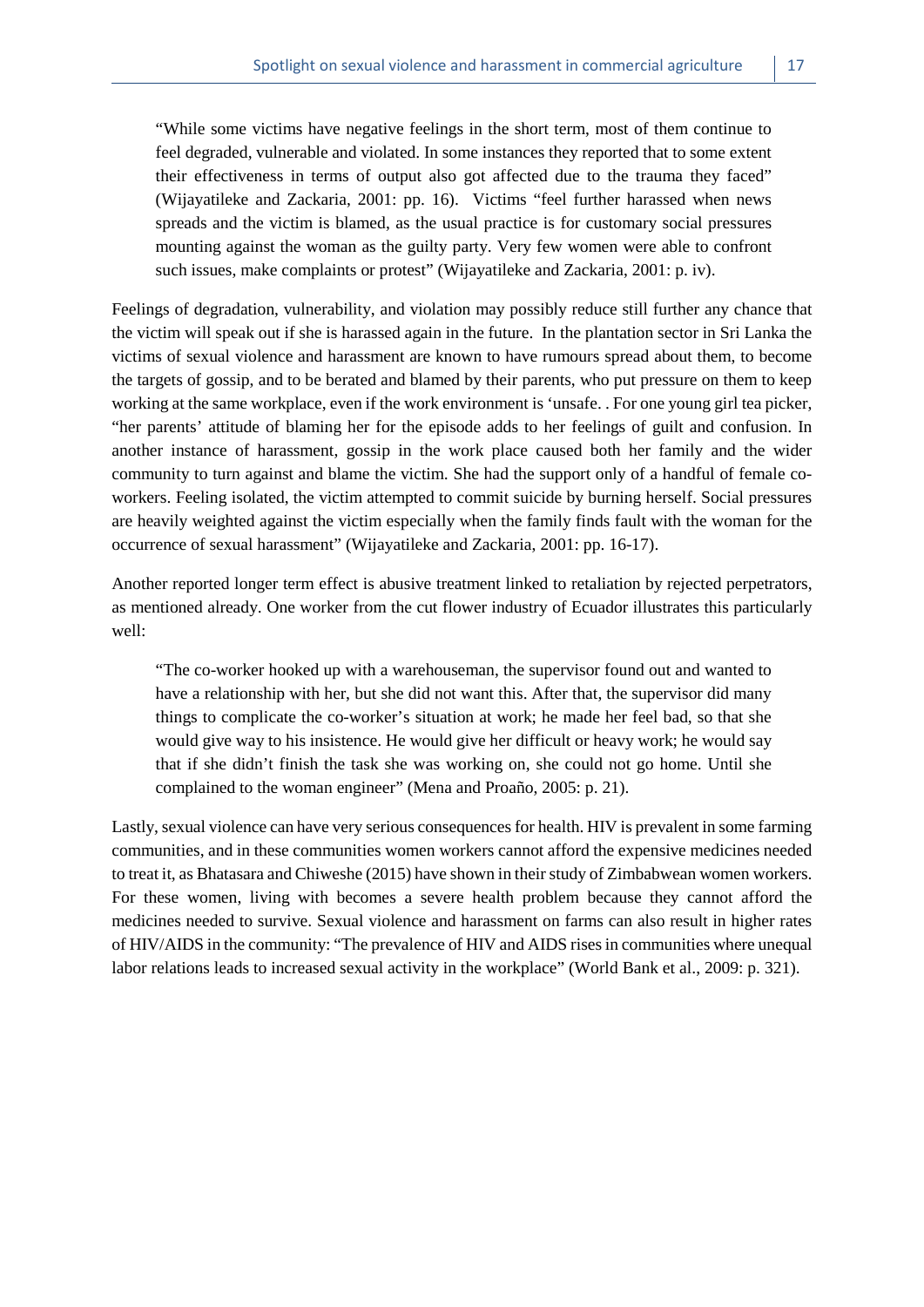"While some victims have negative feelings in the short term, most of them continue to feel degraded, vulnerable and violated. In some instances they reported that to some extent their effectiveness in terms of output also got affected due to the trauma they faced" (Wijayatileke and Zackaria, 2001: pp. 16). Victims "feel further harassed when news spreads and the victim is blamed, as the usual practice is for customary social pressures mounting against the woman as the guilty party. Very few women were able to confront such issues, make complaints or protest" (Wijayatileke and Zackaria, 2001: p. iv).

Feelings of degradation, vulnerability, and violation may possibly reduce still further any chance that the victim will speak out if she is harassed again in the future. In the plantation sector in Sri Lanka the victims of sexual violence and harassment are known to have rumours spread about them, to become the targets of gossip, and to be berated and blamed by their parents, who put pressure on them to keep working at the same workplace, even if the work environment is 'unsafe. . For one young girl tea picker, "her parents' attitude of blaming her for the episode adds to her feelings of guilt and confusion. In another instance of harassment, gossip in the work place caused both her family and the wider community to turn against and blame the victim. She had the support only of a handful of female coworkers. Feeling isolated, the victim attempted to commit suicide by burning herself. Social pressures are heavily weighted against the victim especially when the family finds fault with the woman for the occurrence of sexual harassment" (Wijayatileke and Zackaria, 2001: pp. 16-17).

Another reported longer term effect is abusive treatment linked to retaliation by rejected perpetrators, as mentioned already. One worker from the cut flower industry of Ecuador illustrates this particularly well:

"The co-worker hooked up with a warehouseman, the supervisor found out and wanted to have a relationship with her, but she did not want this. After that, the supervisor did many things to complicate the co-worker's situation at work; he made her feel bad, so that she would give way to his insistence. He would give her difficult or heavy work; he would say that if she didn't finish the task she was working on, she could not go home. Until she complained to the woman engineer" (Mena and Proaño, 2005: p. 21).

Lastly, sexual violence can have very serious consequences for health. HIV is prevalent in some farming communities, and in these communities women workers cannot afford the expensive medicines needed to treat it, as Bhatasara and Chiweshe (2015) have shown in their study of Zimbabwean women workers. For these women, living with becomes a severe health problem because they cannot afford the medicines needed to survive. Sexual violence and harassment on farms can also result in higher rates of HIV/AIDS in the community: "The prevalence of HIV and AIDS rises in communities where unequal labor relations leads to increased sexual activity in the workplace" (World Bank et al., 2009: p. 321).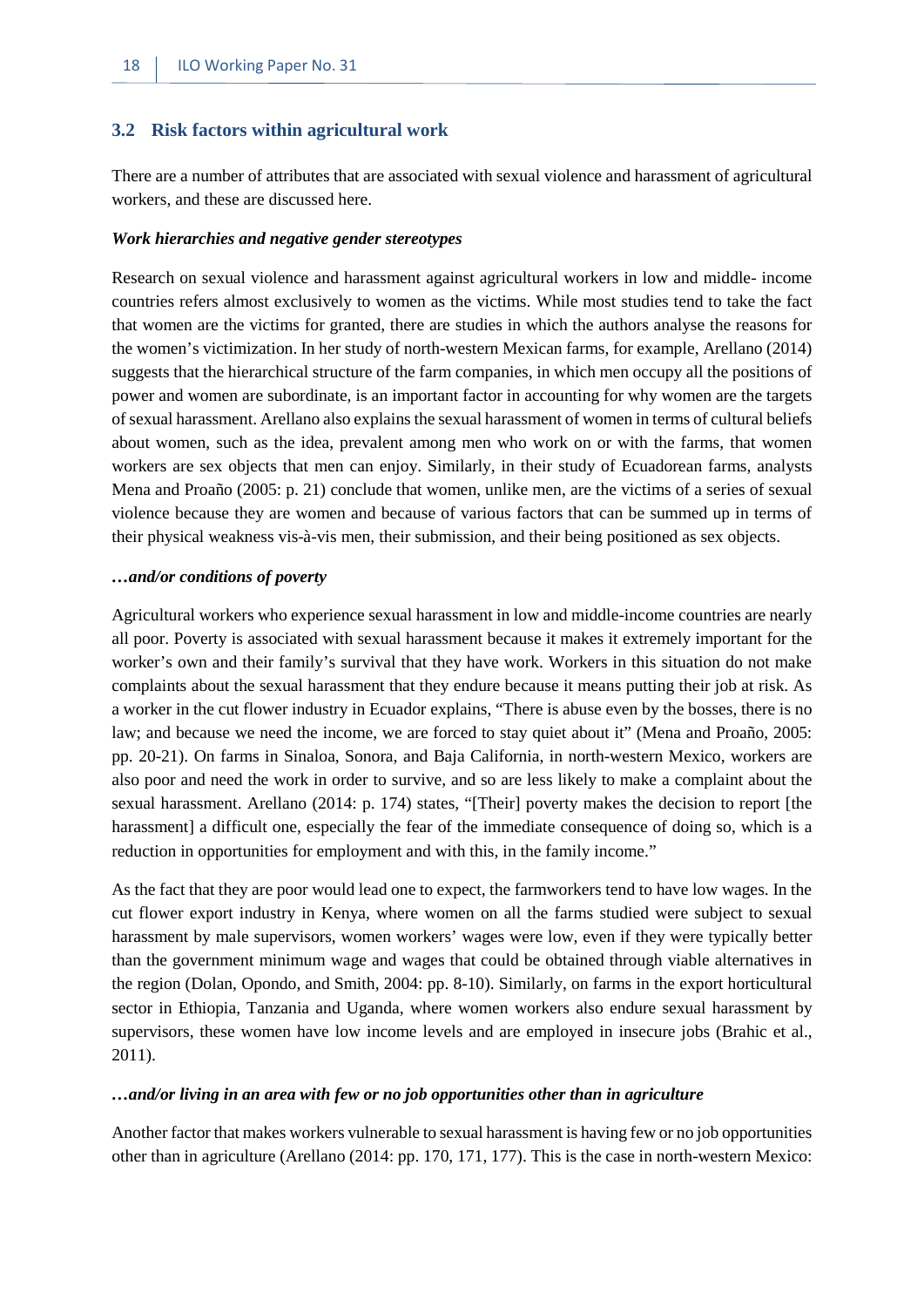#### <span id="page-25-0"></span>**3.2 Risk factors within agricultural work**

There are a number of attributes that are associated with sexual violence and harassment of agricultural workers, and these are discussed here.

#### *Work hierarchies and negative gender stereotypes*

Research on sexual violence and harassment against agricultural workers in low and middle- income countries refers almost exclusively to women as the victims. While most studies tend to take the fact that women are the victims for granted, there are studies in which the authors analyse the reasons for the women's victimization. In her study of north-western Mexican farms, for example, Arellano (2014) suggests that the hierarchical structure of the farm companies, in which men occupy all the positions of power and women are subordinate, is an important factor in accounting for why women are the targets of sexual harassment. Arellano also explains the sexual harassment of women in terms of cultural beliefs about women, such as the idea, prevalent among men who work on or with the farms, that women workers are sex objects that men can enjoy. Similarly, in their study of Ecuadorean farms, analysts Mena and Proaño (2005: p. 21) conclude that women, unlike men, are the victims of a series of sexual violence because they are women and because of various factors that can be summed up in terms of their physical weakness vis-à-vis men, their submission, and their being positioned as sex objects.

#### *…and/or conditions of poverty*

Agricultural workers who experience sexual harassment in low and middle-income countries are nearly all poor. Poverty is associated with sexual harassment because it makes it extremely important for the worker's own and their family's survival that they have work. Workers in this situation do not make complaints about the sexual harassment that they endure because it means putting their job at risk. As a worker in the cut flower industry in Ecuador explains, "There is abuse even by the bosses, there is no law; and because we need the income, we are forced to stay quiet about it" (Mena and Proaño, 2005: pp. 20-21). On farms in Sinaloa, Sonora, and Baja California, in north-western Mexico, workers are also poor and need the work in order to survive, and so are less likely to make a complaint about the sexual harassment. Arellano (2014: p. 174) states, "[Their] poverty makes the decision to report [the harassment] a difficult one, especially the fear of the immediate consequence of doing so, which is a reduction in opportunities for employment and with this, in the family income."

As the fact that they are poor would lead one to expect, the farmworkers tend to have low wages. In the cut flower export industry in Kenya, where women on all the farms studied were subject to sexual harassment by male supervisors, women workers' wages were low, even if they were typically better than the government minimum wage and wages that could be obtained through viable alternatives in the region (Dolan, Opondo, and Smith, 2004: pp. 8-10). Similarly, on farms in the export horticultural sector in Ethiopia, Tanzania and Uganda, where women workers also endure sexual harassment by supervisors, these women have low income levels and are employed in insecure jobs (Brahic et al., 2011).

#### *…and/or living in an area with few or no job opportunities other than in agriculture*

Another factor that makes workers vulnerable to sexual harassment is having few or no job opportunities other than in agriculture (Arellano (2014: pp. 170, 171, 177). This is the case in north-western Mexico: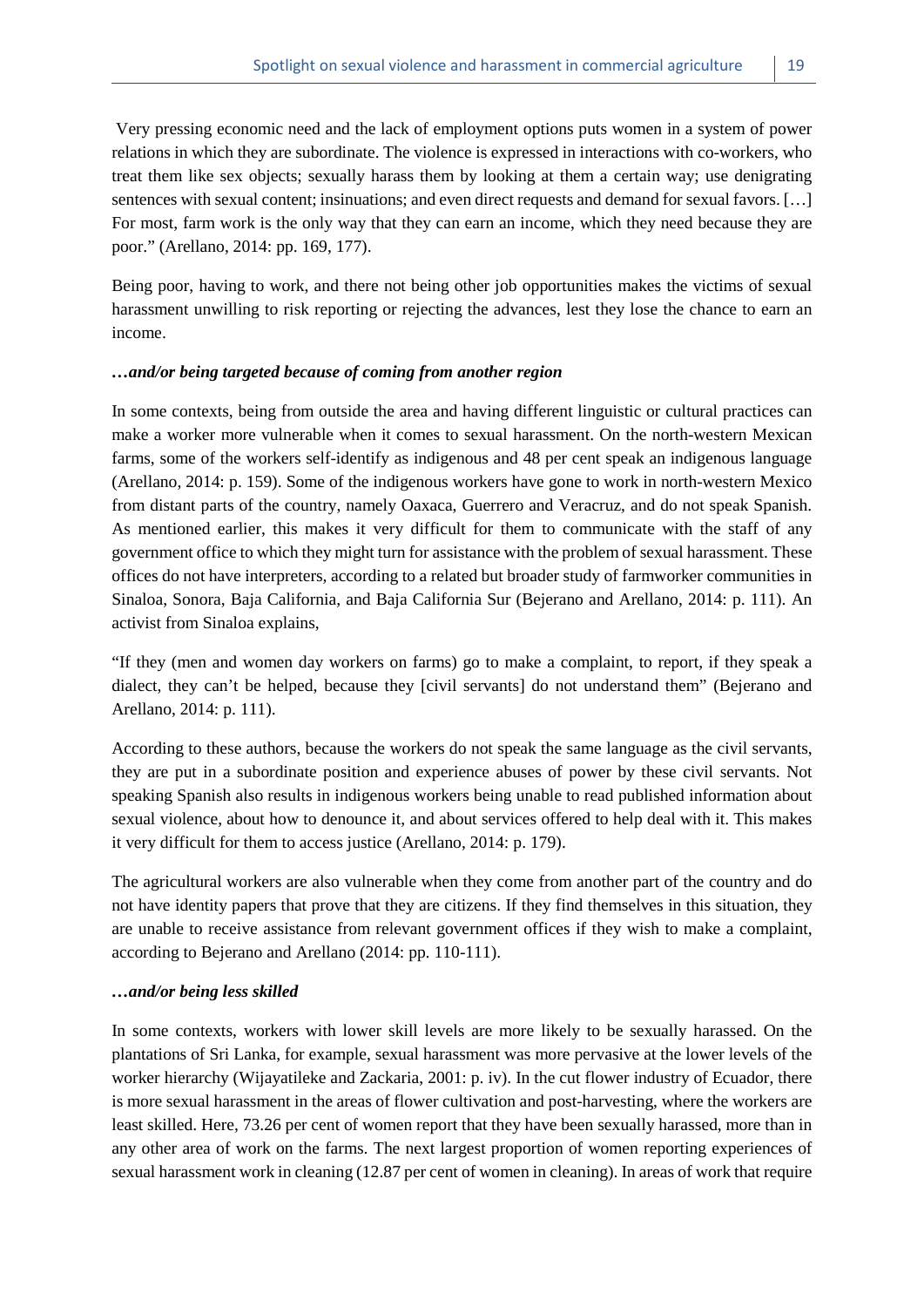Very pressing economic need and the lack of employment options puts women in a system of power relations in which they are subordinate. The violence is expressed in interactions with co-workers, who treat them like sex objects; sexually harass them by looking at them a certain way; use denigrating sentences with sexual content; insinuations; and even direct requests and demand for sexual favors. […] For most, farm work is the only way that they can earn an income, which they need because they are poor." (Arellano, 2014: pp. 169, 177).

Being poor, having to work, and there not being other job opportunities makes the victims of sexual harassment unwilling to risk reporting or rejecting the advances, lest they lose the chance to earn an income.

#### *…and/or being targeted because of coming from another region*

In some contexts, being from outside the area and having different linguistic or cultural practices can make a worker more vulnerable when it comes to sexual harassment. On the north-western Mexican farms, some of the workers self-identify as indigenous and 48 per cent speak an indigenous language (Arellano, 2014: p. 159). Some of the indigenous workers have gone to work in north-western Mexico from distant parts of the country, namely Oaxaca, Guerrero and Veracruz, and do not speak Spanish. As mentioned earlier, this makes it very difficult for them to communicate with the staff of any government office to which they might turn for assistance with the problem of sexual harassment. These offices do not have interpreters, according to a related but broader study of farmworker communities in Sinaloa, Sonora, Baja California, and Baja California Sur (Bejerano and Arellano, 2014: p. 111). An activist from Sinaloa explains,

"If they (men and women day workers on farms) go to make a complaint, to report, if they speak a dialect, they can't be helped, because they [civil servants] do not understand them" (Bejerano and Arellano, 2014: p. 111).

According to these authors, because the workers do not speak the same language as the civil servants, they are put in a subordinate position and experience abuses of power by these civil servants. Not speaking Spanish also results in indigenous workers being unable to read published information about sexual violence, about how to denounce it, and about services offered to help deal with it. This makes it very difficult for them to access justice (Arellano, 2014: p. 179).

The agricultural workers are also vulnerable when they come from another part of the country and do not have identity papers that prove that they are citizens. If they find themselves in this situation, they are unable to receive assistance from relevant government offices if they wish to make a complaint, according to Bejerano and Arellano (2014: pp. 110-111).

#### *…and/or being less skilled*

In some contexts, workers with lower skill levels are more likely to be sexually harassed. On the plantations of Sri Lanka, for example, sexual harassment was more pervasive at the lower levels of the worker hierarchy (Wijayatileke and Zackaria, 2001: p. iv). In the cut flower industry of Ecuador, there is more sexual harassment in the areas of flower cultivation and post-harvesting, where the workers are least skilled. Here, 73.26 per cent of women report that they have been sexually harassed, more than in any other area of work on the farms. The next largest proportion of women reporting experiences of sexual harassment work in cleaning (12.87 per cent of women in cleaning). In areas of work that require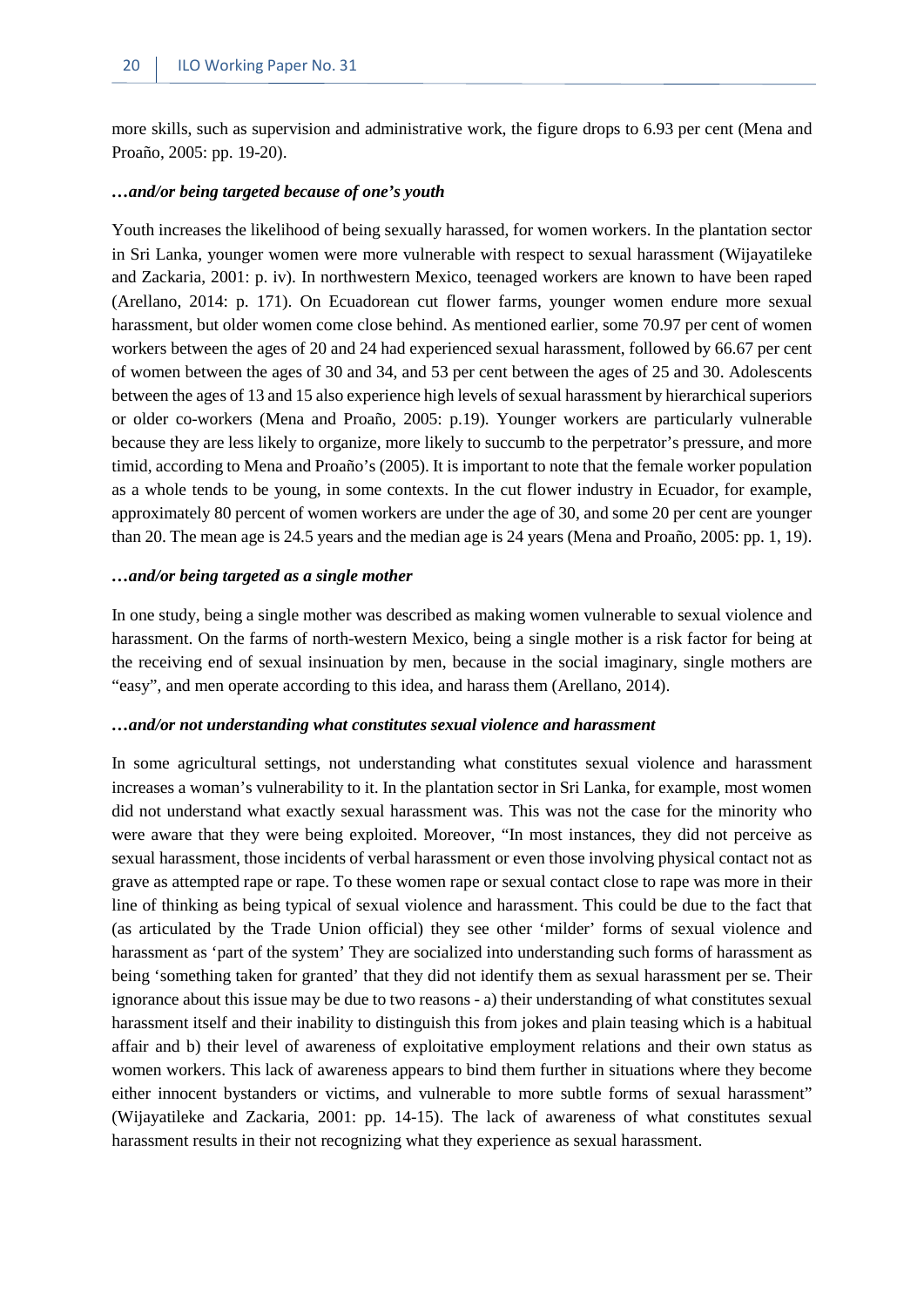more skills, such as supervision and administrative work, the figure drops to 6.93 per cent (Mena and Proaño, 2005: pp. 19-20).

#### *…and/or being targeted because of one's youth*

Youth increases the likelihood of being sexually harassed, for women workers. In the plantation sector in Sri Lanka, younger women were more vulnerable with respect to sexual harassment (Wijayatileke and Zackaria, 2001: p. iv). In northwestern Mexico, teenaged workers are known to have been raped (Arellano, 2014: p. 171). On Ecuadorean cut flower farms, younger women endure more sexual harassment, but older women come close behind. As mentioned earlier, some 70.97 per cent of women workers between the ages of 20 and 24 had experienced sexual harassment, followed by 66.67 per cent of women between the ages of 30 and 34, and 53 per cent between the ages of 25 and 30. Adolescents between the ages of 13 and 15 also experience high levels of sexual harassment by hierarchical superiors or older co-workers (Mena and Proaño, 2005: p.19). Younger workers are particularly vulnerable because they are less likely to organize, more likely to succumb to the perpetrator's pressure, and more timid, according to Mena and Proaño's (2005). It is important to note that the female worker population as a whole tends to be young, in some contexts. In the cut flower industry in Ecuador, for example, approximately 80 percent of women workers are under the age of 30, and some 20 per cent are younger than 20. The mean age is 24.5 years and the median age is 24 years (Mena and Proaño, 2005: pp. 1, 19).

#### *…and/or being targeted as a single mother*

In one study, being a single mother was described as making women vulnerable to sexual violence and harassment. On the farms of north-western Mexico, being a single mother is a risk factor for being at the receiving end of sexual insinuation by men, because in the social imaginary, single mothers are "easy", and men operate according to this idea, and harass them (Arellano, 2014).

#### *…and/or not understanding what constitutes sexual violence and harassment*

In some agricultural settings, not understanding what constitutes sexual violence and harassment increases a woman's vulnerability to it. In the plantation sector in Sri Lanka, for example, most women did not understand what exactly sexual harassment was. This was not the case for the minority who were aware that they were being exploited. Moreover, "In most instances, they did not perceive as sexual harassment, those incidents of verbal harassment or even those involving physical contact not as grave as attempted rape or rape. To these women rape or sexual contact close to rape was more in their line of thinking as being typical of sexual violence and harassment. This could be due to the fact that (as articulated by the Trade Union official) they see other 'milder' forms of sexual violence and harassment as 'part of the system' They are socialized into understanding such forms of harassment as being 'something taken for granted' that they did not identify them as sexual harassment per se. Their ignorance about this issue may be due to two reasons - a) their understanding of what constitutes sexual harassment itself and their inability to distinguish this from jokes and plain teasing which is a habitual affair and b) their level of awareness of exploitative employment relations and their own status as women workers. This lack of awareness appears to bind them further in situations where they become either innocent bystanders or victims, and vulnerable to more subtle forms of sexual harassment" (Wijayatileke and Zackaria, 2001: pp. 14-15). The lack of awareness of what constitutes sexual harassment results in their not recognizing what they experience as sexual harassment.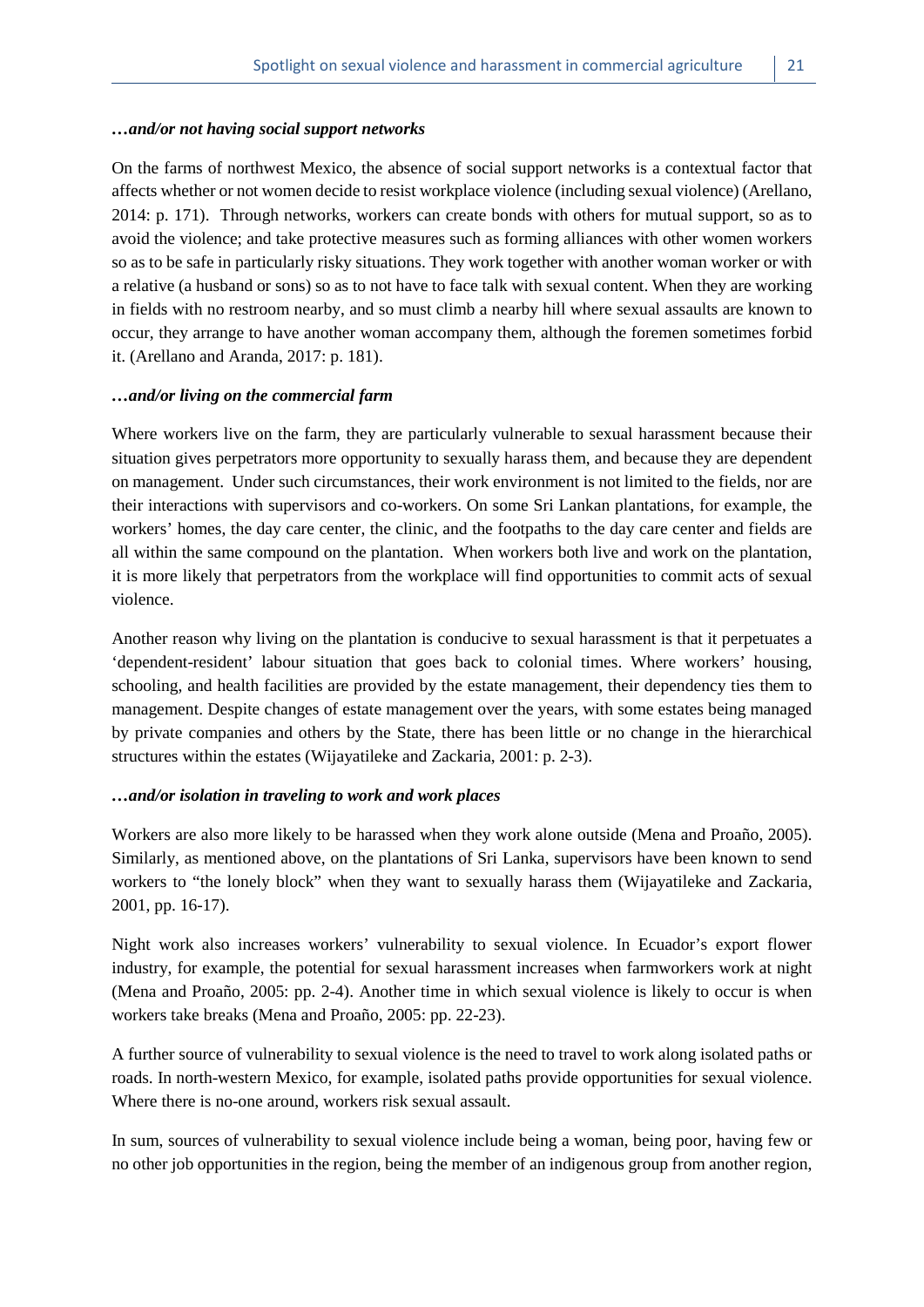#### *…and/or not having social support networks*

On the farms of northwest Mexico, the absence of social support networks is a contextual factor that affects whether or not women decide to resist workplace violence (including sexual violence) (Arellano, 2014: p. 171). Through networks, workers can create bonds with others for mutual support, so as to avoid the violence; and take protective measures such as forming alliances with other women workers so as to be safe in particularly risky situations. They work together with another woman worker or with a relative (a husband or sons) so as to not have to face talk with sexual content. When they are working in fields with no restroom nearby, and so must climb a nearby hill where sexual assaults are known to occur, they arrange to have another woman accompany them, although the foremen sometimes forbid it. (Arellano and Aranda, 2017: p. 181).

#### *…and/or living on the commercial farm*

Where workers live on the farm, they are particularly vulnerable to sexual harassment because their situation gives perpetrators more opportunity to sexually harass them, and because they are dependent on management. Under such circumstances, their work environment is not limited to the fields, nor are their interactions with supervisors and co-workers. On some Sri Lankan plantations, for example, the workers' homes, the day care center, the clinic, and the footpaths to the day care center and fields are all within the same compound on the plantation. When workers both live and work on the plantation, it is more likely that perpetrators from the workplace will find opportunities to commit acts of sexual violence.

Another reason why living on the plantation is conducive to sexual harassment is that it perpetuates a 'dependent-resident' labour situation that goes back to colonial times. Where workers' housing, schooling, and health facilities are provided by the estate management, their dependency ties them to management. Despite changes of estate management over the years, with some estates being managed by private companies and others by the State, there has been little or no change in the hierarchical structures within the estates (Wijayatileke and Zackaria, 2001: p. 2-3).

#### *…and/or isolation in traveling to work and work places*

Workers are also more likely to be harassed when they work alone outside (Mena and Proaño, 2005). Similarly, as mentioned above, on the plantations of Sri Lanka, supervisors have been known to send workers to "the lonely block" when they want to sexually harass them (Wijayatileke and Zackaria, 2001, pp. 16-17).

Night work also increases workers' vulnerability to sexual violence. In Ecuador's export flower industry, for example, the potential for sexual harassment increases when farmworkers work at night (Mena and Proaño, 2005: pp. 2-4). Another time in which sexual violence is likely to occur is when workers take breaks (Mena and Proaño, 2005: pp. 22-23).

A further source of vulnerability to sexual violence is the need to travel to work along isolated paths or roads. In north-western Mexico, for example, isolated paths provide opportunities for sexual violence. Where there is no-one around, workers risk sexual assault.

In sum, sources of vulnerability to sexual violence include being a woman, being poor, having few or no other job opportunities in the region, being the member of an indigenous group from another region,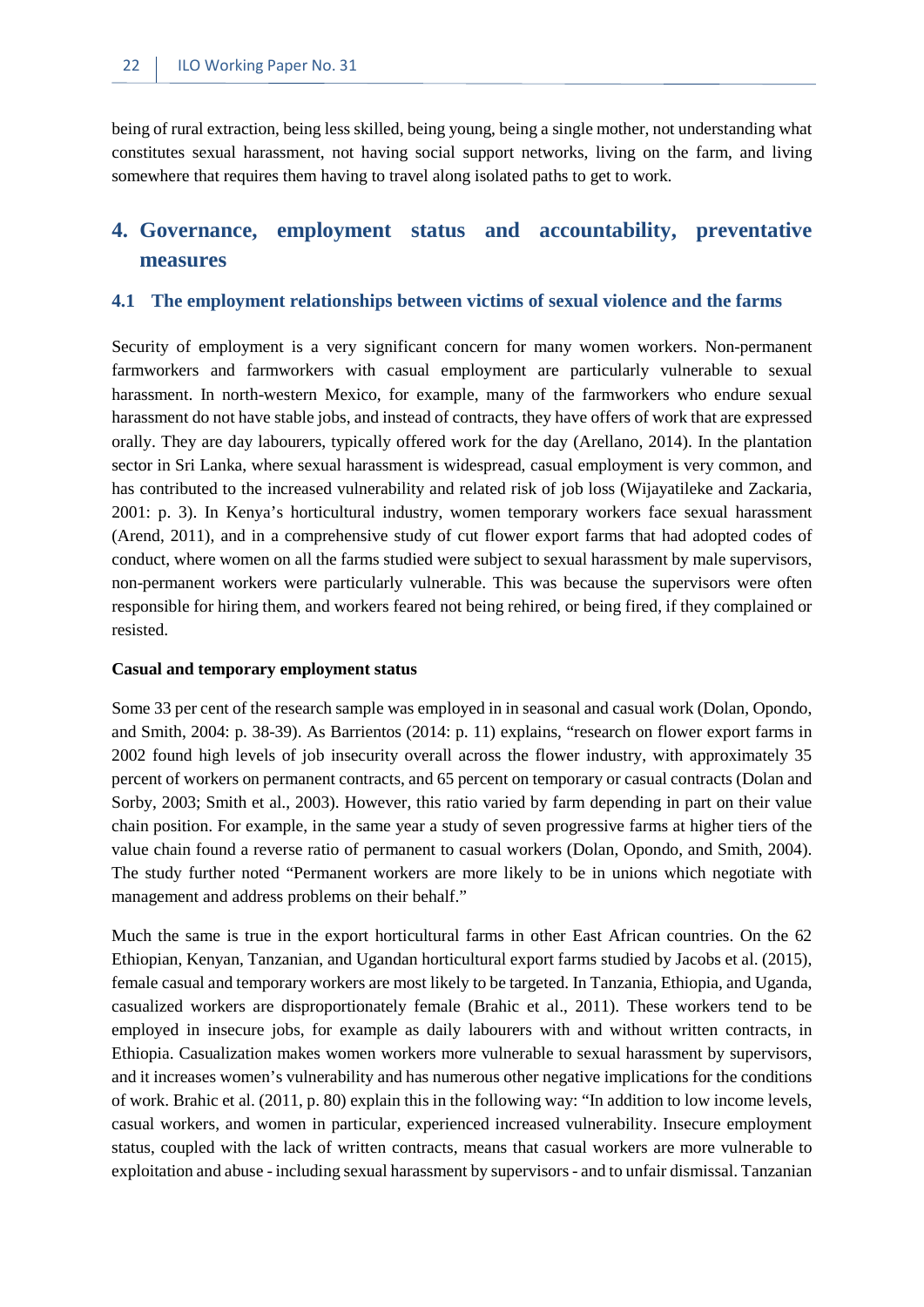being of rural extraction, being less skilled, being young, being a single mother, not understanding what constitutes sexual harassment, not having social support networks, living on the farm, and living somewhere that requires them having to travel along isolated paths to get to work.

# <span id="page-29-0"></span>**4. Governance, employment status and accountability, preventative measures**

#### <span id="page-29-1"></span>**4.1 The employment relationships between victims of sexual violence and the farms**

Security of employment is a very significant concern for many women workers. Non-permanent farmworkers and farmworkers with casual employment are particularly vulnerable to sexual harassment. In north-western Mexico, for example, many of the farmworkers who endure sexual harassment do not have stable jobs, and instead of contracts, they have offers of work that are expressed orally. They are day labourers, typically offered work for the day (Arellano, 2014). In the plantation sector in Sri Lanka, where sexual harassment is widespread, casual employment is very common, and has contributed to the increased vulnerability and related risk of job loss (Wijayatileke and Zackaria, 2001: p. 3). In Kenya's horticultural industry, women temporary workers face sexual harassment (Arend, 2011), and in a comprehensive study of cut flower export farms that had adopted codes of conduct, where women on all the farms studied were subject to sexual harassment by male supervisors, non-permanent workers were particularly vulnerable. This was because the supervisors were often responsible for hiring them, and workers feared not being rehired, or being fired, if they complained or resisted.

#### **Casual and temporary employment status**

Some 33 per cent of the research sample was employed in in seasonal and casual work (Dolan, Opondo, and Smith, 2004: p. 38-39). As Barrientos (2014: p. 11) explains, "research on flower export farms in 2002 found high levels of job insecurity overall across the flower industry, with approximately 35 percent of workers on permanent contracts, and 65 percent on temporary or casual contracts (Dolan and Sorby, 2003; Smith et al., 2003). However, this ratio varied by farm depending in part on their value chain position. For example, in the same year a study of seven progressive farms at higher tiers of the value chain found a reverse ratio of permanent to casual workers (Dolan, Opondo, and Smith, 2004). The study further noted "Permanent workers are more likely to be in unions which negotiate with management and address problems on their behalf."

Much the same is true in the export horticultural farms in other East African countries. On the 62 Ethiopian, Kenyan, Tanzanian, and Ugandan horticultural export farms studied by Jacobs et al. (2015), female casual and temporary workers are most likely to be targeted. In Tanzania, Ethiopia, and Uganda, casualized workers are disproportionately female (Brahic et al., 2011). These workers tend to be employed in insecure jobs, for example as daily labourers with and without written contracts, in Ethiopia. Casualization makes women workers more vulnerable to sexual harassment by supervisors, and it increases women's vulnerability and has numerous other negative implications for the conditions of work. Brahic et al. (2011, p. 80) explain this in the following way: "In addition to low income levels, casual workers, and women in particular, experienced increased vulnerability. Insecure employment status, coupled with the lack of written contracts, means that casual workers are more vulnerable to exploitation and abuse - including sexual harassment by supervisors - and to unfair dismissal. Tanzanian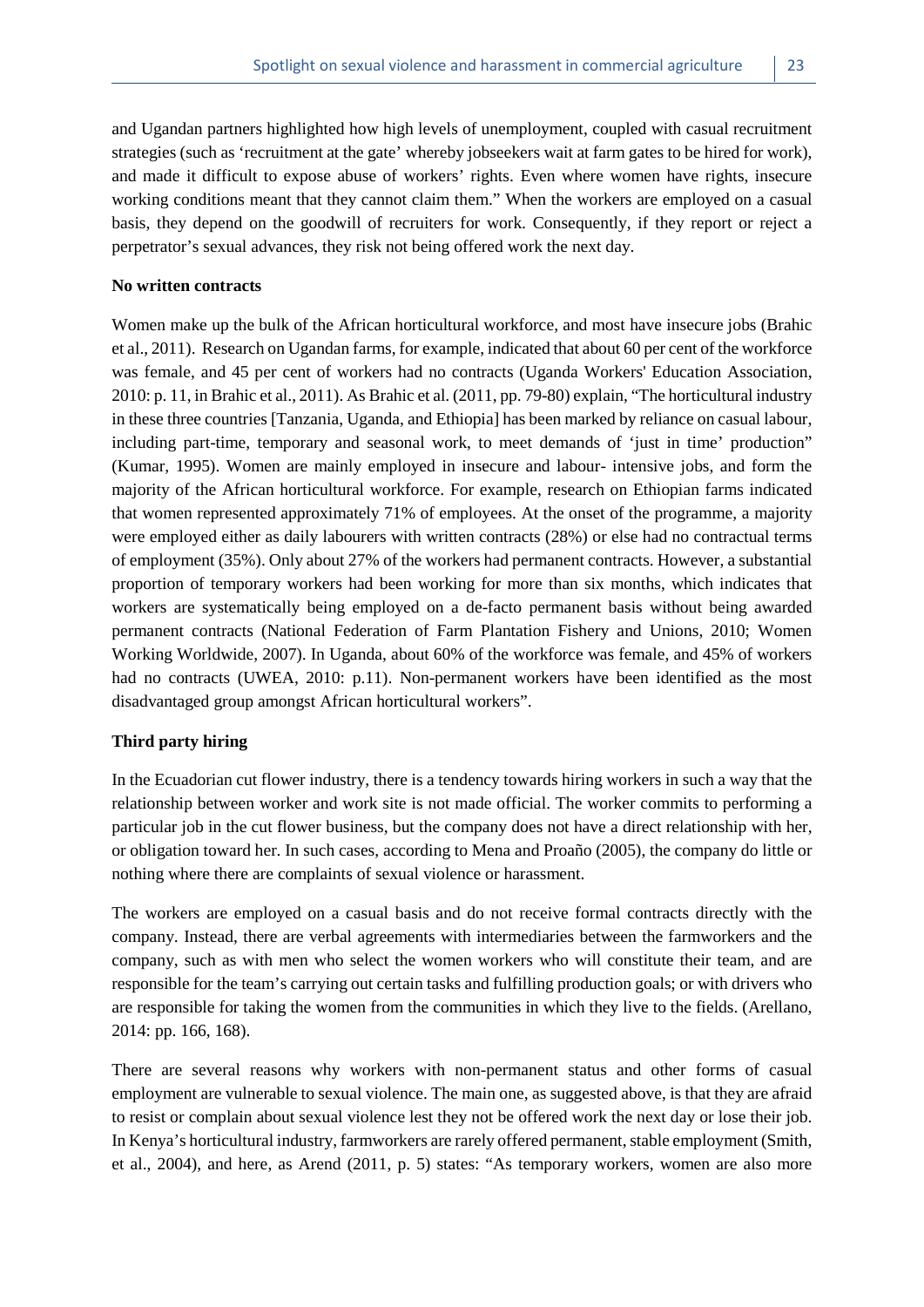and Ugandan partners highlighted how high levels of unemployment, coupled with casual recruitment strategies (such as 'recruitment at the gate' whereby jobseekers wait at farm gates to be hired for work), and made it difficult to expose abuse of workers' rights. Even where women have rights, insecure working conditions meant that they cannot claim them." When the workers are employed on a casual basis, they depend on the goodwill of recruiters for work. Consequently, if they report or reject a perpetrator's sexual advances, they risk not being offered work the next day.

#### **No written contracts**

Women make up the bulk of the African horticultural workforce, and most have insecure jobs (Brahic et al., 2011). Research on Ugandan farms, for example, indicated that about 60 per cent of the workforce was female, and 45 per cent of workers had no contracts (Uganda Workers' Education Association, 2010: p. 11, in Brahic et al., 2011). As Brahic et al. (2011, pp. 79-80) explain, "The horticultural industry in these three countries [Tanzania, Uganda, and Ethiopia] has been marked by reliance on casual labour, including part-time, temporary and seasonal work, to meet demands of 'just in time' production" (Kumar, 1995). Women are mainly employed in insecure and labour- intensive jobs, and form the majority of the African horticultural workforce. For example, research on Ethiopian farms indicated that women represented approximately 71% of employees. At the onset of the programme, a majority were employed either as daily labourers with written contracts (28%) or else had no contractual terms of employment (35%). Only about 27% of the workers had permanent contracts. However, a substantial proportion of temporary workers had been working for more than six months, which indicates that workers are systematically being employed on a de-facto permanent basis without being awarded permanent contracts (National Federation of Farm Plantation Fishery and Unions, 2010; Women Working Worldwide, 2007). In Uganda, about 60% of the workforce was female, and 45% of workers had no contracts (UWEA, 2010: p.11). Non-permanent workers have been identified as the most disadvantaged group amongst African horticultural workers".

#### **Third party hiring**

In the Ecuadorian cut flower industry, there is a tendency towards hiring workers in such a way that the relationship between worker and work site is not made official. The worker commits to performing a particular job in the cut flower business, but the company does not have a direct relationship with her, or obligation toward her. In such cases, according to Mena and Proaño (2005), the company do little or nothing where there are complaints of sexual violence or harassment.

The workers are employed on a casual basis and do not receive formal contracts directly with the company. Instead, there are verbal agreements with intermediaries between the farmworkers and the company, such as with men who select the women workers who will constitute their team, and are responsible for the team's carrying out certain tasks and fulfilling production goals; or with drivers who are responsible for taking the women from the communities in which they live to the fields. (Arellano, 2014: pp. 166, 168).

There are several reasons why workers with non-permanent status and other forms of casual employment are vulnerable to sexual violence. The main one, as suggested above, is that they are afraid to resist or complain about sexual violence lest they not be offered work the next day or lose their job. In Kenya's horticultural industry, farmworkers are rarely offered permanent, stable employment (Smith, et al., 2004), and here, as Arend (2011, p. 5) states: "As temporary workers, women are also more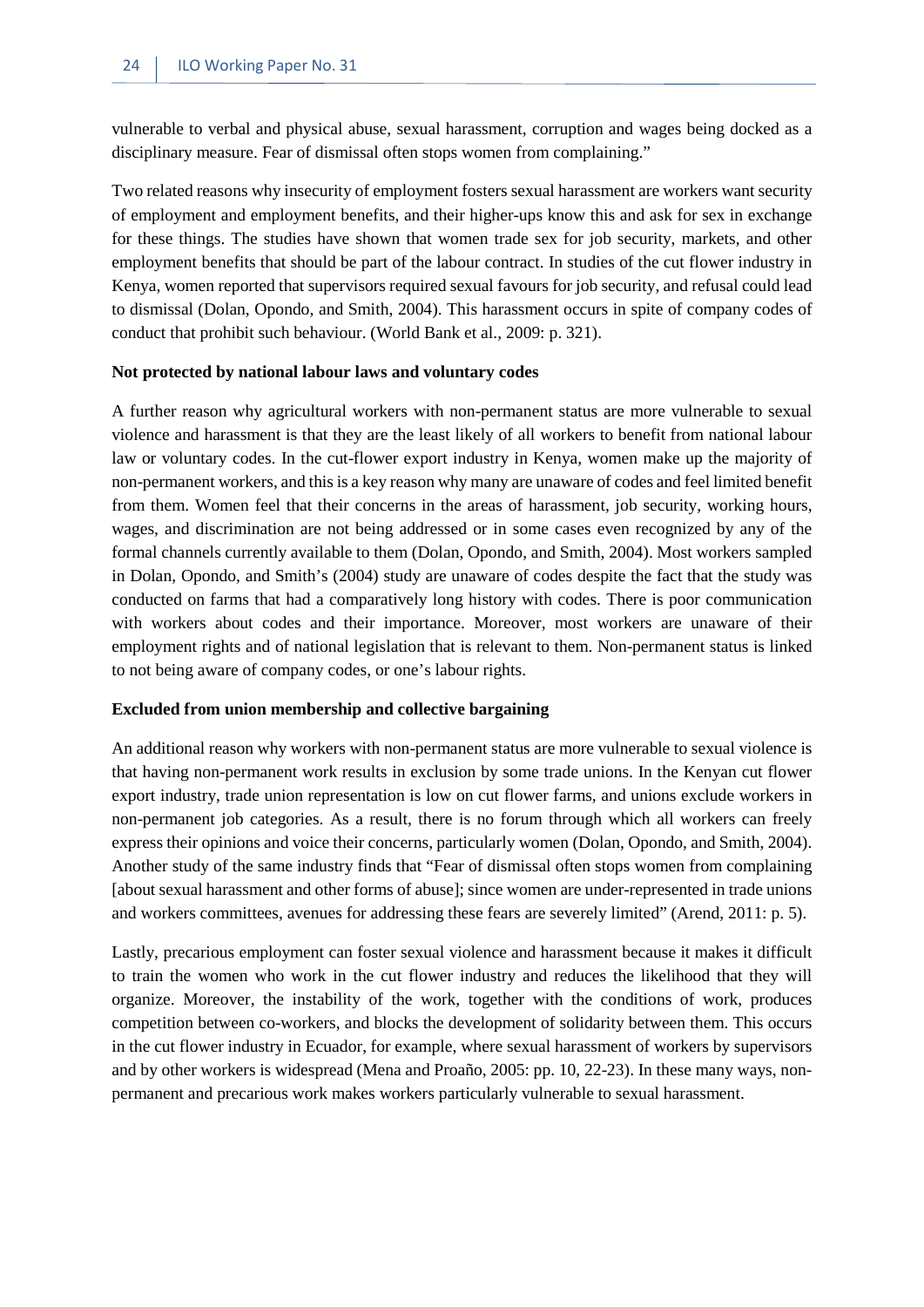vulnerable to verbal and physical abuse, sexual harassment, corruption and wages being docked as a disciplinary measure. Fear of dismissal often stops women from complaining."

Two related reasons why insecurity of employment fosters sexual harassment are workers want security of employment and employment benefits, and their higher-ups know this and ask for sex in exchange for these things. The studies have shown that women trade sex for job security, markets, and other employment benefits that should be part of the labour contract. In studies of the cut flower industry in Kenya, women reported that supervisors required sexual favours for job security, and refusal could lead to dismissal (Dolan, Opondo, and Smith, 2004). This harassment occurs in spite of company codes of conduct that prohibit such behaviour. (World Bank et al., 2009: p. 321).

#### **Not protected by national labour laws and voluntary codes**

A further reason why agricultural workers with non-permanent status are more vulnerable to sexual violence and harassment is that they are the least likely of all workers to benefit from national labour law or voluntary codes. In the cut-flower export industry in Kenya, women make up the majority of non-permanent workers, and this is a key reason why many are unaware of codes and feel limited benefit from them. Women feel that their concerns in the areas of harassment, job security, working hours, wages, and discrimination are not being addressed or in some cases even recognized by any of the formal channels currently available to them (Dolan, Opondo, and Smith, 2004). Most workers sampled in Dolan, Opondo, and Smith's (2004) study are unaware of codes despite the fact that the study was conducted on farms that had a comparatively long history with codes. There is poor communication with workers about codes and their importance. Moreover, most workers are unaware of their employment rights and of national legislation that is relevant to them. Non-permanent status is linked to not being aware of company codes, or one's labour rights.

#### **Excluded from union membership and collective bargaining**

An additional reason why workers with non-permanent status are more vulnerable to sexual violence is that having non-permanent work results in exclusion by some trade unions. In the Kenyan cut flower export industry, trade union representation is low on cut flower farms, and unions exclude workers in non-permanent job categories. As a result, there is no forum through which all workers can freely express their opinions and voice their concerns, particularly women (Dolan, Opondo, and Smith, 2004). Another study of the same industry finds that "Fear of dismissal often stops women from complaining [about sexual harassment and other forms of abuse]; since women are under-represented in trade unions and workers committees, avenues for addressing these fears are severely limited" (Arend, 2011: p. 5).

Lastly, precarious employment can foster sexual violence and harassment because it makes it difficult to train the women who work in the cut flower industry and reduces the likelihood that they will organize. Moreover, the instability of the work, together with the conditions of work, produces competition between co-workers, and blocks the development of solidarity between them. This occurs in the cut flower industry in Ecuador, for example, where sexual harassment of workers by supervisors and by other workers is widespread (Mena and Proaño, 2005: pp. 10, 22-23). In these many ways, nonpermanent and precarious work makes workers particularly vulnerable to sexual harassment.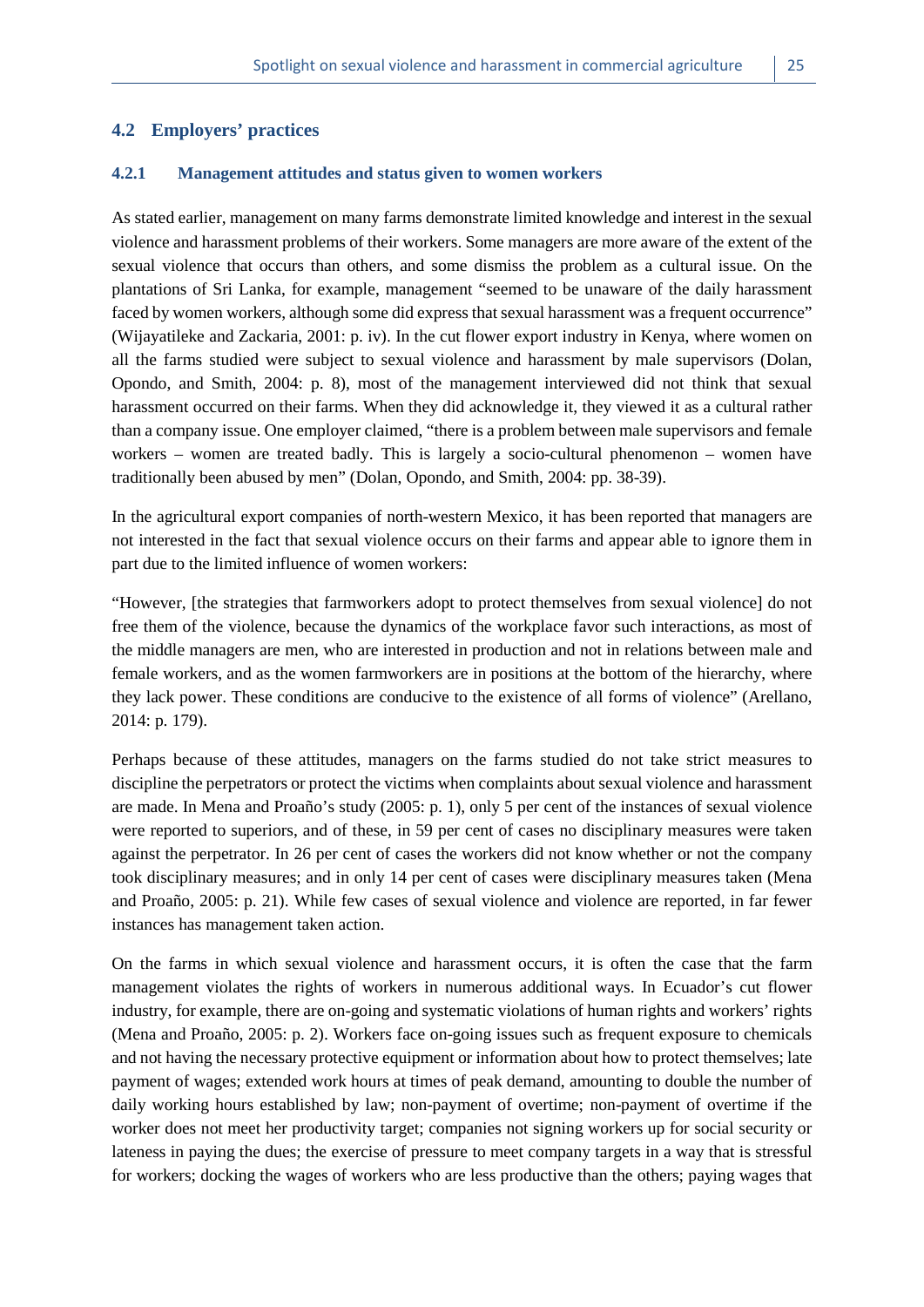#### <span id="page-32-1"></span><span id="page-32-0"></span>**4.2 Employers' practices**

#### **4.2.1 Management attitudes and status given to women workers**

As stated earlier, management on many farms demonstrate limited knowledge and interest in the sexual violence and harassment problems of their workers. Some managers are more aware of the extent of the sexual violence that occurs than others, and some dismiss the problem as a cultural issue. On the plantations of Sri Lanka, for example, management "seemed to be unaware of the daily harassment faced by women workers, although some did express that sexual harassment was a frequent occurrence" (Wijayatileke and Zackaria, 2001: p. iv). In the cut flower export industry in Kenya, where women on all the farms studied were subject to sexual violence and harassment by male supervisors (Dolan, Opondo, and Smith, 2004: p. 8), most of the management interviewed did not think that sexual harassment occurred on their farms. When they did acknowledge it, they viewed it as a cultural rather than a company issue. One employer claimed, "there is a problem between male supervisors and female workers – women are treated badly. This is largely a socio-cultural phenomenon – women have traditionally been abused by men" (Dolan, Opondo, and Smith, 2004: pp. 38-39).

In the agricultural export companies of north-western Mexico, it has been reported that managers are not interested in the fact that sexual violence occurs on their farms and appear able to ignore them in part due to the limited influence of women workers:

"However, [the strategies that farmworkers adopt to protect themselves from sexual violence] do not free them of the violence, because the dynamics of the workplace favor such interactions, as most of the middle managers are men, who are interested in production and not in relations between male and female workers, and as the women farmworkers are in positions at the bottom of the hierarchy, where they lack power. These conditions are conducive to the existence of all forms of violence" (Arellano, 2014: p. 179).

Perhaps because of these attitudes, managers on the farms studied do not take strict measures to discipline the perpetrators or protect the victims when complaints about sexual violence and harassment are made. In Mena and Proaño's study (2005: p. 1), only 5 per cent of the instances of sexual violence were reported to superiors, and of these, in 59 per cent of cases no disciplinary measures were taken against the perpetrator. In 26 per cent of cases the workers did not know whether or not the company took disciplinary measures; and in only 14 per cent of cases were disciplinary measures taken (Mena and Proaño, 2005: p. 21). While few cases of sexual violence and violence are reported, in far fewer instances has management taken action.

On the farms in which sexual violence and harassment occurs, it is often the case that the farm management violates the rights of workers in numerous additional ways. In Ecuador's cut flower industry, for example, there are on-going and systematic violations of human rights and workers' rights (Mena and Proaño, 2005: p. 2). Workers face on-going issues such as frequent exposure to chemicals and not having the necessary protective equipment or information about how to protect themselves; late payment of wages; extended work hours at times of peak demand, amounting to double the number of daily working hours established by law; non-payment of overtime; non-payment of overtime if the worker does not meet her productivity target; companies not signing workers up for social security or lateness in paying the dues; the exercise of pressure to meet company targets in a way that is stressful for workers; docking the wages of workers who are less productive than the others; paying wages that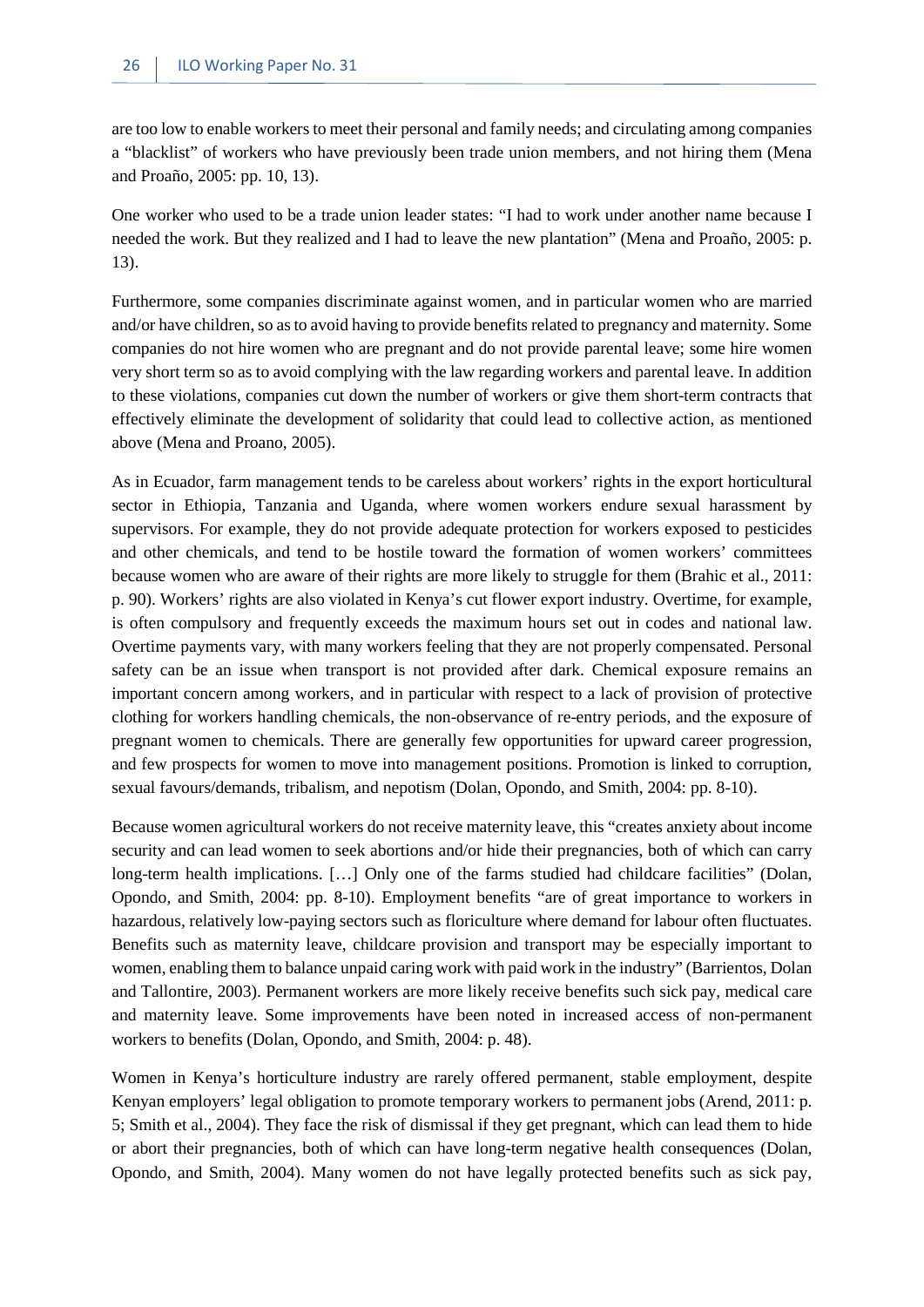are too low to enable workers to meet their personal and family needs; and circulating among companies a "blacklist" of workers who have previously been trade union members, and not hiring them (Mena and Proaño, 2005: pp. 10, 13).

One worker who used to be a trade union leader states: "I had to work under another name because I needed the work. But they realized and I had to leave the new plantation" (Mena and Proaño, 2005: p. 13).

Furthermore, some companies discriminate against women, and in particular women who are married and/or have children, so as to avoid having to provide benefits related to pregnancy and maternity. Some companies do not hire women who are pregnant and do not provide parental leave; some hire women very short term so as to avoid complying with the law regarding workers and parental leave. In addition to these violations, companies cut down the number of workers or give them short-term contracts that effectively eliminate the development of solidarity that could lead to collective action, as mentioned above (Mena and Proano, 2005).

As in Ecuador, farm management tends to be careless about workers' rights in the export horticultural sector in Ethiopia, Tanzania and Uganda, where women workers endure sexual harassment by supervisors. For example, they do not provide adequate protection for workers exposed to pesticides and other chemicals, and tend to be hostile toward the formation of women workers' committees because women who are aware of their rights are more likely to struggle for them (Brahic et al., 2011: p. 90). Workers' rights are also violated in Kenya's cut flower export industry. Overtime, for example, is often compulsory and frequently exceeds the maximum hours set out in codes and national law. Overtime payments vary, with many workers feeling that they are not properly compensated. Personal safety can be an issue when transport is not provided after dark. Chemical exposure remains an important concern among workers, and in particular with respect to a lack of provision of protective clothing for workers handling chemicals, the non-observance of re-entry periods, and the exposure of pregnant women to chemicals. There are generally few opportunities for upward career progression, and few prospects for women to move into management positions. Promotion is linked to corruption, sexual favours/demands, tribalism, and nepotism (Dolan, Opondo, and Smith, 2004: pp. 8-10).

Because women agricultural workers do not receive maternity leave, this "creates anxiety about income security and can lead women to seek abortions and/or hide their pregnancies, both of which can carry long-term health implications. […] Only one of the farms studied had childcare facilities" (Dolan, Opondo, and Smith, 2004: pp. 8-10). Employment benefits "are of great importance to workers in hazardous, relatively low-paying sectors such as floriculture where demand for labour often fluctuates. Benefits such as maternity leave, childcare provision and transport may be especially important to women, enabling them to balance unpaid caring work with paid work in the industry" (Barrientos, Dolan and Tallontire, 2003). Permanent workers are more likely receive benefits such sick pay, medical care and maternity leave. Some improvements have been noted in increased access of non-permanent workers to benefits (Dolan, Opondo, and Smith, 2004: p. 48).

Women in Kenya's horticulture industry are rarely offered permanent, stable employment, despite Kenyan employers' legal obligation to promote temporary workers to permanent jobs (Arend, 2011: p. 5; Smith et al., 2004). They face the risk of dismissal if they get pregnant, which can lead them to hide or abort their pregnancies, both of which can have long-term negative health consequences (Dolan, Opondo, and Smith, 2004). Many women do not have legally protected benefits such as sick pay,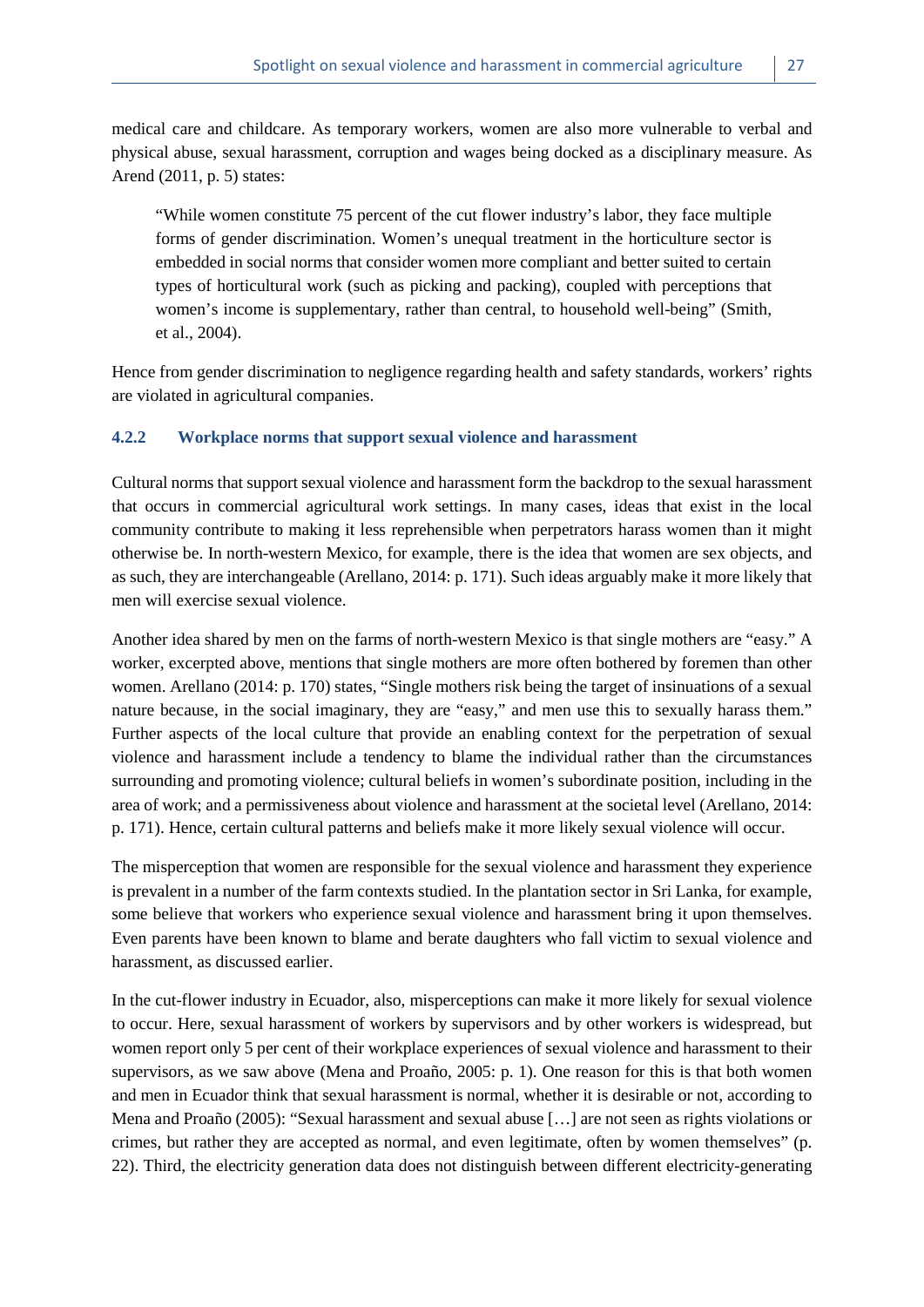medical care and childcare. As temporary workers, women are also more vulnerable to verbal and physical abuse, sexual harassment, corruption and wages being docked as a disciplinary measure. As Arend (2011, p. 5) states:

"While women constitute 75 percent of the cut flower industry's labor, they face multiple forms of gender discrimination. Women's unequal treatment in the horticulture sector is embedded in social norms that consider women more compliant and better suited to certain types of horticultural work (such as picking and packing), coupled with perceptions that women's income is supplementary, rather than central, to household well-being" (Smith, et al., 2004).

Hence from gender discrimination to negligence regarding health and safety standards, workers' rights are violated in agricultural companies.

#### <span id="page-34-0"></span>**4.2.2 Workplace norms that support sexual violence and harassment**

Cultural norms that support sexual violence and harassment form the backdrop to the sexual harassment that occurs in commercial agricultural work settings. In many cases, ideas that exist in the local community contribute to making it less reprehensible when perpetrators harass women than it might otherwise be. In north-western Mexico, for example, there is the idea that women are sex objects, and as such, they are interchangeable (Arellano, 2014: p. 171). Such ideas arguably make it more likely that men will exercise sexual violence.

Another idea shared by men on the farms of north-western Mexico is that single mothers are "easy." A worker, excerpted above, mentions that single mothers are more often bothered by foremen than other women. Arellano (2014: p. 170) states, "Single mothers risk being the target of insinuations of a sexual nature because, in the social imaginary, they are "easy," and men use this to sexually harass them." Further aspects of the local culture that provide an enabling context for the perpetration of sexual violence and harassment include a tendency to blame the individual rather than the circumstances surrounding and promoting violence; cultural beliefs in women's subordinate position, including in the area of work; and a permissiveness about violence and harassment at the societal level (Arellano, 2014: p. 171). Hence, certain cultural patterns and beliefs make it more likely sexual violence will occur.

The misperception that women are responsible for the sexual violence and harassment they experience is prevalent in a number of the farm contexts studied. In the plantation sector in Sri Lanka, for example, some believe that workers who experience sexual violence and harassment bring it upon themselves. Even parents have been known to blame and berate daughters who fall victim to sexual violence and harassment, as discussed earlier.

In the cut-flower industry in Ecuador, also, misperceptions can make it more likely for sexual violence to occur. Here, sexual harassment of workers by supervisors and by other workers is widespread, but women report only 5 per cent of their workplace experiences of sexual violence and harassment to their supervisors, as we saw above (Mena and Proaño, 2005: p. 1). One reason for this is that both women and men in Ecuador think that sexual harassment is normal, whether it is desirable or not, according to Mena and Proaño (2005): "Sexual harassment and sexual abuse […] are not seen as rights violations or crimes, but rather they are accepted as normal, and even legitimate, often by women themselves" (p. 22). Third, the electricity generation data does not distinguish between different electricity-generating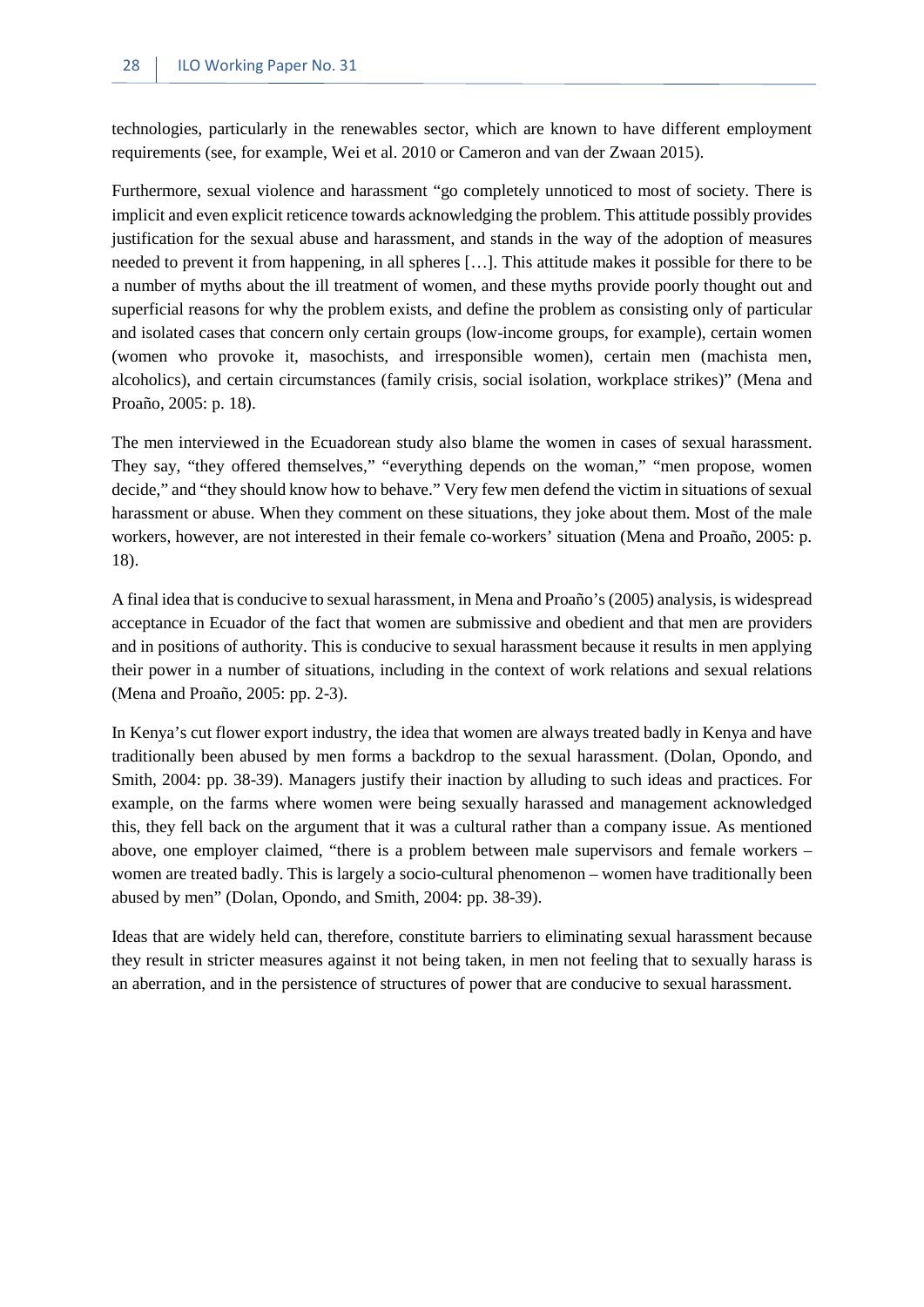technologies, particularly in the renewables sector, which are known to have different employment requirements (see, for example, Wei et al. 2010 or Cameron and van der Zwaan 2015).

Furthermore, sexual violence and harassment "go completely unnoticed to most of society. There is implicit and even explicit reticence towards acknowledging the problem. This attitude possibly provides justification for the sexual abuse and harassment, and stands in the way of the adoption of measures needed to prevent it from happening, in all spheres […]. This attitude makes it possible for there to be a number of myths about the ill treatment of women, and these myths provide poorly thought out and superficial reasons for why the problem exists, and define the problem as consisting only of particular and isolated cases that concern only certain groups (low-income groups, for example), certain women (women who provoke it, masochists, and irresponsible women), certain men (machista men, alcoholics), and certain circumstances (family crisis, social isolation, workplace strikes)" (Mena and Proaño, 2005: p. 18).

The men interviewed in the Ecuadorean study also blame the women in cases of sexual harassment. They say, "they offered themselves," "everything depends on the woman," "men propose, women decide," and "they should know how to behave." Very few men defend the victim in situations of sexual harassment or abuse. When they comment on these situations, they joke about them. Most of the male workers, however, are not interested in their female co-workers' situation (Mena and Proaño, 2005: p. 18).

A final idea that is conducive to sexual harassment, in Mena and Proaño's (2005) analysis, is widespread acceptance in Ecuador of the fact that women are submissive and obedient and that men are providers and in positions of authority. This is conducive to sexual harassment because it results in men applying their power in a number of situations, including in the context of work relations and sexual relations (Mena and Proaño, 2005: pp. 2-3).

In Kenya's cut flower export industry, the idea that women are always treated badly in Kenya and have traditionally been abused by men forms a backdrop to the sexual harassment. (Dolan, Opondo, and Smith, 2004: pp. 38-39). Managers justify their inaction by alluding to such ideas and practices. For example, on the farms where women were being sexually harassed and management acknowledged this, they fell back on the argument that it was a cultural rather than a company issue. As mentioned above, one employer claimed, "there is a problem between male supervisors and female workers – women are treated badly. This is largely a socio-cultural phenomenon – women have traditionally been abused by men" (Dolan, Opondo, and Smith, 2004: pp. 38-39).

Ideas that are widely held can, therefore, constitute barriers to eliminating sexual harassment because they result in stricter measures against it not being taken, in men not feeling that to sexually harass is an aberration, and in the persistence of structures of power that are conducive to sexual harassment.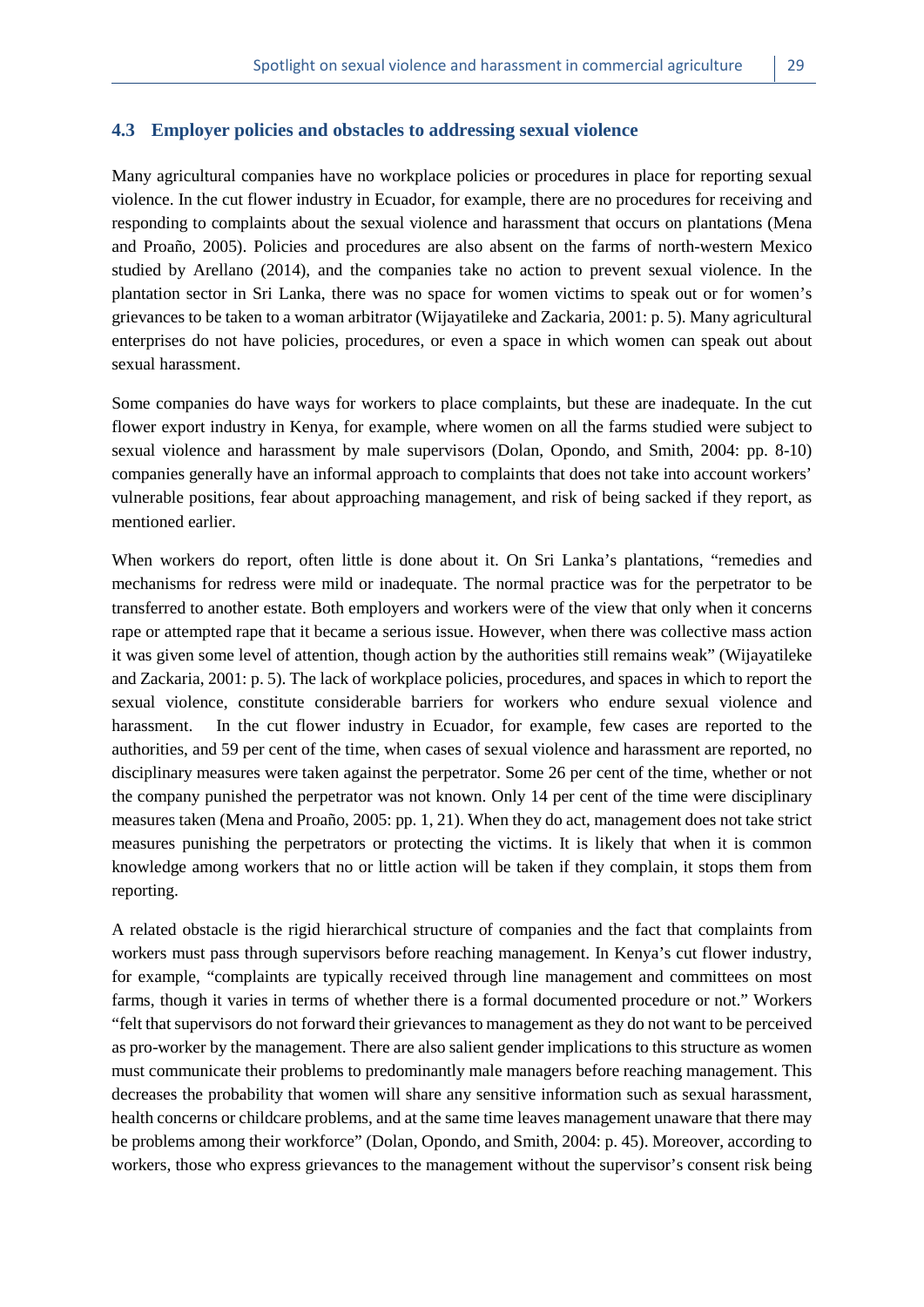#### <span id="page-36-0"></span>**4.3 Employer policies and obstacles to addressing sexual violence**

Many agricultural companies have no workplace policies or procedures in place for reporting sexual violence. In the cut flower industry in Ecuador, for example, there are no procedures for receiving and responding to complaints about the sexual violence and harassment that occurs on plantations (Mena and Proaño, 2005). Policies and procedures are also absent on the farms of north-western Mexico studied by Arellano (2014), and the companies take no action to prevent sexual violence. In the plantation sector in Sri Lanka, there was no space for women victims to speak out or for women's grievances to be taken to a woman arbitrator (Wijayatileke and Zackaria, 2001: p. 5). Many agricultural enterprises do not have policies, procedures, or even a space in which women can speak out about sexual harassment.

Some companies do have ways for workers to place complaints, but these are inadequate. In the cut flower export industry in Kenya, for example, where women on all the farms studied were subject to sexual violence and harassment by male supervisors (Dolan, Opondo, and Smith, 2004: pp. 8-10) companies generally have an informal approach to complaints that does not take into account workers' vulnerable positions, fear about approaching management, and risk of being sacked if they report, as mentioned earlier.

When workers do report, often little is done about it. On Sri Lanka's plantations, "remedies and mechanisms for redress were mild or inadequate. The normal practice was for the perpetrator to be transferred to another estate. Both employers and workers were of the view that only when it concerns rape or attempted rape that it became a serious issue. However, when there was collective mass action it was given some level of attention, though action by the authorities still remains weak" (Wijayatileke and Zackaria, 2001: p. 5). The lack of workplace policies, procedures, and spaces in which to report the sexual violence, constitute considerable barriers for workers who endure sexual violence and harassment. In the cut flower industry in Ecuador, for example, few cases are reported to the authorities, and 59 per cent of the time, when cases of sexual violence and harassment are reported, no disciplinary measures were taken against the perpetrator. Some 26 per cent of the time, whether or not the company punished the perpetrator was not known. Only 14 per cent of the time were disciplinary measures taken (Mena and Proaño, 2005: pp. 1, 21). When they do act, management does not take strict measures punishing the perpetrators or protecting the victims. It is likely that when it is common knowledge among workers that no or little action will be taken if they complain, it stops them from reporting.

A related obstacle is the rigid hierarchical structure of companies and the fact that complaints from workers must pass through supervisors before reaching management. In Kenya's cut flower industry, for example, "complaints are typically received through line management and committees on most farms, though it varies in terms of whether there is a formal documented procedure or not." Workers "felt that supervisors do not forward their grievances to management as they do not want to be perceived as pro-worker by the management. There are also salient gender implications to this structure as women must communicate their problems to predominantly male managers before reaching management. This decreases the probability that women will share any sensitive information such as sexual harassment, health concerns or childcare problems, and at the same time leaves management unaware that there may be problems among their workforce" (Dolan, Opondo, and Smith, 2004: p. 45). Moreover, according to workers, those who express grievances to the management without the supervisor's consent risk being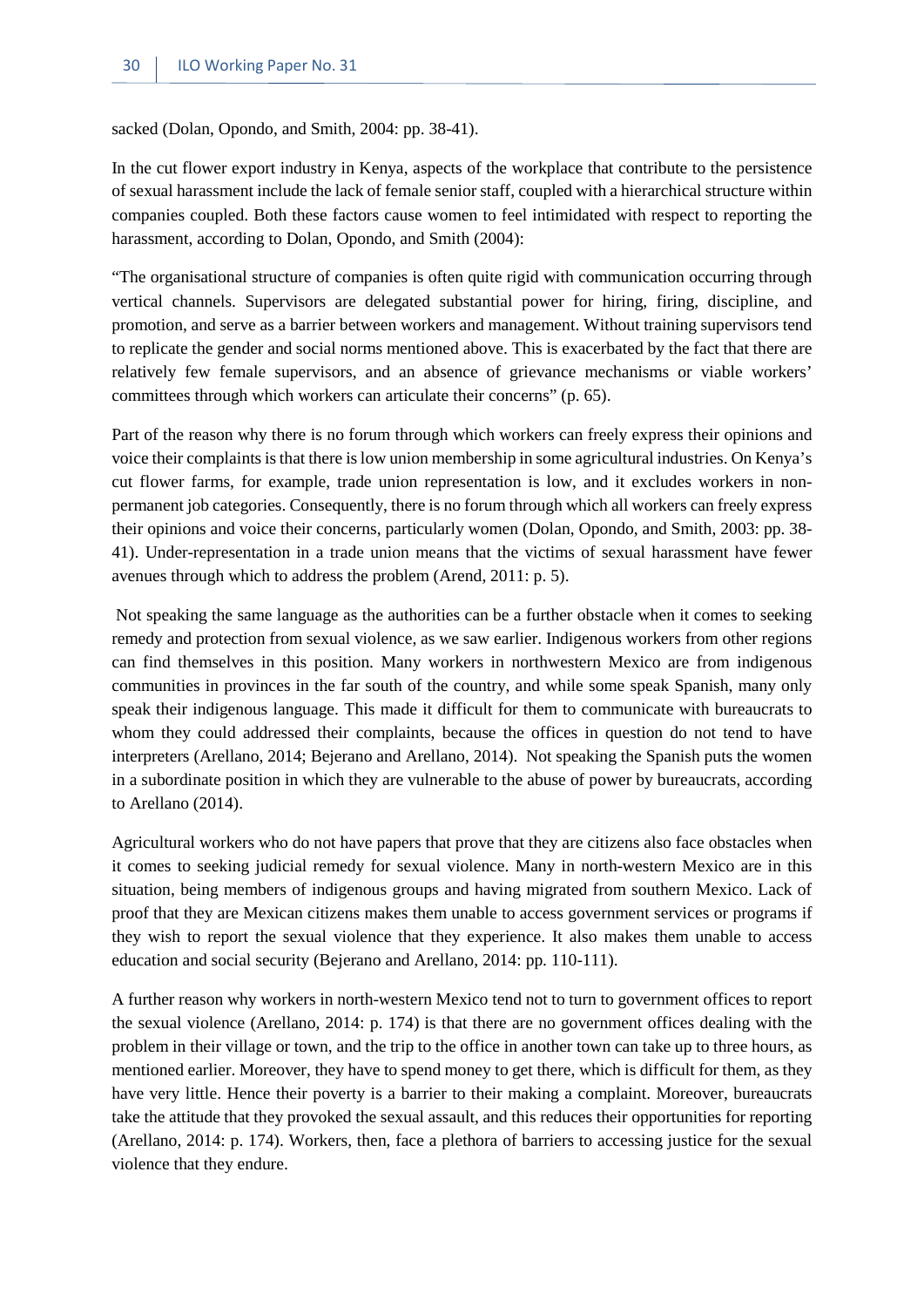sacked (Dolan, Opondo, and Smith, 2004: pp. 38-41).

In the cut flower export industry in Kenya, aspects of the workplace that contribute to the persistence of sexual harassment include the lack of female senior staff, coupled with a hierarchical structure within companies coupled. Both these factors cause women to feel intimidated with respect to reporting the harassment, according to Dolan, Opondo, and Smith (2004):

"The organisational structure of companies is often quite rigid with communication occurring through vertical channels. Supervisors are delegated substantial power for hiring, firing, discipline, and promotion, and serve as a barrier between workers and management. Without training supervisors tend to replicate the gender and social norms mentioned above. This is exacerbated by the fact that there are relatively few female supervisors, and an absence of grievance mechanisms or viable workers' committees through which workers can articulate their concerns" (p. 65).

Part of the reason why there is no forum through which workers can freely express their opinions and voice their complaints is that there is low union membership in some agricultural industries. On Kenya's cut flower farms, for example, trade union representation is low, and it excludes workers in nonpermanent job categories. Consequently, there is no forum through which all workers can freely express their opinions and voice their concerns, particularly women (Dolan, Opondo, and Smith, 2003: pp. 38- 41). Under-representation in a trade union means that the victims of sexual harassment have fewer avenues through which to address the problem (Arend, 2011: p. 5).

Not speaking the same language as the authorities can be a further obstacle when it comes to seeking remedy and protection from sexual violence, as we saw earlier. Indigenous workers from other regions can find themselves in this position. Many workers in northwestern Mexico are from indigenous communities in provinces in the far south of the country, and while some speak Spanish, many only speak their indigenous language. This made it difficult for them to communicate with bureaucrats to whom they could addressed their complaints, because the offices in question do not tend to have interpreters (Arellano, 2014; Bejerano and Arellano, 2014). Not speaking the Spanish puts the women in a subordinate position in which they are vulnerable to the abuse of power by bureaucrats, according to Arellano (2014).

Agricultural workers who do not have papers that prove that they are citizens also face obstacles when it comes to seeking judicial remedy for sexual violence. Many in north-western Mexico are in this situation, being members of indigenous groups and having migrated from southern Mexico. Lack of proof that they are Mexican citizens makes them unable to access government services or programs if they wish to report the sexual violence that they experience. It also makes them unable to access education and social security (Bejerano and Arellano, 2014: pp. 110-111).

A further reason why workers in north-western Mexico tend not to turn to government offices to report the sexual violence (Arellano, 2014: p. 174) is that there are no government offices dealing with the problem in their village or town, and the trip to the office in another town can take up to three hours, as mentioned earlier. Moreover, they have to spend money to get there, which is difficult for them, as they have very little. Hence their poverty is a barrier to their making a complaint. Moreover, bureaucrats take the attitude that they provoked the sexual assault, and this reduces their opportunities for reporting (Arellano, 2014: p. 174). Workers, then, face a plethora of barriers to accessing justice for the sexual violence that they endure.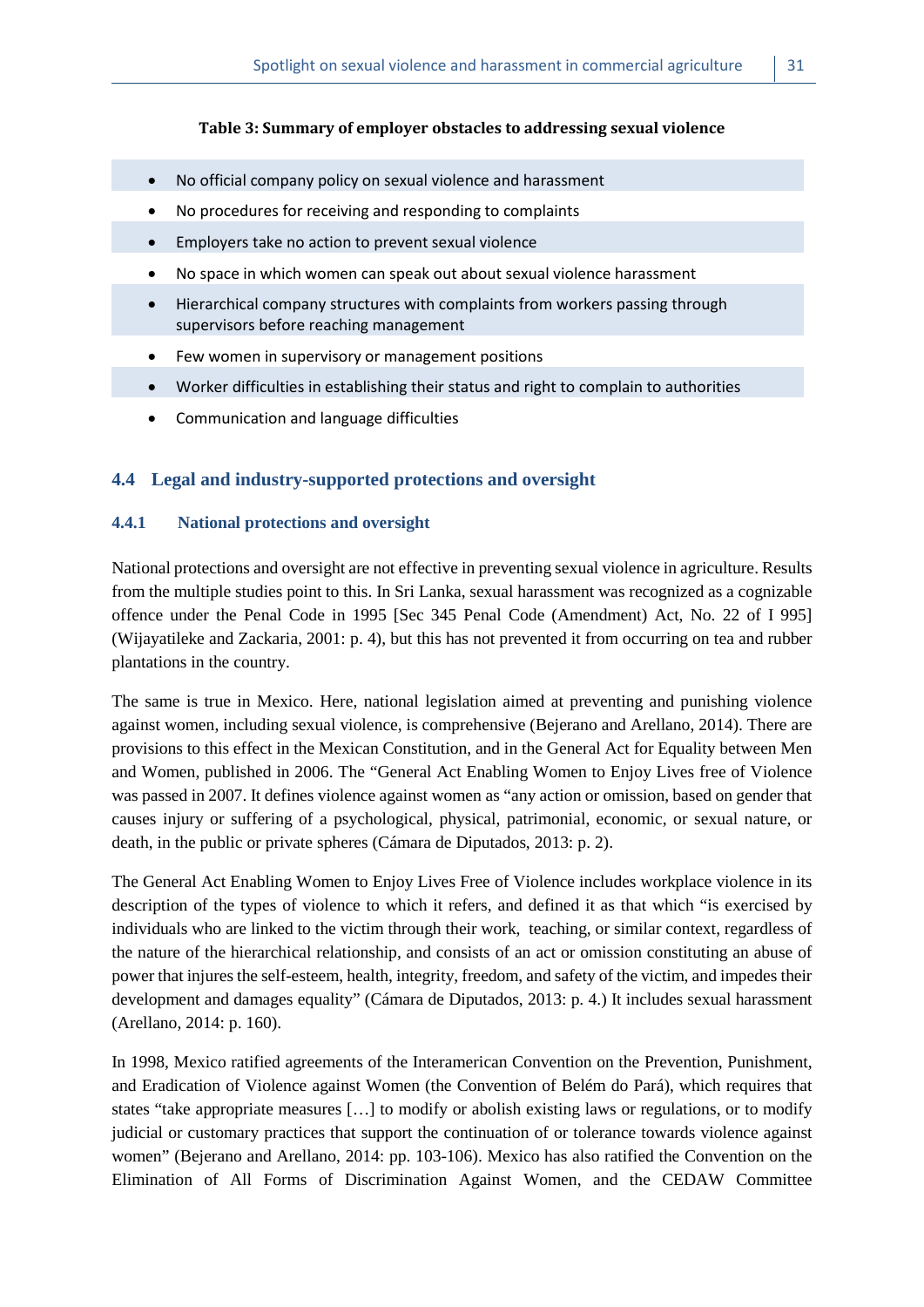#### **Table 3: Summary of employer obstacles to addressing sexual violence**

- <span id="page-38-2"></span>• No official company policy on sexual violence and harassment
- No procedures for receiving and responding to complaints
- Employers take no action to prevent sexual violence
- No space in which women can speak out about sexual violence harassment
- Hierarchical company structures with complaints from workers passing through supervisors before reaching management
- Few women in supervisory or management positions
- Worker difficulties in establishing their status and right to complain to authorities
- Communication and language difficulties

#### <span id="page-38-0"></span>**4.4 Legal and industry-supported protections and oversight**

#### <span id="page-38-1"></span>**4.4.1 National protections and oversight**

National protections and oversight are not effective in preventing sexual violence in agriculture. Results from the multiple studies point to this. In Sri Lanka, sexual harassment was recognized as a cognizable offence under the Penal Code in 1995 [Sec 345 Penal Code (Amendment) Act, No. 22 of I 995] (Wijayatileke and Zackaria, 2001: p. 4), but this has not prevented it from occurring on tea and rubber plantations in the country.

The same is true in Mexico. Here, national legislation aimed at preventing and punishing violence against women, including sexual violence, is comprehensive (Bejerano and Arellano, 2014). There are provisions to this effect in the Mexican Constitution, and in the General Act for Equality between Men and Women, published in 2006. The "General Act Enabling Women to Enjoy Lives free of Violence was passed in 2007. It defines violence against women as "any action or omission, based on gender that causes injury or suffering of a psychological, physical, patrimonial, economic, or sexual nature, or death, in the public or private spheres (Cámara de Diputados, 2013: p. 2).

The General Act Enabling Women to Enjoy Lives Free of Violence includes workplace violence in its description of the types of violence to which it refers, and defined it as that which "is exercised by individuals who are linked to the victim through their work, teaching, or similar context, regardless of the nature of the hierarchical relationship, and consists of an act or omission constituting an abuse of power that injures the self-esteem, health, integrity, freedom, and safety of the victim, and impedes their development and damages equality" (Cámara de Diputados, 2013: p. 4.) It includes sexual harassment (Arellano, 2014: p. 160).

In 1998, Mexico ratified agreements of the Interamerican Convention on the Prevention, Punishment, and Eradication of Violence against Women (the Convention of Belém do Pará), which requires that states "take appropriate measures […] to modify or abolish existing laws or regulations, or to modify judicial or customary practices that support the continuation of or tolerance towards violence against women" (Bejerano and Arellano, 2014: pp. 103-106). Mexico has also ratified the Convention on the Elimination of All Forms of Discrimination Against Women, and the CEDAW Committee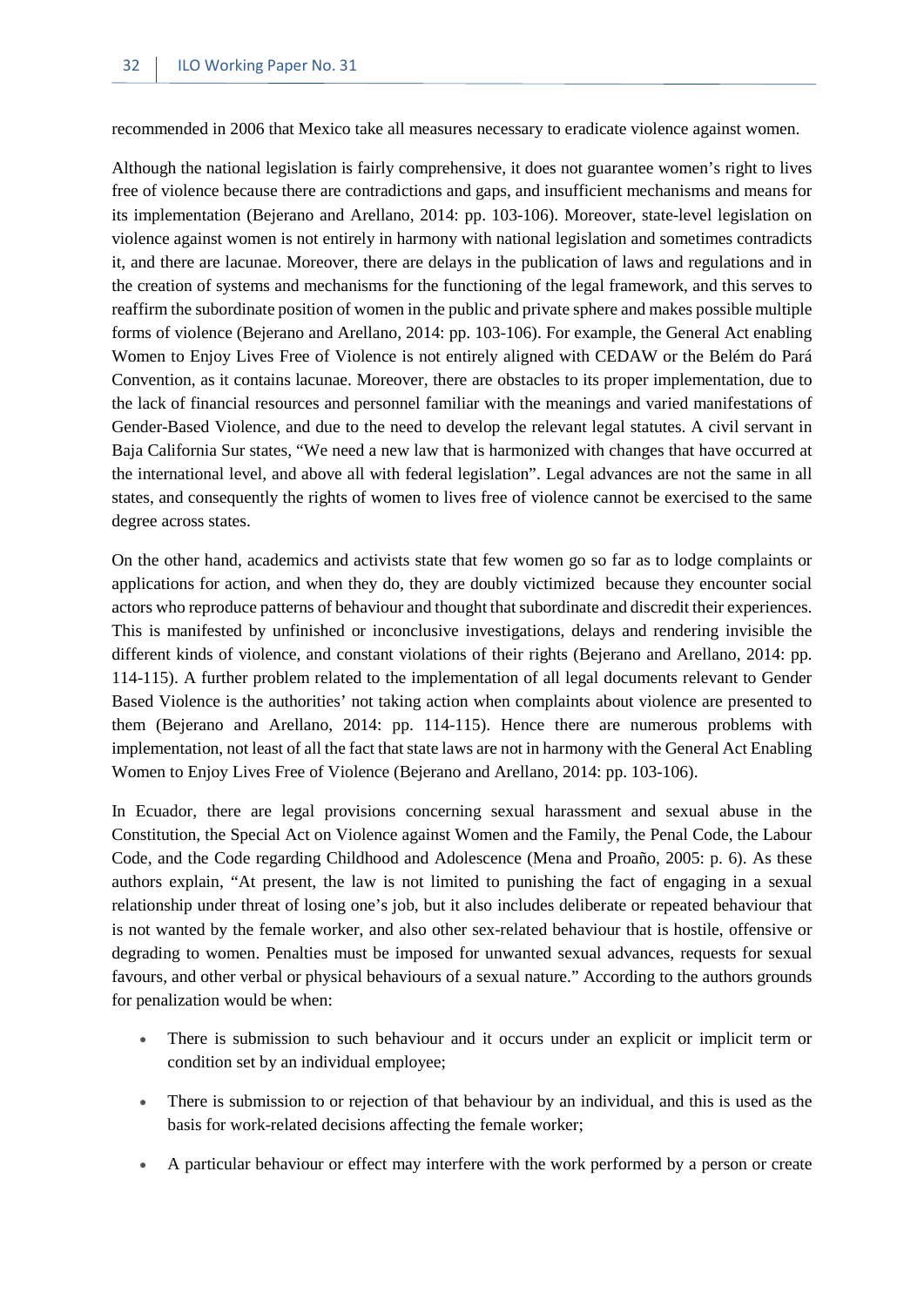recommended in 2006 that Mexico take all measures necessary to eradicate violence against women.

Although the national legislation is fairly comprehensive, it does not guarantee women's right to lives free of violence because there are contradictions and gaps, and insufficient mechanisms and means for its implementation (Bejerano and Arellano, 2014: pp. 103-106). Moreover, state-level legislation on violence against women is not entirely in harmony with national legislation and sometimes contradicts it, and there are lacunae. Moreover, there are delays in the publication of laws and regulations and in the creation of systems and mechanisms for the functioning of the legal framework, and this serves to reaffirm the subordinate position of women in the public and private sphere and makes possible multiple forms of violence (Bejerano and Arellano, 2014: pp. 103-106). For example, the General Act enabling Women to Enjoy Lives Free of Violence is not entirely aligned with CEDAW or the Belém do Pará Convention, as it contains lacunae. Moreover, there are obstacles to its proper implementation, due to the lack of financial resources and personnel familiar with the meanings and varied manifestations of Gender-Based Violence, and due to the need to develop the relevant legal statutes. A civil servant in Baja California Sur states, "We need a new law that is harmonized with changes that have occurred at the international level, and above all with federal legislation". Legal advances are not the same in all states, and consequently the rights of women to lives free of violence cannot be exercised to the same degree across states.

On the other hand, academics and activists state that few women go so far as to lodge complaints or applications for action, and when they do, they are doubly victimized because they encounter social actors who reproduce patterns of behaviour and thought that subordinate and discredit their experiences. This is manifested by unfinished or inconclusive investigations, delays and rendering invisible the different kinds of violence, and constant violations of their rights (Bejerano and Arellano, 2014: pp. 114-115). A further problem related to the implementation of all legal documents relevant to Gender Based Violence is the authorities' not taking action when complaints about violence are presented to them (Bejerano and Arellano, 2014: pp. 114-115). Hence there are numerous problems with implementation, not least of all the fact that state laws are not in harmony with the General Act Enabling Women to Enjoy Lives Free of Violence (Bejerano and Arellano, 2014: pp. 103-106).

In Ecuador, there are legal provisions concerning sexual harassment and sexual abuse in the Constitution, the Special Act on Violence against Women and the Family, the Penal Code, the Labour Code, and the Code regarding Childhood and Adolescence (Mena and Proaño, 2005: p. 6). As these authors explain, "At present, the law is not limited to punishing the fact of engaging in a sexual relationship under threat of losing one's job, but it also includes deliberate or repeated behaviour that is not wanted by the female worker, and also other sex-related behaviour that is hostile, offensive or degrading to women. Penalties must be imposed for unwanted sexual advances, requests for sexual favours, and other verbal or physical behaviours of a sexual nature." According to the authors grounds for penalization would be when:

- There is submission to such behaviour and it occurs under an explicit or implicit term or condition set by an individual employee;
- There is submission to or rejection of that behaviour by an individual, and this is used as the basis for work-related decisions affecting the female worker;
- A particular behaviour or effect may interfere with the work performed by a person or create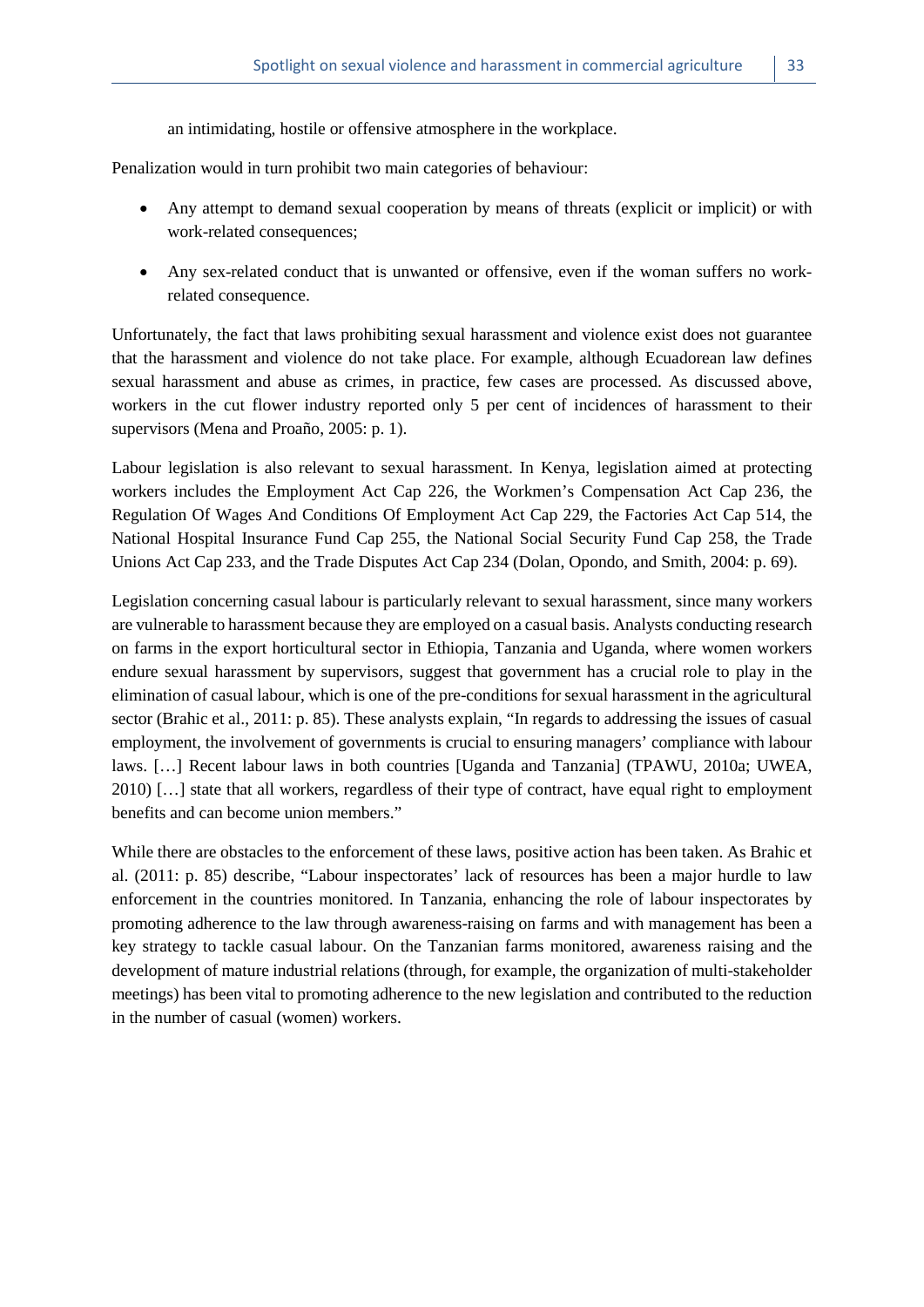an intimidating, hostile or offensive atmosphere in the workplace.

Penalization would in turn prohibit two main categories of behaviour:

- Any attempt to demand sexual cooperation by means of threats (explicit or implicit) or with work-related consequences;
- Any sex-related conduct that is unwanted or offensive, even if the woman suffers no workrelated consequence.

Unfortunately, the fact that laws prohibiting sexual harassment and violence exist does not guarantee that the harassment and violence do not take place. For example, although Ecuadorean law defines sexual harassment and abuse as crimes, in practice, few cases are processed. As discussed above, workers in the cut flower industry reported only 5 per cent of incidences of harassment to their supervisors (Mena and Proaño, 2005: p. 1).

Labour legislation is also relevant to sexual harassment. In Kenya, legislation aimed at protecting workers includes the Employment Act Cap 226, the Workmen's Compensation Act Cap 236, the Regulation Of Wages And Conditions Of Employment Act Cap 229, the Factories Act Cap 514, the National Hospital Insurance Fund Cap 255, the National Social Security Fund Cap 258, the Trade Unions Act Cap 233, and the Trade Disputes Act Cap 234 (Dolan, Opondo, and Smith, 2004: p. 69).

Legislation concerning casual labour is particularly relevant to sexual harassment, since many workers are vulnerable to harassment because they are employed on a casual basis. Analysts conducting research on farms in the export horticultural sector in Ethiopia, Tanzania and Uganda, where women workers endure sexual harassment by supervisors, suggest that government has a crucial role to play in the elimination of casual labour, which is one of the pre-conditions for sexual harassment in the agricultural sector (Brahic et al., 2011: p. 85). These analysts explain, "In regards to addressing the issues of casual employment, the involvement of governments is crucial to ensuring managers' compliance with labour laws. […] Recent labour laws in both countries [Uganda and Tanzania] (TPAWU, 2010a; UWEA, 2010) […] state that all workers, regardless of their type of contract, have equal right to employment benefits and can become union members."

While there are obstacles to the enforcement of these laws, positive action has been taken. As Brahic et al. (2011: p. 85) describe, "Labour inspectorates' lack of resources has been a major hurdle to law enforcement in the countries monitored. In Tanzania, enhancing the role of labour inspectorates by promoting adherence to the law through awareness-raising on farms and with management has been a key strategy to tackle casual labour. On the Tanzanian farms monitored, awareness raising and the development of mature industrial relations (through, for example, the organization of multi-stakeholder meetings) has been vital to promoting adherence to the new legislation and contributed to the reduction in the number of casual (women) workers.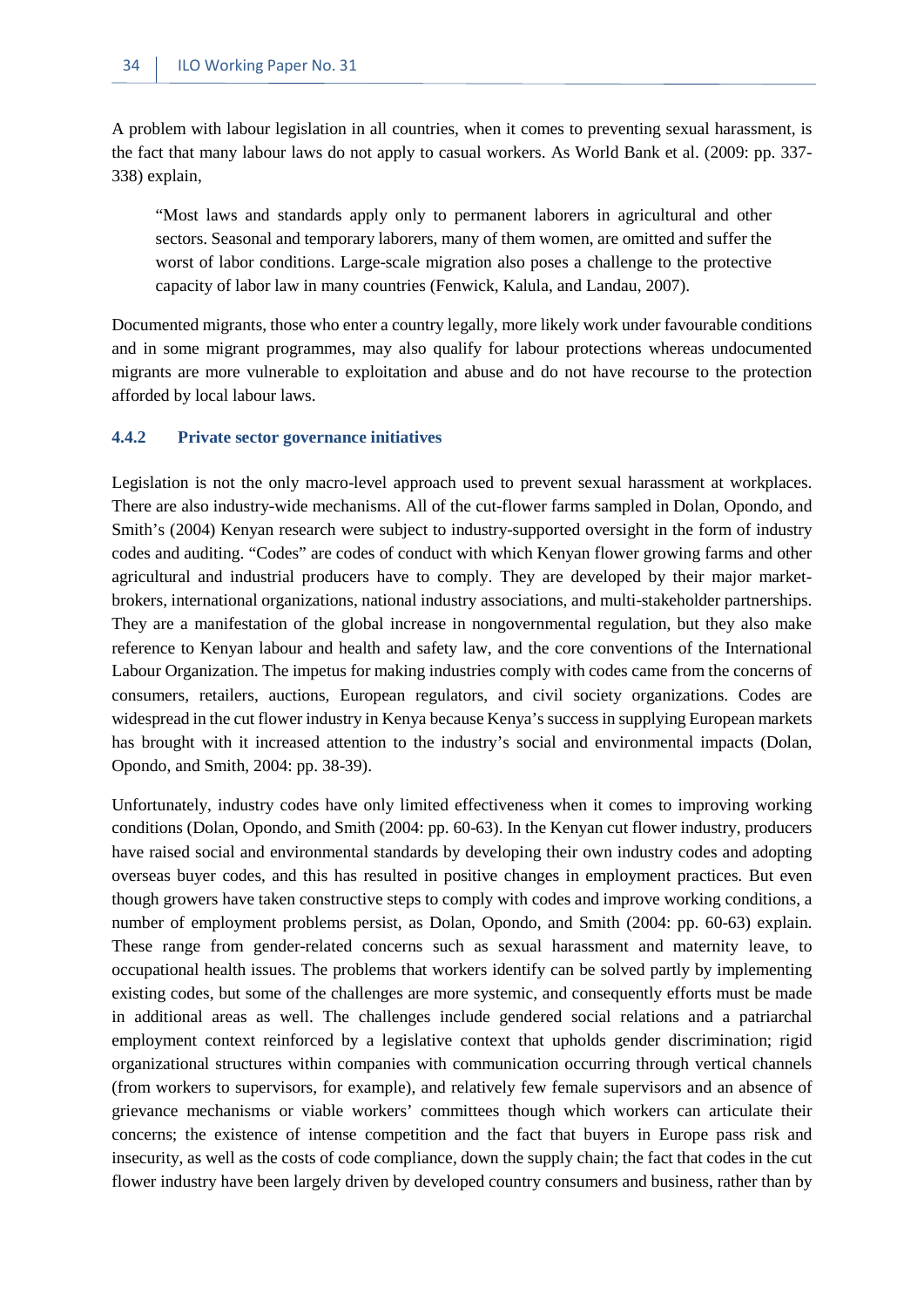A problem with labour legislation in all countries, when it comes to preventing sexual harassment, is the fact that many labour laws do not apply to casual workers. As World Bank et al. (2009: pp. 337- 338) explain,

"Most laws and standards apply only to permanent laborers in agricultural and other sectors. Seasonal and temporary laborers, many of them women, are omitted and suffer the worst of labor conditions. Large-scale migration also poses a challenge to the protective capacity of labor law in many countries (Fenwick, Kalula, and Landau, 2007).

Documented migrants, those who enter a country legally, more likely work under favourable conditions and in some migrant programmes, may also qualify for labour protections whereas undocumented migrants are more vulnerable to exploitation and abuse and do not have recourse to the protection afforded by local labour laws.

#### <span id="page-41-0"></span>**4.4.2 Private sector governance initiatives**

Legislation is not the only macro-level approach used to prevent sexual harassment at workplaces. There are also industry-wide mechanisms. All of the cut-flower farms sampled in Dolan, Opondo, and Smith's (2004) Kenyan research were subject to industry-supported oversight in the form of industry codes and auditing. "Codes" are codes of conduct with which Kenyan flower growing farms and other agricultural and industrial producers have to comply. They are developed by their major marketbrokers, international organizations, national industry associations, and multi-stakeholder partnerships. They are a manifestation of the global increase in nongovernmental regulation, but they also make reference to Kenyan labour and health and safety law, and the core conventions of the International Labour Organization. The impetus for making industries comply with codes came from the concerns of consumers, retailers, auctions, European regulators, and civil society organizations. Codes are widespread in the cut flower industry in Kenya because Kenya's success in supplying European markets has brought with it increased attention to the industry's social and environmental impacts (Dolan, Opondo, and Smith, 2004: pp. 38-39).

Unfortunately, industry codes have only limited effectiveness when it comes to improving working conditions (Dolan, Opondo, and Smith (2004: pp. 60-63). In the Kenyan cut flower industry, producers have raised social and environmental standards by developing their own industry codes and adopting overseas buyer codes, and this has resulted in positive changes in employment practices. But even though growers have taken constructive steps to comply with codes and improve working conditions, a number of employment problems persist, as Dolan, Opondo, and Smith (2004: pp. 60-63) explain. These range from gender-related concerns such as sexual harassment and maternity leave, to occupational health issues. The problems that workers identify can be solved partly by implementing existing codes, but some of the challenges are more systemic, and consequently efforts must be made in additional areas as well. The challenges include gendered social relations and a patriarchal employment context reinforced by a legislative context that upholds gender discrimination; rigid organizational structures within companies with communication occurring through vertical channels (from workers to supervisors, for example), and relatively few female supervisors and an absence of grievance mechanisms or viable workers' committees though which workers can articulate their concerns; the existence of intense competition and the fact that buyers in Europe pass risk and insecurity, as well as the costs of code compliance, down the supply chain; the fact that codes in the cut flower industry have been largely driven by developed country consumers and business, rather than by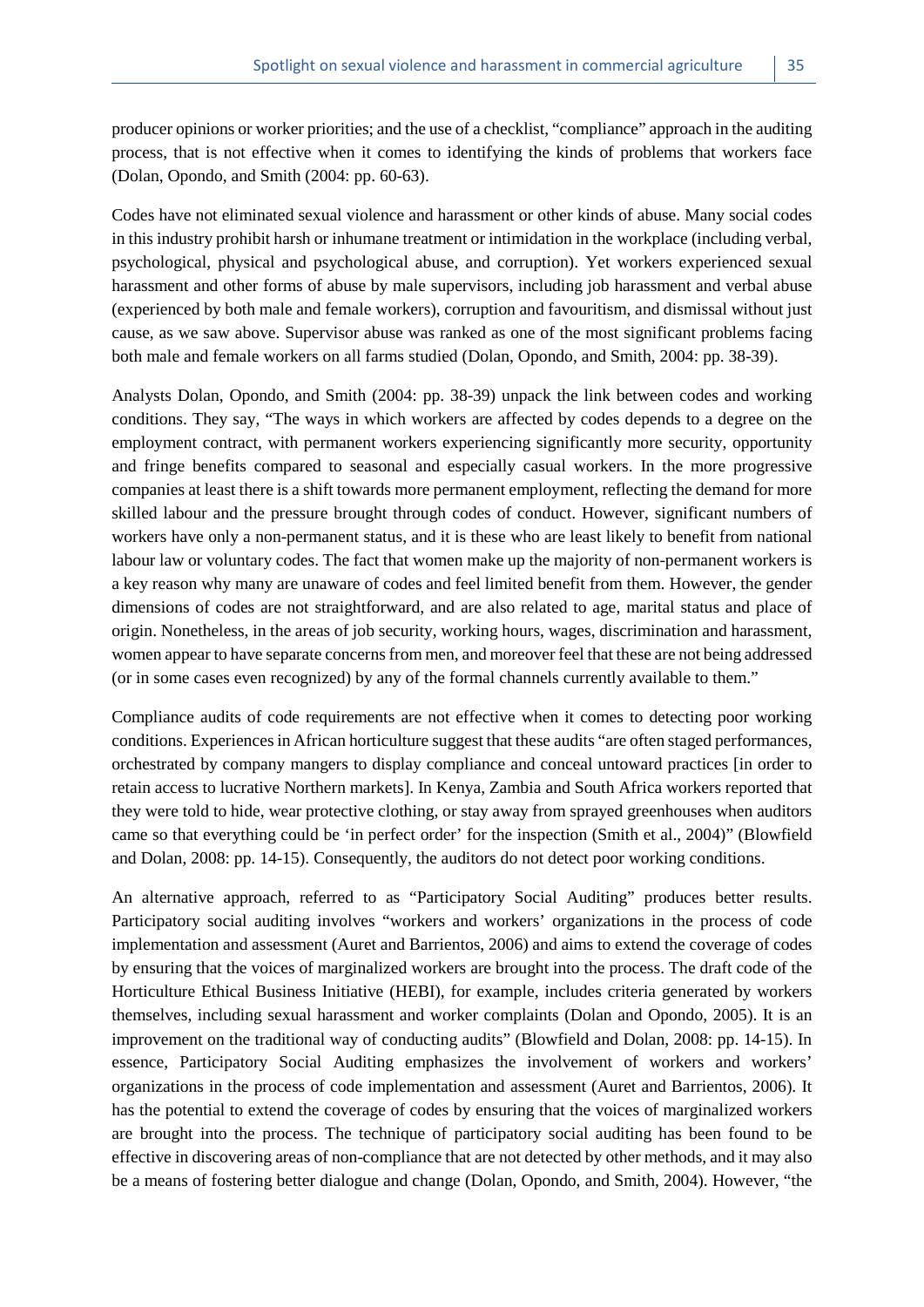producer opinions or worker priorities; and the use of a checklist, "compliance" approach in the auditing process, that is not effective when it comes to identifying the kinds of problems that workers face (Dolan, Opondo, and Smith (2004: pp. 60-63).

Codes have not eliminated sexual violence and harassment or other kinds of abuse. Many social codes in this industry prohibit harsh or inhumane treatment or intimidation in the workplace (including verbal, psychological, physical and psychological abuse, and corruption). Yet workers experienced sexual harassment and other forms of abuse by male supervisors, including job harassment and verbal abuse (experienced by both male and female workers), corruption and favouritism, and dismissal without just cause, as we saw above. Supervisor abuse was ranked as one of the most significant problems facing both male and female workers on all farms studied (Dolan, Opondo, and Smith, 2004: pp. 38-39).

Analysts Dolan, Opondo, and Smith (2004: pp. 38-39) unpack the link between codes and working conditions. They say, "The ways in which workers are affected by codes depends to a degree on the employment contract, with permanent workers experiencing significantly more security, opportunity and fringe benefits compared to seasonal and especially casual workers. In the more progressive companies at least there is a shift towards more permanent employment, reflecting the demand for more skilled labour and the pressure brought through codes of conduct. However, significant numbers of workers have only a non-permanent status, and it is these who are least likely to benefit from national labour law or voluntary codes. The fact that women make up the majority of non-permanent workers is a key reason why many are unaware of codes and feel limited benefit from them. However, the gender dimensions of codes are not straightforward, and are also related to age, marital status and place of origin. Nonetheless, in the areas of job security, working hours, wages, discrimination and harassment, women appear to have separate concerns from men, and moreover feel that these are not being addressed (or in some cases even recognized) by any of the formal channels currently available to them."

Compliance audits of code requirements are not effective when it comes to detecting poor working conditions. Experiences in African horticulture suggest that these audits "are often staged performances, orchestrated by company mangers to display compliance and conceal untoward practices [in order to retain access to lucrative Northern markets]. In Kenya, Zambia and South Africa workers reported that they were told to hide, wear protective clothing, or stay away from sprayed greenhouses when auditors came so that everything could be 'in perfect order' for the inspection (Smith et al., 2004)" (Blowfield and Dolan, 2008: pp. 14-15). Consequently, the auditors do not detect poor working conditions.

An alternative approach, referred to as "Participatory Social Auditing" produces better results. Participatory social auditing involves "workers and workers' organizations in the process of code implementation and assessment (Auret and Barrientos, 2006) and aims to extend the coverage of codes by ensuring that the voices of marginalized workers are brought into the process. The draft code of the Horticulture Ethical Business Initiative (HEBI), for example, includes criteria generated by workers themselves, including sexual harassment and worker complaints (Dolan and Opondo, 2005). It is an improvement on the traditional way of conducting audits" (Blowfield and Dolan, 2008: pp. 14-15). In essence, Participatory Social Auditing emphasizes the involvement of workers and workers' organizations in the process of code implementation and assessment (Auret and Barrientos, 2006). It has the potential to extend the coverage of codes by ensuring that the voices of marginalized workers are brought into the process. The technique of participatory social auditing has been found to be effective in discovering areas of non-compliance that are not detected by other methods, and it may also be a means of fostering better dialogue and change (Dolan, Opondo, and Smith, 2004). However, "the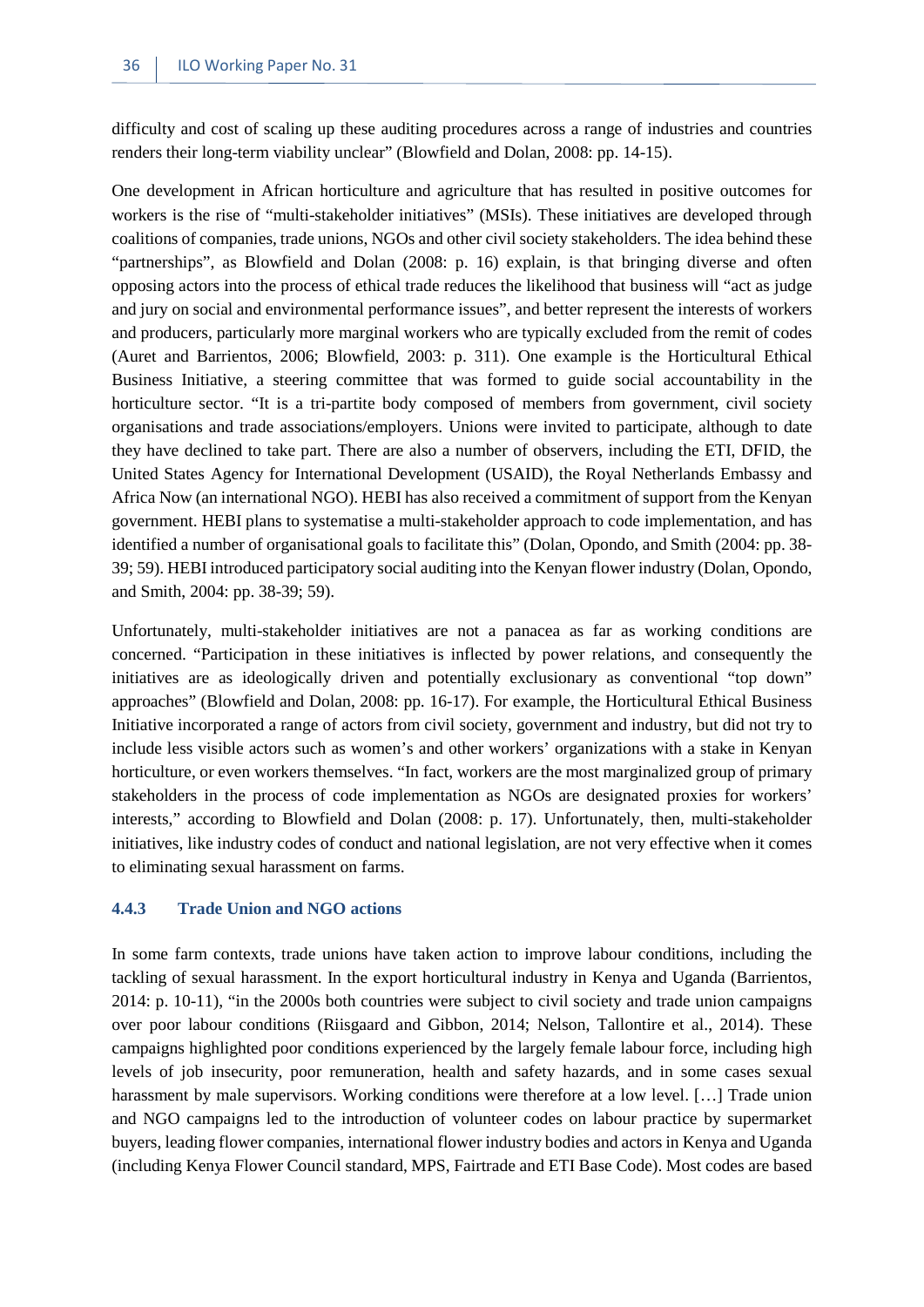difficulty and cost of scaling up these auditing procedures across a range of industries and countries renders their long-term viability unclear" (Blowfield and Dolan, 2008: pp. 14-15).

One development in African horticulture and agriculture that has resulted in positive outcomes for workers is the rise of "multi-stakeholder initiatives" (MSIs). These initiatives are developed through coalitions of companies, trade unions, NGOs and other civil society stakeholders. The idea behind these "partnerships", as Blowfield and Dolan (2008: p. 16) explain, is that bringing diverse and often opposing actors into the process of ethical trade reduces the likelihood that business will "act as judge and jury on social and environmental performance issues", and better represent the interests of workers and producers, particularly more marginal workers who are typically excluded from the remit of codes (Auret and Barrientos, 2006; Blowfield, 2003: p. 311). One example is the Horticultural Ethical Business Initiative, a steering committee that was formed to guide social accountability in the horticulture sector. "It is a tri-partite body composed of members from government, civil society organisations and trade associations/employers. Unions were invited to participate, although to date they have declined to take part. There are also a number of observers, including the ETI, DFID, the United States Agency for International Development (USAID), the Royal Netherlands Embassy and Africa Now (an international NGO). HEBI has also received a commitment of support from the Kenyan government. HEBI plans to systematise a multi-stakeholder approach to code implementation, and has identified a number of organisational goals to facilitate this" (Dolan, Opondo, and Smith (2004: pp. 38- 39; 59). HEBI introduced participatory social auditing into the Kenyan flower industry (Dolan, Opondo, and Smith, 2004: pp. 38-39; 59).

Unfortunately, multi-stakeholder initiatives are not a panacea as far as working conditions are concerned. "Participation in these initiatives is inflected by power relations, and consequently the initiatives are as ideologically driven and potentially exclusionary as conventional "top down" approaches" (Blowfield and Dolan, 2008: pp. 16-17). For example, the Horticultural Ethical Business Initiative incorporated a range of actors from civil society, government and industry, but did not try to include less visible actors such as women's and other workers' organizations with a stake in Kenyan horticulture, or even workers themselves. "In fact, workers are the most marginalized group of primary stakeholders in the process of code implementation as NGOs are designated proxies for workers' interests," according to Blowfield and Dolan (2008: p. 17). Unfortunately, then, multi-stakeholder initiatives, like industry codes of conduct and national legislation, are not very effective when it comes to eliminating sexual harassment on farms.

#### <span id="page-43-0"></span>**4.4.3 Trade Union and NGO actions**

In some farm contexts, trade unions have taken action to improve labour conditions, including the tackling of sexual harassment. In the export horticultural industry in Kenya and Uganda (Barrientos, 2014: p. 10-11), "in the 2000s both countries were subject to civil society and trade union campaigns over poor labour conditions (Riisgaard and Gibbon, 2014; Nelson, Tallontire et al., 2014). These campaigns highlighted poor conditions experienced by the largely female labour force, including high levels of job insecurity, poor remuneration, health and safety hazards, and in some cases sexual harassment by male supervisors. Working conditions were therefore at a low level. […] Trade union and NGO campaigns led to the introduction of volunteer codes on labour practice by supermarket buyers, leading flower companies, international flower industry bodies and actors in Kenya and Uganda (including Kenya Flower Council standard, MPS, Fairtrade and ETI Base Code). Most codes are based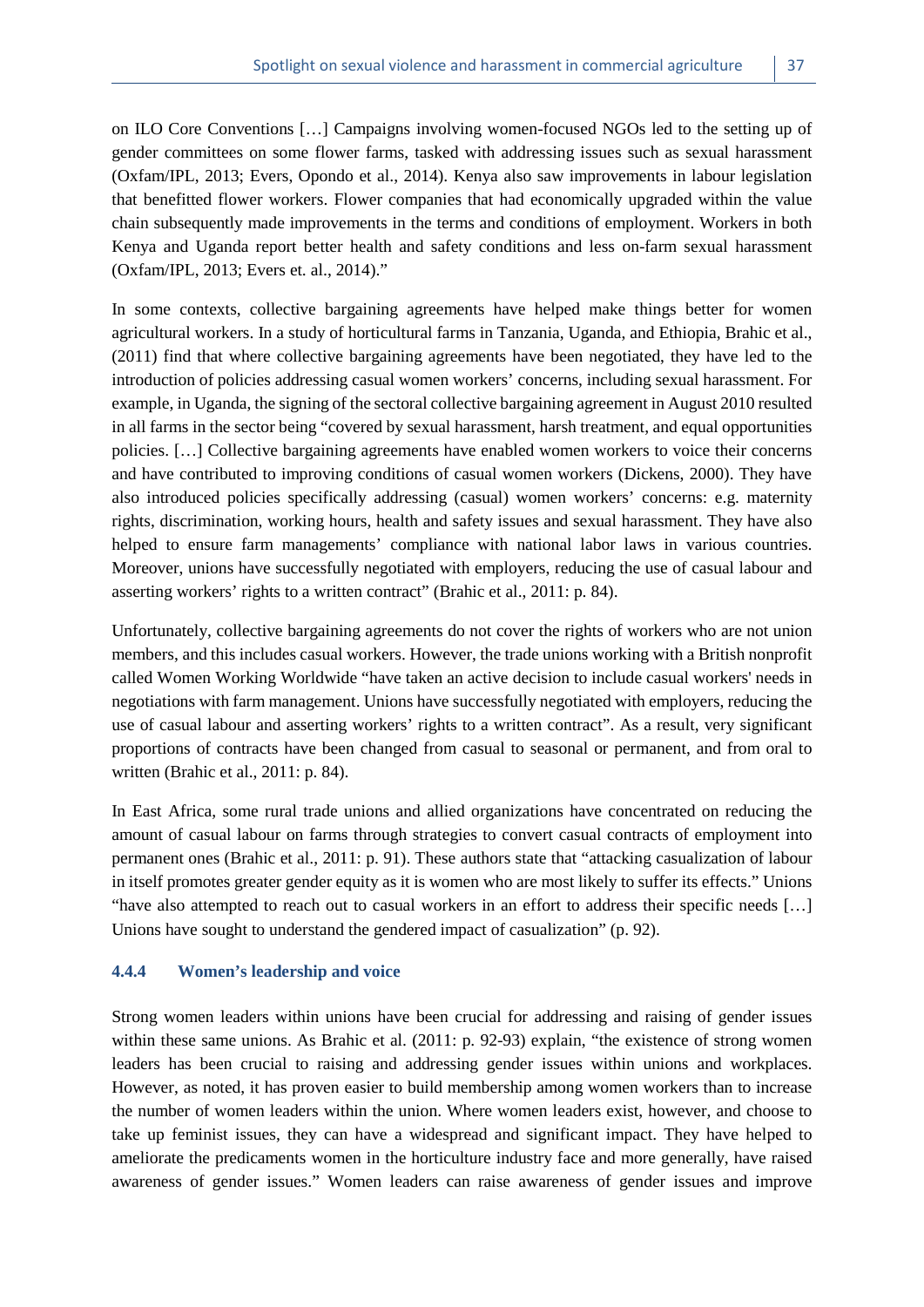on ILO Core Conventions […] Campaigns involving women-focused NGOs led to the setting up of gender committees on some flower farms, tasked with addressing issues such as sexual harassment (Oxfam/IPL, 2013; Evers, Opondo et al., 2014). Kenya also saw improvements in labour legislation that benefitted flower workers. Flower companies that had economically upgraded within the value chain subsequently made improvements in the terms and conditions of employment. Workers in both Kenya and Uganda report better health and safety conditions and less on-farm sexual harassment (Oxfam/IPL, 2013; Evers et. al., 2014)."

In some contexts, collective bargaining agreements have helped make things better for women agricultural workers. In a study of horticultural farms in Tanzania, Uganda, and Ethiopia, Brahic et al., (2011) find that where collective bargaining agreements have been negotiated, they have led to the introduction of policies addressing casual women workers' concerns, including sexual harassment. For example, in Uganda, the signing of the sectoral collective bargaining agreement in August 2010 resulted in all farms in the sector being "covered by sexual harassment, harsh treatment, and equal opportunities policies. […] Collective bargaining agreements have enabled women workers to voice their concerns and have contributed to improving conditions of casual women workers (Dickens, 2000). They have also introduced policies specifically addressing (casual) women workers' concerns: e.g. maternity rights, discrimination, working hours, health and safety issues and sexual harassment. They have also helped to ensure farm managements' compliance with national labor laws in various countries. Moreover, unions have successfully negotiated with employers, reducing the use of casual labour and asserting workers' rights to a written contract" (Brahic et al., 2011: p. 84).

Unfortunately, collective bargaining agreements do not cover the rights of workers who are not union members, and this includes casual workers. However, the trade unions working with a British nonprofit called Women Working Worldwide "have taken an active decision to include casual workers' needs in negotiations with farm management. Unions have successfully negotiated with employers, reducing the use of casual labour and asserting workers' rights to a written contract". As a result, very significant proportions of contracts have been changed from casual to seasonal or permanent, and from oral to written (Brahic et al., 2011: p. 84).

In East Africa, some rural trade unions and allied organizations have concentrated on reducing the amount of casual labour on farms through strategies to convert casual contracts of employment into permanent ones (Brahic et al., 2011: p. 91). These authors state that "attacking casualization of labour in itself promotes greater gender equity as it is women who are most likely to suffer its effects." Unions "have also attempted to reach out to casual workers in an effort to address their specific needs […] Unions have sought to understand the gendered impact of casualization" (p. 92).

#### <span id="page-44-0"></span>**4.4.4 Women's leadership and voice**

Strong women leaders within unions have been crucial for addressing and raising of gender issues within these same unions. As Brahic et al. (2011: p. 92-93) explain, "the existence of strong women leaders has been crucial to raising and addressing gender issues within unions and workplaces. However, as noted, it has proven easier to build membership among women workers than to increase the number of women leaders within the union. Where women leaders exist, however, and choose to take up feminist issues, they can have a widespread and significant impact. They have helped to ameliorate the predicaments women in the horticulture industry face and more generally, have raised awareness of gender issues." Women leaders can raise awareness of gender issues and improve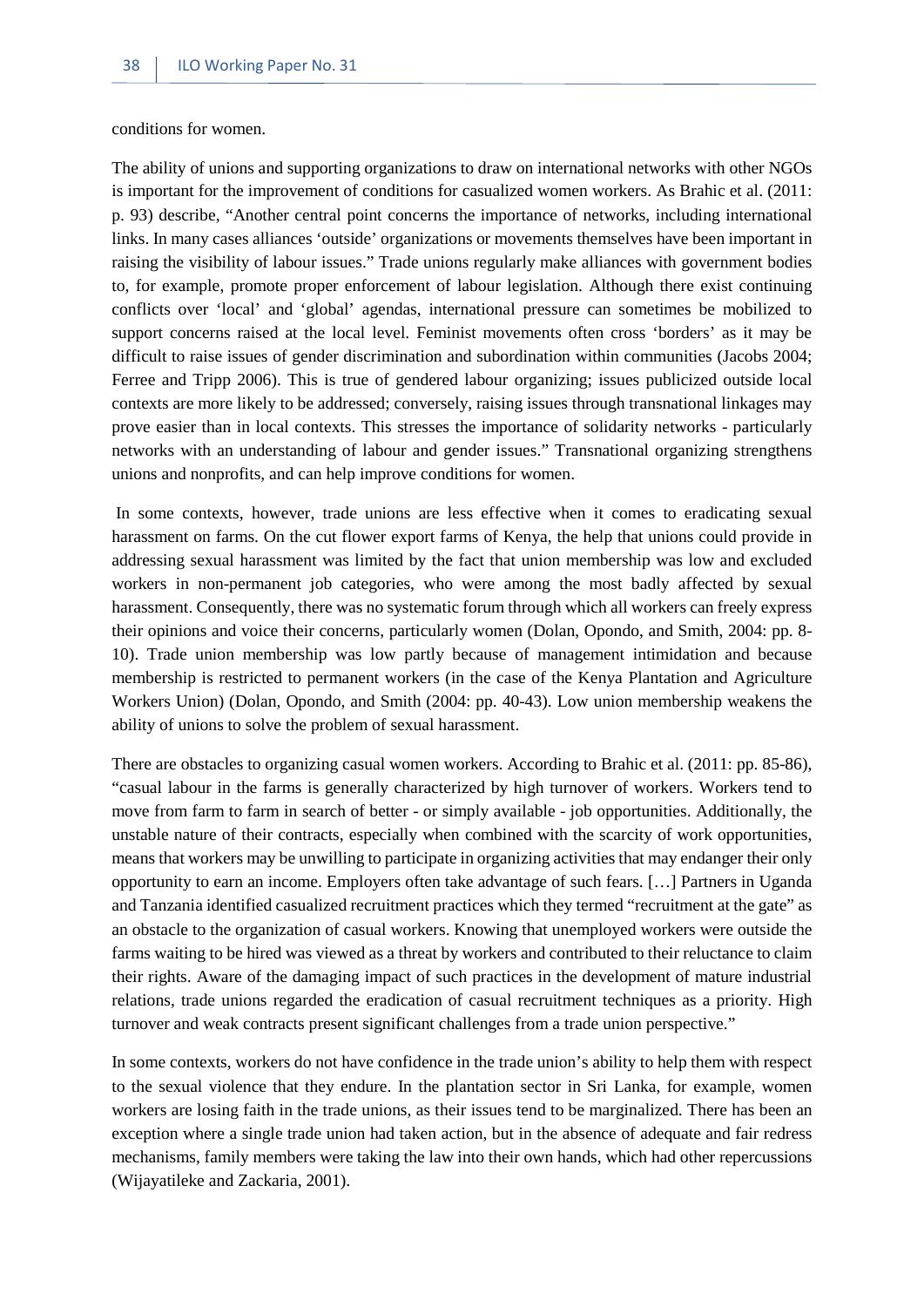conditions for women.

The ability of unions and supporting organizations to draw on international networks with other NGOs is important for the improvement of conditions for casualized women workers. As Brahic et al. (2011: p. 93) describe, "Another central point concerns the importance of networks, including international links. In many cases alliances 'outside' organizations or movements themselves have been important in raising the visibility of labour issues." Trade unions regularly make alliances with government bodies to, for example, promote proper enforcement of labour legislation. Although there exist continuing conflicts over 'local' and 'global' agendas, international pressure can sometimes be mobilized to support concerns raised at the local level. Feminist movements often cross 'borders' as it may be difficult to raise issues of gender discrimination and subordination within communities (Jacobs 2004; Ferree and Tripp 2006). This is true of gendered labour organizing; issues publicized outside local contexts are more likely to be addressed; conversely, raising issues through transnational linkages may prove easier than in local contexts. This stresses the importance of solidarity networks - particularly networks with an understanding of labour and gender issues." Transnational organizing strengthens unions and nonprofits, and can help improve conditions for women.

In some contexts, however, trade unions are less effective when it comes to eradicating sexual harassment on farms. On the cut flower export farms of Kenya, the help that unions could provide in addressing sexual harassment was limited by the fact that union membership was low and excluded workers in non-permanent job categories, who were among the most badly affected by sexual harassment. Consequently, there was no systematic forum through which all workers can freely express their opinions and voice their concerns, particularly women (Dolan, Opondo, and Smith, 2004: pp. 8- 10). Trade union membership was low partly because of management intimidation and because membership is restricted to permanent workers (in the case of the Kenya Plantation and Agriculture Workers Union) (Dolan, Opondo, and Smith (2004: pp. 40-43). Low union membership weakens the ability of unions to solve the problem of sexual harassment.

There are obstacles to organizing casual women workers. According to Brahic et al. (2011: pp. 85-86), "casual labour in the farms is generally characterized by high turnover of workers. Workers tend to move from farm to farm in search of better - or simply available - job opportunities. Additionally, the unstable nature of their contracts, especially when combined with the scarcity of work opportunities, means that workers may be unwilling to participate in organizing activities that may endanger their only opportunity to earn an income. Employers often take advantage of such fears. […] Partners in Uganda and Tanzania identified casualized recruitment practices which they termed "recruitment at the gate" as an obstacle to the organization of casual workers. Knowing that unemployed workers were outside the farms waiting to be hired was viewed as a threat by workers and contributed to their reluctance to claim their rights. Aware of the damaging impact of such practices in the development of mature industrial relations, trade unions regarded the eradication of casual recruitment techniques as a priority. High turnover and weak contracts present significant challenges from a trade union perspective."

In some contexts, workers do not have confidence in the trade union's ability to help them with respect to the sexual violence that they endure. In the plantation sector in Sri Lanka, for example, women workers are losing faith in the trade unions, as their issues tend to be marginalized. There has been an exception where a single trade union had taken action, but in the absence of adequate and fair redress mechanisms, family members were taking the law into their own hands, which had other repercussions (Wijayatileke and Zackaria, 2001).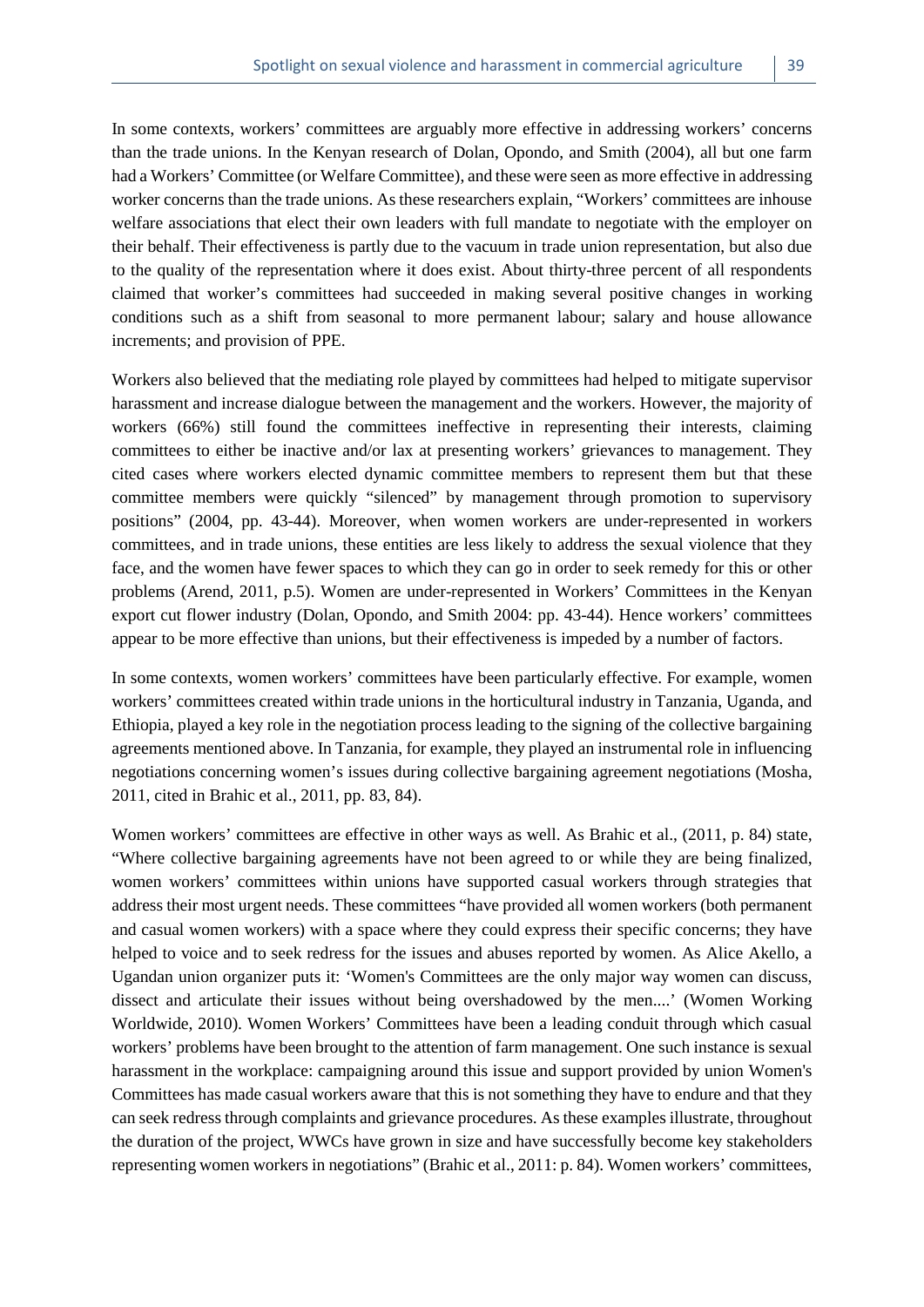In some contexts, workers' committees are arguably more effective in addressing workers' concerns than the trade unions. In the Kenyan research of Dolan, Opondo, and Smith (2004), all but one farm had a Workers' Committee (or Welfare Committee), and these were seen as more effective in addressing worker concerns than the trade unions. As these researchers explain, "Workers' committees are inhouse welfare associations that elect their own leaders with full mandate to negotiate with the employer on their behalf. Their effectiveness is partly due to the vacuum in trade union representation, but also due to the quality of the representation where it does exist. About thirty-three percent of all respondents claimed that worker's committees had succeeded in making several positive changes in working

Workers also believed that the mediating role played by committees had helped to mitigate supervisor harassment and increase dialogue between the management and the workers. However, the majority of workers (66%) still found the committees ineffective in representing their interests, claiming committees to either be inactive and/or lax at presenting workers' grievances to management. They cited cases where workers elected dynamic committee members to represent them but that these committee members were quickly "silenced" by management through promotion to supervisory positions" (2004, pp. 43-44). Moreover, when women workers are under-represented in workers committees, and in trade unions, these entities are less likely to address the sexual violence that they face, and the women have fewer spaces to which they can go in order to seek remedy for this or other problems (Arend, 2011, p.5). Women are under-represented in Workers' Committees in the Kenyan export cut flower industry (Dolan, Opondo, and Smith 2004: pp. 43-44). Hence workers' committees appear to be more effective than unions, but their effectiveness is impeded by a number of factors.

conditions such as a shift from seasonal to more permanent labour; salary and house allowance

increments; and provision of PPE.

In some contexts, women workers' committees have been particularly effective. For example, women workers' committees created within trade unions in the horticultural industry in Tanzania, Uganda, and Ethiopia, played a key role in the negotiation process leading to the signing of the collective bargaining agreements mentioned above. In Tanzania, for example, they played an instrumental role in influencing negotiations concerning women's issues during collective bargaining agreement negotiations (Mosha, 2011, cited in Brahic et al., 2011, pp. 83, 84).

Women workers' committees are effective in other ways as well. As Brahic et al., (2011, p. 84) state, "Where collective bargaining agreements have not been agreed to or while they are being finalized, women workers' committees within unions have supported casual workers through strategies that address their most urgent needs. These committees "have provided all women workers (both permanent and casual women workers) with a space where they could express their specific concerns; they have helped to voice and to seek redress for the issues and abuses reported by women. As Alice Akello, a Ugandan union organizer puts it: 'Women's Committees are the only major way women can discuss, dissect and articulate their issues without being overshadowed by the men....' (Women Working Worldwide, 2010). Women Workers' Committees have been a leading conduit through which casual workers' problems have been brought to the attention of farm management. One such instance is sexual harassment in the workplace: campaigning around this issue and support provided by union Women's Committees has made casual workers aware that this is not something they have to endure and that they can seek redress through complaints and grievance procedures. As these examples illustrate, throughout the duration of the project, WWCs have grown in size and have successfully become key stakeholders representing women workers in negotiations" (Brahic et al., 2011: p. 84). Women workers' committees,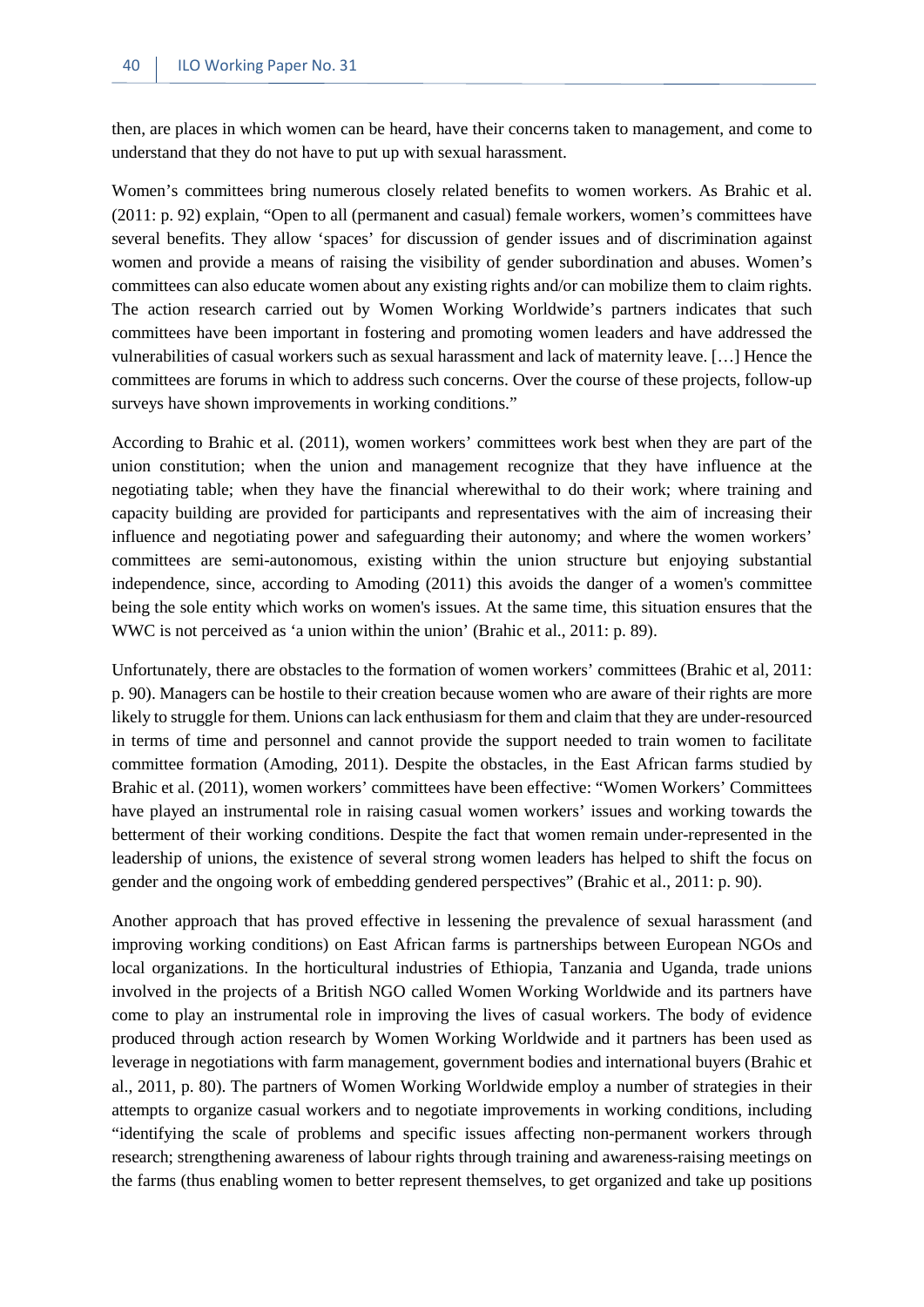then, are places in which women can be heard, have their concerns taken to management, and come to understand that they do not have to put up with sexual harassment.

Women's committees bring numerous closely related benefits to women workers. As Brahic et al. (2011: p. 92) explain, "Open to all (permanent and casual) female workers, women's committees have several benefits. They allow 'spaces' for discussion of gender issues and of discrimination against women and provide a means of raising the visibility of gender subordination and abuses. Women's committees can also educate women about any existing rights and/or can mobilize them to claim rights. The action research carried out by Women Working Worldwide's partners indicates that such committees have been important in fostering and promoting women leaders and have addressed the vulnerabilities of casual workers such as sexual harassment and lack of maternity leave. […] Hence the committees are forums in which to address such concerns. Over the course of these projects, follow-up surveys have shown improvements in working conditions."

According to Brahic et al. (2011), women workers' committees work best when they are part of the union constitution; when the union and management recognize that they have influence at the negotiating table; when they have the financial wherewithal to do their work; where training and capacity building are provided for participants and representatives with the aim of increasing their influence and negotiating power and safeguarding their autonomy; and where the women workers' committees are semi-autonomous, existing within the union structure but enjoying substantial independence, since, according to Amoding (2011) this avoids the danger of a women's committee being the sole entity which works on women's issues. At the same time, this situation ensures that the WWC is not perceived as 'a union within the union' (Brahic et al., 2011: p. 89).

Unfortunately, there are obstacles to the formation of women workers' committees (Brahic et al, 2011: p. 90). Managers can be hostile to their creation because women who are aware of their rights are more likely to struggle for them. Unions can lack enthusiasm for them and claim that they are under-resourced in terms of time and personnel and cannot provide the support needed to train women to facilitate committee formation (Amoding, 2011). Despite the obstacles, in the East African farms studied by Brahic et al. (2011), women workers' committees have been effective: "Women Workers' Committees have played an instrumental role in raising casual women workers' issues and working towards the betterment of their working conditions. Despite the fact that women remain under-represented in the leadership of unions, the existence of several strong women leaders has helped to shift the focus on gender and the ongoing work of embedding gendered perspectives" (Brahic et al., 2011: p. 90).

Another approach that has proved effective in lessening the prevalence of sexual harassment (and improving working conditions) on East African farms is partnerships between European NGOs and local organizations. In the horticultural industries of Ethiopia, Tanzania and Uganda, trade unions involved in the projects of a British NGO called Women Working Worldwide and its partners have come to play an instrumental role in improving the lives of casual workers. The body of evidence produced through action research by Women Working Worldwide and it partners has been used as leverage in negotiations with farm management, government bodies and international buyers (Brahic et al., 2011, p. 80). The partners of Women Working Worldwide employ a number of strategies in their attempts to organize casual workers and to negotiate improvements in working conditions, including "identifying the scale of problems and specific issues affecting non-permanent workers through research; strengthening awareness of labour rights through training and awareness-raising meetings on the farms (thus enabling women to better represent themselves, to get organized and take up positions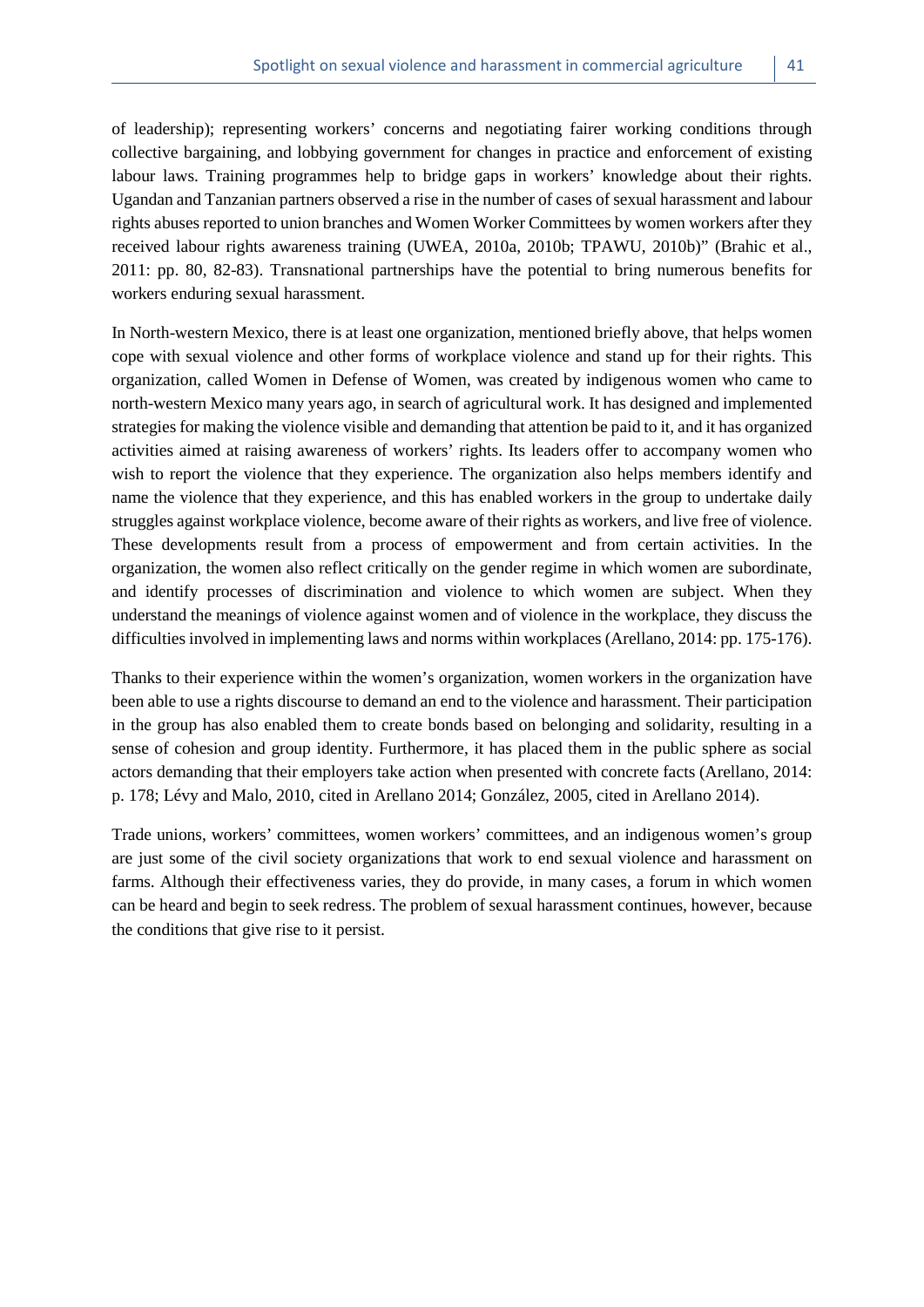of leadership); representing workers' concerns and negotiating fairer working conditions through collective bargaining, and lobbying government for changes in practice and enforcement of existing labour laws. Training programmes help to bridge gaps in workers' knowledge about their rights. Ugandan and Tanzanian partners observed a rise in the number of cases of sexual harassment and labour rights abuses reported to union branches and Women Worker Committees by women workers after they received labour rights awareness training (UWEA, 2010a, 2010b; TPAWU, 2010b)" (Brahic et al., 2011: pp. 80, 82-83). Transnational partnerships have the potential to bring numerous benefits for workers enduring sexual harassment.

In North-western Mexico, there is at least one organization, mentioned briefly above, that helps women cope with sexual violence and other forms of workplace violence and stand up for their rights. This organization, called Women in Defense of Women, was created by indigenous women who came to north-western Mexico many years ago, in search of agricultural work. It has designed and implemented strategies for making the violence visible and demanding that attention be paid to it, and it has organized activities aimed at raising awareness of workers' rights. Its leaders offer to accompany women who wish to report the violence that they experience. The organization also helps members identify and name the violence that they experience, and this has enabled workers in the group to undertake daily struggles against workplace violence, become aware of their rights as workers, and live free of violence. These developments result from a process of empowerment and from certain activities. In the organization, the women also reflect critically on the gender regime in which women are subordinate, and identify processes of discrimination and violence to which women are subject. When they understand the meanings of violence against women and of violence in the workplace, they discuss the difficulties involved in implementing laws and norms within workplaces (Arellano, 2014: pp. 175-176).

Thanks to their experience within the women's organization, women workers in the organization have been able to use a rights discourse to demand an end to the violence and harassment. Their participation in the group has also enabled them to create bonds based on belonging and solidarity, resulting in a sense of cohesion and group identity. Furthermore, it has placed them in the public sphere as social actors demanding that their employers take action when presented with concrete facts (Arellano, 2014: p. 178; Lévy and Malo, 2010, cited in Arellano 2014; González, 2005, cited in Arellano 2014).

Trade unions, workers' committees, women workers' committees, and an indigenous women's group are just some of the civil society organizations that work to end sexual violence and harassment on farms. Although their effectiveness varies, they do provide, in many cases, a forum in which women can be heard and begin to seek redress. The problem of sexual harassment continues, however, because the conditions that give rise to it persist.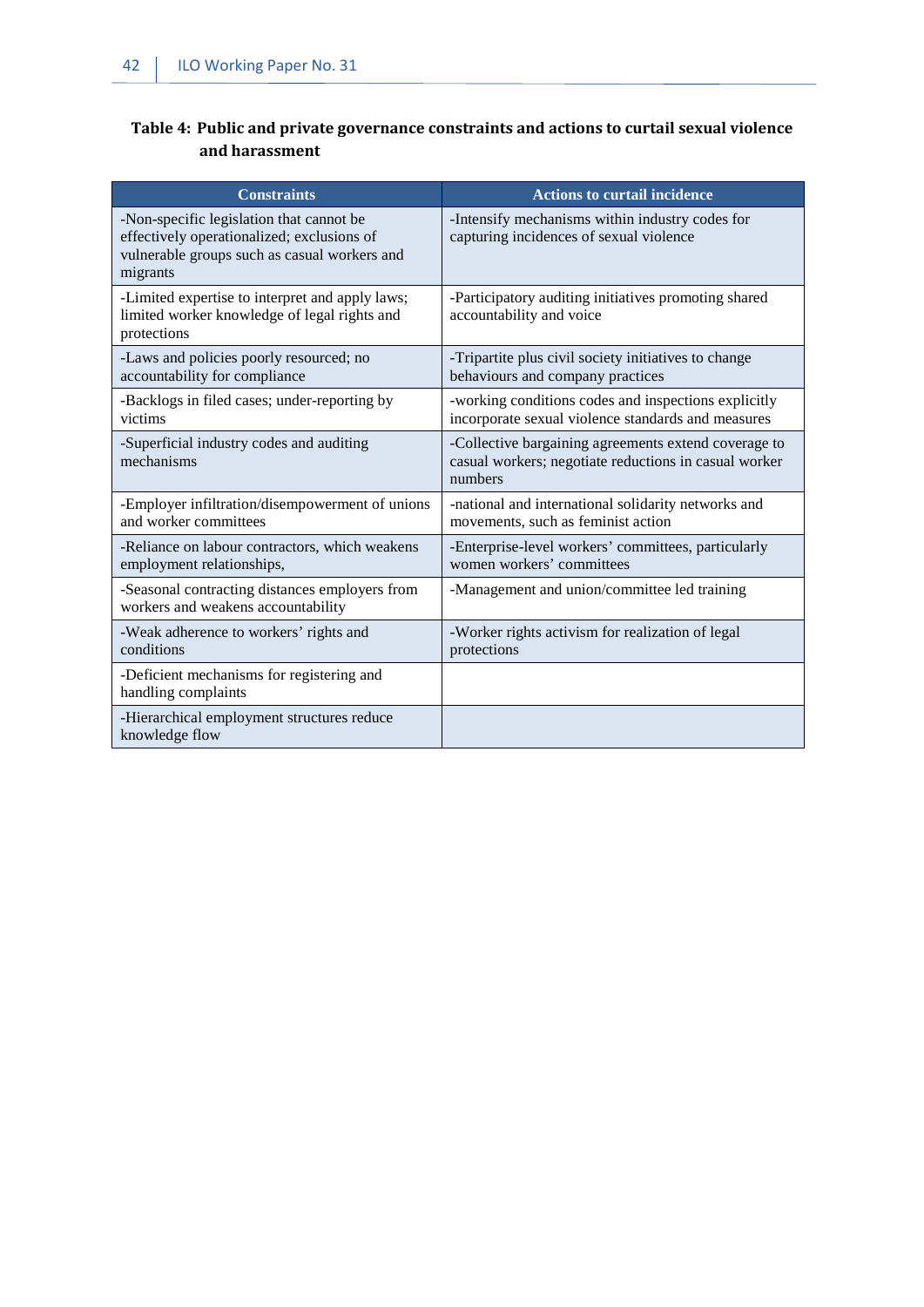### <span id="page-49-0"></span>**Table 4: Public and private governance constraints and actions to curtail sexual violence and harassment**

| Constraints                                                                                                                                        | <b>Actions to curtail incidence</b>                                                                                      |
|----------------------------------------------------------------------------------------------------------------------------------------------------|--------------------------------------------------------------------------------------------------------------------------|
| -Non-specific legislation that cannot be<br>effectively operationalized; exclusions of<br>vulnerable groups such as casual workers and<br>migrants | -Intensify mechanisms within industry codes for<br>capturing incidences of sexual violence                               |
| -Limited expertise to interpret and apply laws;<br>limited worker knowledge of legal rights and<br>protections                                     | -Participatory auditing initiatives promoting shared<br>accountability and voice                                         |
| -Laws and policies poorly resourced; no<br>accountability for compliance                                                                           | -Tripartite plus civil society initiatives to change<br>behaviours and company practices                                 |
| -Backlogs in filed cases; under-reporting by<br>victims                                                                                            | -working conditions codes and inspections explicitly<br>incorporate sexual violence standards and measures               |
| -Superficial industry codes and auditing<br>mechanisms                                                                                             | -Collective bargaining agreements extend coverage to<br>casual workers; negotiate reductions in casual worker<br>numbers |
| -Employer infiltration/disempowerment of unions<br>and worker committees                                                                           | -national and international solidarity networks and<br>movements, such as feminist action                                |
| -Reliance on labour contractors, which weakens<br>employment relationships,                                                                        | -Enterprise-level workers' committees, particularly<br>women workers' committees                                         |
| -Seasonal contracting distances employers from<br>workers and weakens accountability                                                               | -Management and union/committee led training                                                                             |
| -Weak adherence to workers' rights and<br>conditions                                                                                               | -Worker rights activism for realization of legal<br>protections                                                          |
| -Deficient mechanisms for registering and<br>handling complaints                                                                                   |                                                                                                                          |
| -Hierarchical employment structures reduce<br>knowledge flow                                                                                       |                                                                                                                          |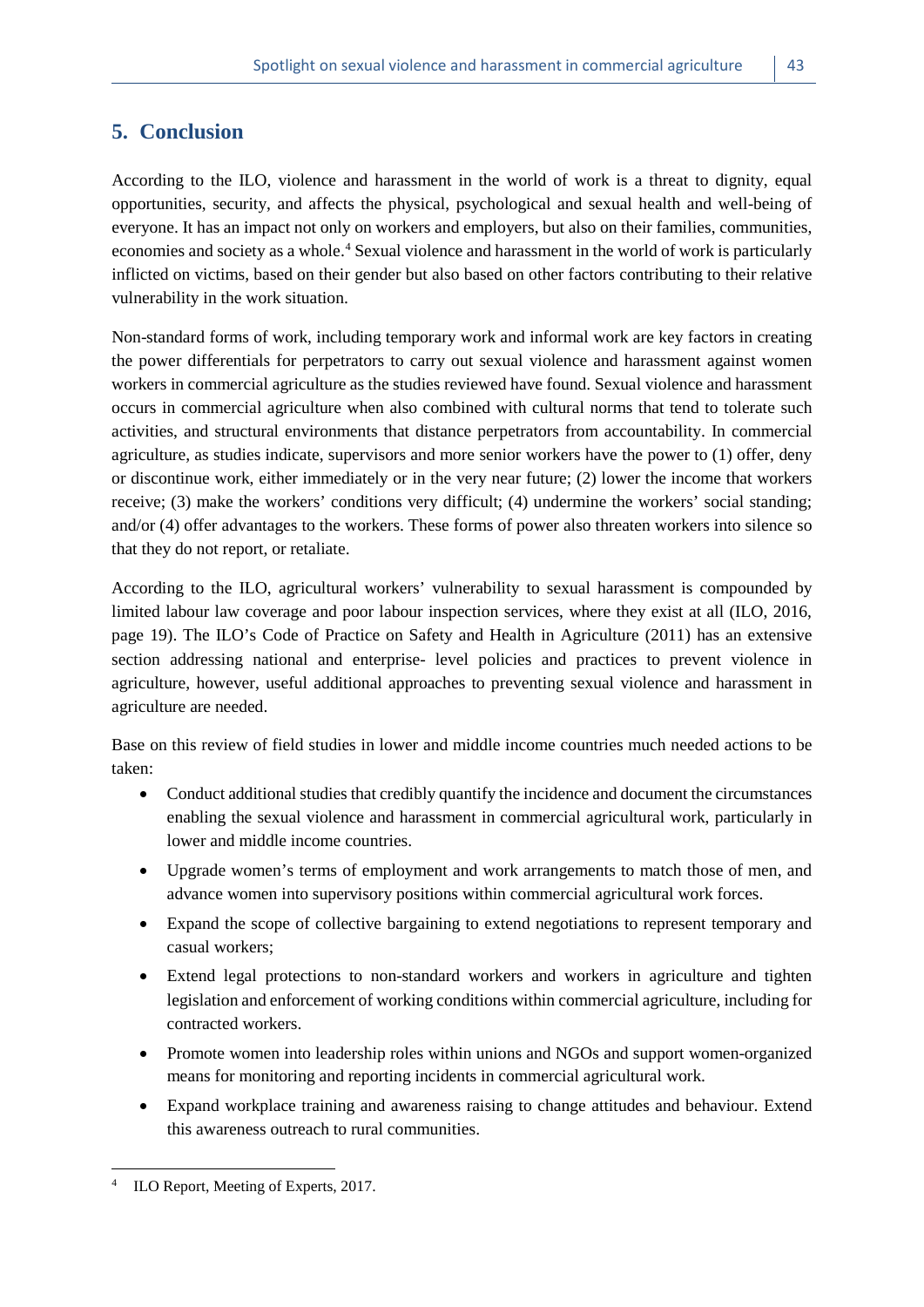# <span id="page-50-0"></span>**5. Conclusion**

According to the ILO, violence and harassment in the world of work is a threat to dignity, equal opportunities, security, and affects the physical, psychological and sexual health and well-being of everyone. It has an impact not only on workers and employers, but also on their families, communities, economies and society as a whole.[4](#page-50-1) Sexual violence and harassment in the world of work is particularly inflicted on victims, based on their gender but also based on other factors contributing to their relative vulnerability in the work situation.

Non-standard forms of work, including temporary work and informal work are key factors in creating the power differentials for perpetrators to carry out sexual violence and harassment against women workers in commercial agriculture as the studies reviewed have found. Sexual violence and harassment occurs in commercial agriculture when also combined with cultural norms that tend to tolerate such activities, and structural environments that distance perpetrators from accountability. In commercial agriculture, as studies indicate, supervisors and more senior workers have the power to (1) offer, deny or discontinue work, either immediately or in the very near future; (2) lower the income that workers receive; (3) make the workers' conditions very difficult; (4) undermine the workers' social standing; and/or (4) offer advantages to the workers. These forms of power also threaten workers into silence so that they do not report, or retaliate.

According to the ILO, agricultural workers' vulnerability to sexual harassment is compounded by limited labour law coverage and poor labour inspection services, where they exist at all (ILO, 2016, page 19). The ILO's Code of Practice on Safety and Health in Agriculture (2011) has an extensive section addressing national and enterprise- level policies and practices to prevent violence in agriculture, however, useful additional approaches to preventing sexual violence and harassment in agriculture are needed.

Base on this review of field studies in lower and middle income countries much needed actions to be taken:

- Conduct additional studies that credibly quantify the incidence and document the circumstances enabling the sexual violence and harassment in commercial agricultural work, particularly in lower and middle income countries.
- Upgrade women's terms of employment and work arrangements to match those of men, and advance women into supervisory positions within commercial agricultural work forces.
- Expand the scope of collective bargaining to extend negotiations to represent temporary and casual workers;
- Extend legal protections to non-standard workers and workers in agriculture and tighten legislation and enforcement of working conditions within commercial agriculture, including for contracted workers.
- Promote women into leadership roles within unions and NGOs and support women-organized means for monitoring and reporting incidents in commercial agricultural work.
- Expand workplace training and awareness raising to change attitudes and behaviour. Extend this awareness outreach to rural communities.

1

<span id="page-50-1"></span>ILO Report, Meeting of Experts, 2017.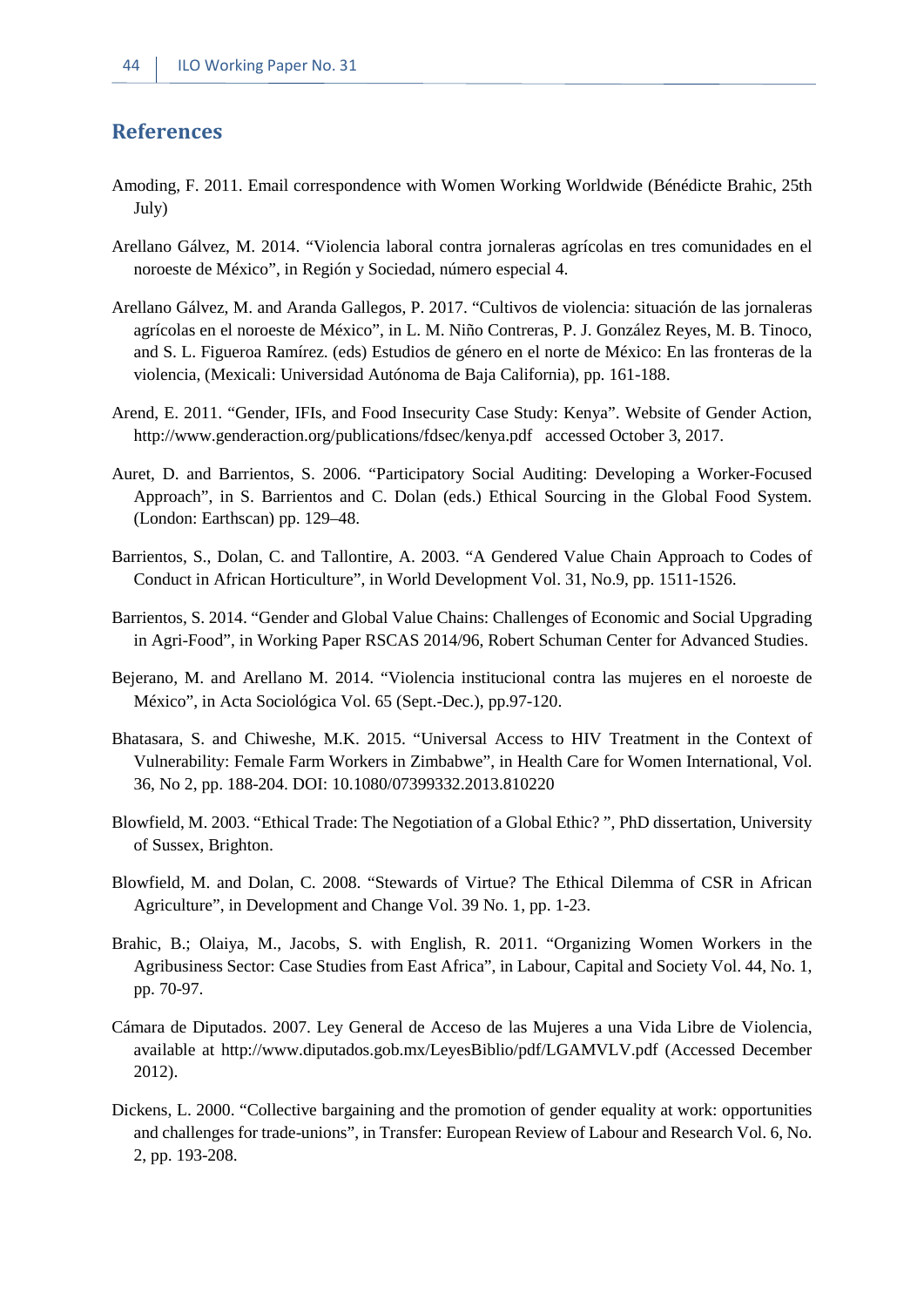# <span id="page-51-0"></span>**References**

- Amoding, F. 2011. Email correspondence with Women Working Worldwide (Bénédicte Brahic, 25th July)
- Arellano Gálvez, M. 2014. "Violencia laboral contra jornaleras agrícolas en tres comunidades en el noroeste de México", in Región y Sociedad, número especial 4.
- Arellano Gálvez, M. and Aranda Gallegos, P. 2017. "Cultivos de violencia: situación de las jornaleras agrícolas en el noroeste de México", in L. M. Niño Contreras, P. J. González Reyes, M. B. Tinoco, and S. L. Figueroa Ramírez. (eds) Estudios de género en el norte de México: En las fronteras de la violencia, (Mexicali: Universidad Autónoma de Baja California), pp. 161-188.
- Arend, E. 2011. "Gender, IFIs, and Food Insecurity Case Study: Kenya". Website of Gender Action, http://www.genderaction.org/publications/fdsec/kenya.pdf accessed October 3, 2017.
- Auret, D. and Barrientos, S. 2006. "Participatory Social Auditing: Developing a Worker-Focused Approach", in S. Barrientos and C. Dolan (eds.) Ethical Sourcing in the Global Food System. (London: Earthscan) pp. 129–48.
- Barrientos, S., Dolan, C. and Tallontire, A. 2003. "A Gendered Value Chain Approach to Codes of Conduct in African Horticulture", in World Development Vol. 31, No.9, pp. 1511-1526.
- Barrientos, S. 2014. "Gender and Global Value Chains: Challenges of Economic and Social Upgrading in Agri-Food", in Working Paper RSCAS 2014/96, Robert Schuman Center for Advanced Studies.
- Bejerano, M. and Arellano M. 2014. "Violencia institucional contra las mujeres en el noroeste de México", in Acta Sociológica Vol. 65 (Sept.-Dec.), pp.97-120.
- Bhatasara, S. and Chiweshe, M.K. 2015. "Universal Access to HIV Treatment in the Context of Vulnerability: Female Farm Workers in Zimbabwe", in Health Care for Women International, Vol. 36, No 2, pp. 188-204. DOI: 10.1080/07399332.2013.810220
- Blowfield, M. 2003. "Ethical Trade: The Negotiation of a Global Ethic? ", PhD dissertation, University of Sussex, Brighton.
- Blowfield, M. and Dolan, C. 2008. "Stewards of Virtue? The Ethical Dilemma of CSR in African Agriculture", in Development and Change Vol. 39 No. 1, pp. 1-23.
- Brahic, B.; Olaiya, M., Jacobs, S. with English, R. 2011. "Organizing Women Workers in the Agribusiness Sector: Case Studies from East Africa", in Labour, Capital and Society Vol. 44, No. 1, pp. 70-97.
- Cámara de Diputados. 2007. Ley General de Acceso de las Mujeres a una Vida Libre de Violencia, available at http://www.diputados.gob.mx/LeyesBiblio/pdf/LGAMVLV.pdf (Accessed December 2012).
- Dickens, L. 2000. "Collective bargaining and the promotion of gender equality at work: opportunities and challenges for trade-unions", in Transfer: European Review of Labour and Research Vol. 6, No. 2, pp. 193-208.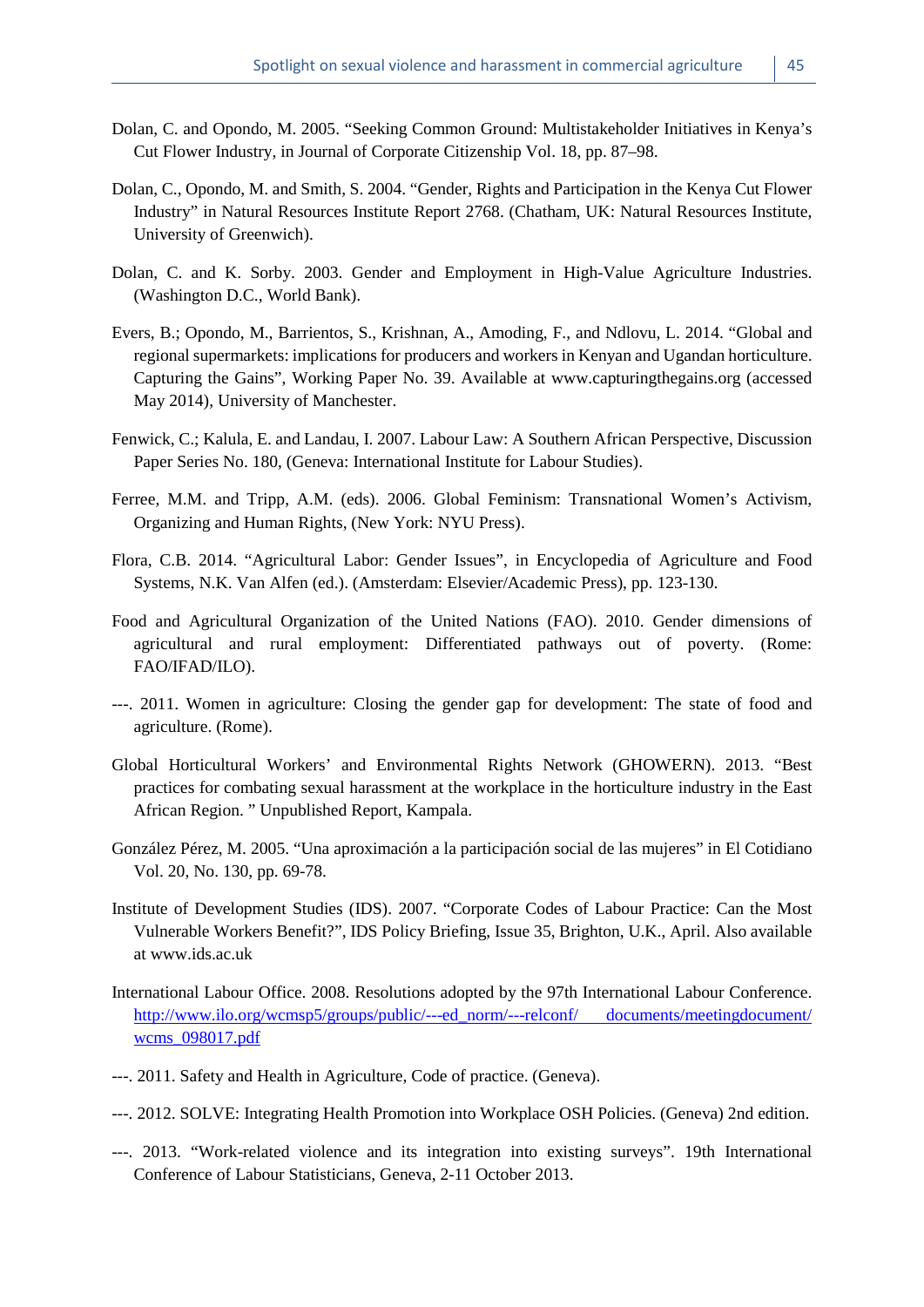- Dolan, C. and Opondo, M. 2005. "Seeking Common Ground: Multistakeholder Initiatives in Kenya's Cut Flower Industry, in Journal of Corporate Citizenship Vol. 18, pp. 87–98.
- Dolan, C., Opondo, M. and Smith, S. 2004. "Gender, Rights and Participation in the Kenya Cut Flower Industry" in Natural Resources Institute Report 2768. (Chatham, UK: Natural Resources Institute, University of Greenwich).
- Dolan, C. and K. Sorby. 2003. Gender and Employment in High-Value Agriculture Industries. (Washington D.C., World Bank).
- Evers, B.; Opondo, M., Barrientos, S., Krishnan, A., Amoding, F., and Ndlovu, L. 2014. "Global and regional supermarkets: implications for producers and workers in Kenyan and Ugandan horticulture. Capturing the Gains", Working Paper No. 39. Available at www.capturingthegains.org (accessed May 2014), University of Manchester.
- Fenwick, C.; Kalula, E. and Landau, I. 2007. Labour Law: A Southern African Perspective, Discussion Paper Series No. 180, (Geneva: International Institute for Labour Studies).
- Ferree, M.M. and Tripp, A.M. (eds). 2006. Global Feminism: Transnational Women's Activism, Organizing and Human Rights, (New York: NYU Press).
- Flora, C.B. 2014. "Agricultural Labor: Gender Issues", in Encyclopedia of Agriculture and Food Systems, N.K. Van Alfen (ed.). (Amsterdam: Elsevier/Academic Press), pp. 123-130.
- Food and Agricultural Organization of the United Nations (FAO). 2010. Gender dimensions of agricultural and rural employment: Differentiated pathways out of poverty. (Rome: FAO/IFAD/ILO).
- ---. 2011. Women in agriculture: Closing the gender gap for development: The state of food and agriculture. (Rome).
- Global Horticultural Workers' and Environmental Rights Network (GHOWERN). 2013. "Best practices for combating sexual harassment at the workplace in the horticulture industry in the East African Region. " Unpublished Report, Kampala.
- González Pérez, M. 2005. "Una aproximación a la participación social de las mujeres" in El Cotidiano Vol. 20, No. 130, pp. 69-78.
- Institute of Development Studies (IDS). 2007. "Corporate Codes of Labour Practice: Can the Most Vulnerable Workers Benefit?", IDS Policy Briefing, Issue 35, Brighton, U.K., April. Also available at www.ids.ac.uk
- International Labour Office. 2008. Resolutions adopted by the 97th International Labour Conference. [http://www.ilo.org/wcmsp5/groups/public/---ed\\_norm/---relconf/ documents/meetingdocument/](http://www.ilo.org/wcmsp5/groups/public/---ed_norm/---relconf/%20documents/meetingdocument/%20wcms_098017.pdf)  [wcms\\_098017.pdf](http://www.ilo.org/wcmsp5/groups/public/---ed_norm/---relconf/%20documents/meetingdocument/%20wcms_098017.pdf)
- ---. 2011. Safety and Health in Agriculture, Code of practice. (Geneva).
- ---. 2012. SOLVE: Integrating Health Promotion into Workplace OSH Policies. (Geneva) 2nd edition.
- ---. 2013. "Work-related violence and its integration into existing surveys". 19th International Conference of Labour Statisticians, Geneva, 2-11 October 2013.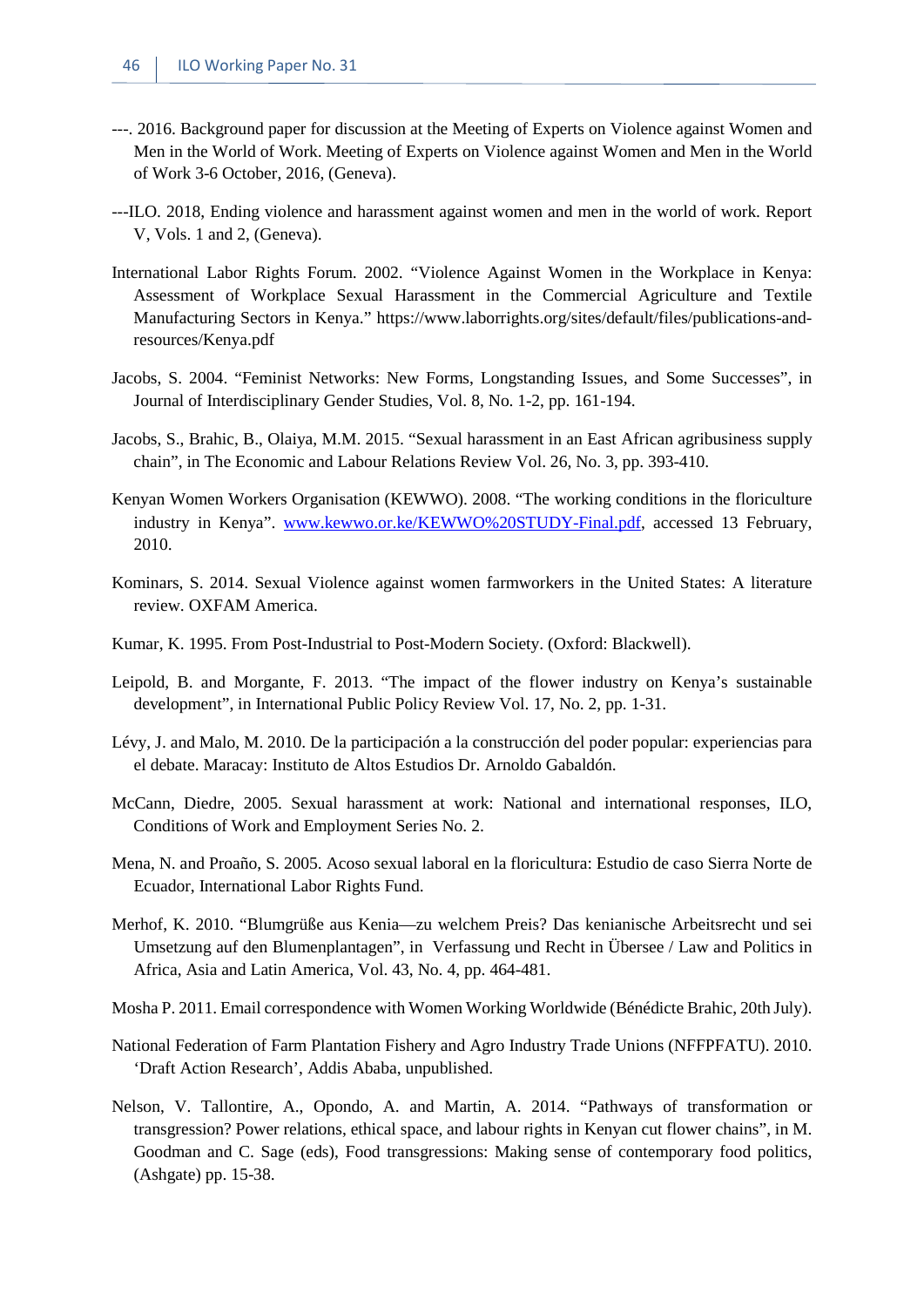- ---. 2016. Background paper for discussion at the Meeting of Experts on Violence against Women and Men in the World of Work. Meeting of Experts on Violence against Women and Men in the World of Work 3-6 October, 2016, (Geneva).
- ---ILO. 2018, Ending violence and harassment against women and men in the world of work. Report V, Vols. 1 and 2, (Geneva).
- International Labor Rights Forum. 2002. "Violence Against Women in the Workplace in Kenya: Assessment of Workplace Sexual Harassment in the Commercial Agriculture and Textile Manufacturing Sectors in Kenya." https://www.laborrights.org/sites/default/files/publications-andresources/Kenya.pdf
- Jacobs, S. 2004. "Feminist Networks: New Forms, Longstanding Issues, and Some Successes", in Journal of Interdisciplinary Gender Studies, Vol. 8, No. 1-2, pp. 161-194.
- Jacobs, S., Brahic, B., Olaiya, M.M. 2015. "Sexual harassment in an East African agribusiness supply chain", in The Economic and Labour Relations Review Vol. 26, No. 3, pp. 393-410.
- Kenyan Women Workers Organisation (KEWWO). 2008. "The working conditions in the floriculture industry in Kenya". [www.kewwo.or.ke/KEWWO%20STUDY-Final.pdf,](http://www.kewwo.or.ke/KEWWO%20STUDY-Final.pdf) accessed 13 February, 2010.
- Kominars, S. 2014. Sexual Violence against women farmworkers in the United States: A literature review. OXFAM America.
- Kumar, K. 1995. From Post-Industrial to Post-Modern Society. (Oxford: Blackwell).
- Leipold, B. and Morgante, F. 2013. "The impact of the flower industry on Kenya's sustainable development", in International Public Policy Review Vol. 17, No. 2, pp. 1-31.
- Lévy, J. and Malo, M. 2010. De la participación a la construcción del poder popular: experiencias para el debate. Maracay: Instituto de Altos Estudios Dr. Arnoldo Gabaldón.
- McCann, Diedre, 2005. Sexual harassment at work: National and international responses, ILO, Conditions of Work and Employment Series No. 2.
- Mena, N. and Proaño, S. 2005. Acoso sexual laboral en la floricultura: Estudio de caso Sierra Norte de Ecuador, International Labor Rights Fund.
- Merhof, K. 2010. "Blumgrüße aus Kenia—zu welchem Preis? Das kenianische Arbeitsrecht und sei Umsetzung auf den Blumenplantagen", in Verfassung und Recht in Übersee / Law and Politics in Africa, Asia and Latin America, Vol. 43, No. 4, pp. 464-481.
- Mosha P. 2011. Email correspondence with Women Working Worldwide (Bénédicte Brahic, 20th July).
- National Federation of Farm Plantation Fishery and Agro Industry Trade Unions (NFFPFATU). 2010. 'Draft Action Research', Addis Ababa, unpublished.
- Nelson, V. Tallontire, A., Opondo, A. and Martin, A. 2014. "Pathways of transformation or transgression? Power relations, ethical space, and labour rights in Kenyan cut flower chains", in M. Goodman and C. Sage (eds), Food transgressions: Making sense of contemporary food politics, (Ashgate) pp. 15-38.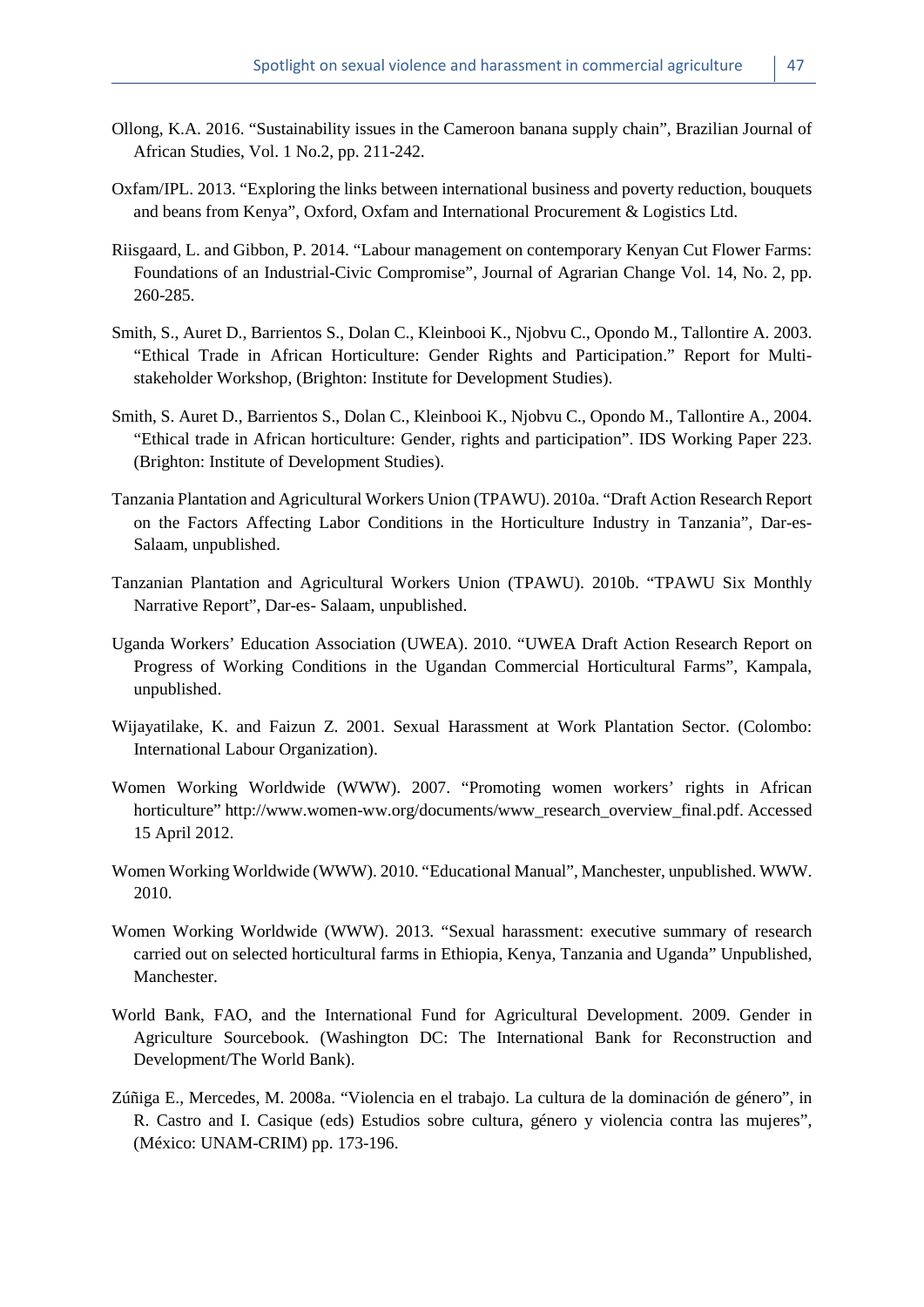- Ollong, K.A. 2016. "Sustainability issues in the Cameroon banana supply chain", Brazilian Journal of African Studies, Vol. 1 No.2, pp. 211-242.
- Oxfam/IPL. 2013. "Exploring the links between international business and poverty reduction, bouquets and beans from Kenya", Oxford, Oxfam and International Procurement & Logistics Ltd.
- Riisgaard, L. and Gibbon, P. 2014. "Labour management on contemporary Kenyan Cut Flower Farms: Foundations of an Industrial-Civic Compromise", Journal of Agrarian Change Vol. 14, No. 2, pp. 260-285.
- Smith, S., Auret D., Barrientos S., Dolan C., Kleinbooi K., Njobvu C., Opondo M., Tallontire A. 2003. "Ethical Trade in African Horticulture: Gender Rights and Participation." Report for Multistakeholder Workshop, (Brighton: Institute for Development Studies).
- Smith, S. Auret D., Barrientos S., Dolan C., Kleinbooi K., Njobvu C., Opondo M., Tallontire A., 2004. "Ethical trade in African horticulture: Gender, rights and participation". IDS Working Paper 223. (Brighton: Institute of Development Studies).
- Tanzania Plantation and Agricultural Workers Union (TPAWU). 2010a. "Draft Action Research Report on the Factors Affecting Labor Conditions in the Horticulture Industry in Tanzania", Dar-es-Salaam, unpublished.
- Tanzanian Plantation and Agricultural Workers Union (TPAWU). 2010b. "TPAWU Six Monthly Narrative Report", Dar-es- Salaam, unpublished.
- Uganda Workers' Education Association (UWEA). 2010. "UWEA Draft Action Research Report on Progress of Working Conditions in the Ugandan Commercial Horticultural Farms", Kampala, unpublished.
- Wijayatilake, K. and Faizun Z. 2001. Sexual Harassment at Work Plantation Sector. (Colombo: International Labour Organization).
- Women Working Worldwide (WWW). 2007. "Promoting women workers' rights in African horticulture" http://www.women-ww.org/documents/www\_research\_overview\_final.pdf. Accessed 15 April 2012.
- Women Working Worldwide (WWW). 2010. "Educational Manual", Manchester, unpublished. WWW. 2010.
- Women Working Worldwide (WWW). 2013. "Sexual harassment: executive summary of research carried out on selected horticultural farms in Ethiopia, Kenya, Tanzania and Uganda" Unpublished, Manchester.
- World Bank, FAO, and the International Fund for Agricultural Development. 2009. Gender in Agriculture Sourcebook. (Washington DC: The International Bank for Reconstruction and Development/The World Bank).
- Zúñiga E., Mercedes, M. 2008a. "Violencia en el trabajo. La cultura de la dominación de género", in R. Castro and I. Casique (eds) Estudios sobre cultura, género y violencia contra las mujeres", (México: UNAM-CRIM) pp. 173-196.